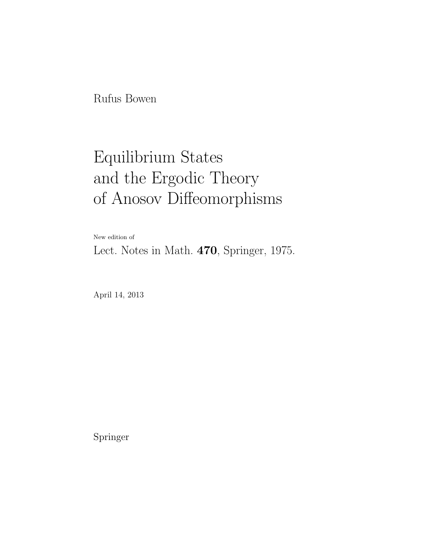Rufus Bowen

# Equilibrium States and the Ergodic Theory of Anosov Diffeomorphisms

New edition of

Lect. Notes in Math. 470, Springer, 1975.

April 14, 2013

Springer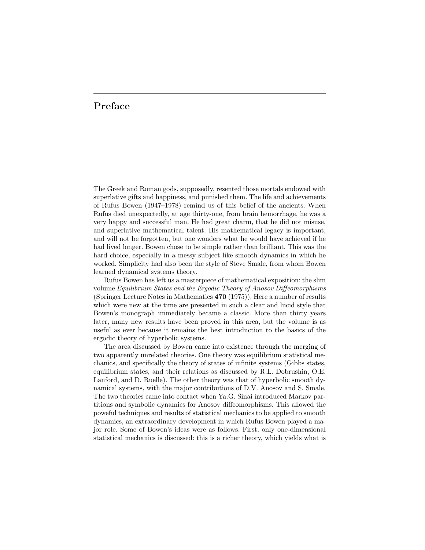# Preface

The Greek and Roman gods, supposedly, resented those mortals endowed with superlative gifts and happiness, and punished them. The life and achievements of Rufus Bowen (1947–1978) remind us of this belief of the ancients. When Rufus died unexpectedly, at age thirty-one, from brain hemorrhage, he was a very happy and successful man. He had great charm, that he did not misuse, and superlative mathematical talent. His mathematical legacy is important, and will not be forgotten, but one wonders what he would have achieved if he had lived longer. Bowen chose to be simple rather than brilliant. This was the hard choice, especially in a messy subject like smooth dynamics in which he worked. Simplicity had also been the style of Steve Smale, from whom Bowen learned dynamical systems theory.

Rufus Bowen has left us a masterpiece of mathematical exposition: the slim volume Equilibrium States and the Ergodic Theory of Anosov Diffeomorphisms (Springer Lecture Notes in Mathematics 470 (1975)). Here a number of results which were new at the time are presented in such a clear and lucid style that Bowen's monograph immediately became a classic. More than thirty years later, many new results have been proved in this area, but the volume is as useful as ever because it remains the best introduction to the basics of the ergodic theory of hyperbolic systems.

The area discussed by Bowen came into existence through the merging of two apparently unrelated theories. One theory was equilibrium statistical mechanics, and specifically the theory of states of infinite systems (Gibbs states, equilibrium states, and their relations as discussed by R.L. Dobrushin, O.E. Lanford, and D. Ruelle). The other theory was that of hyperbolic smooth dynamical systems, with the major contributions of D.V. Anosov and S. Smale. The two theories came into contact when Ya.G. Sinai introduced Markov partitions and symbolic dynamics for Anosov diffeomorphisms. This allowed the poweful techniques and results of statistical mechanics to be applied to smooth dynamics, an extraordinary development in which Rufus Bowen played a major role. Some of Bowen's ideas were as follows. First, only one-dimensional statistical mechanics is discussed: this is a richer theory, which yields what is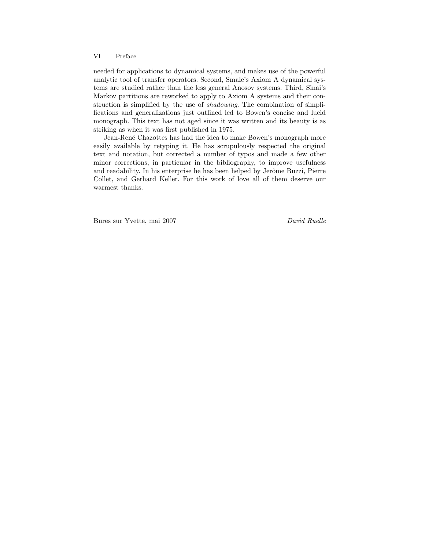## VI Preface

needed for applications to dynamical systems, and makes use of the powerful analytic tool of transfer operators. Second, Smale's Axiom A dynamical systems are studied rather than the less general Anosov systems. Third, Sinai's Markov partitions are reworked to apply to Axiom A systems and their construction is simplified by the use of shadowing. The combination of simplifications and generalizations just outlined led to Bowen's concise and lucid monograph. This text has not aged since it was written and its beauty is as striking as when it was first published in 1975.

Jean-René Chazottes has had the idea to make Bowen's monograph more easily available by retyping it. He has scrupulously respected the original text and notation, but corrected a number of typos and made a few other minor corrections, in particular in the bibliography, to improve usefulness and readability. In his enterprise he has been helped by Jerôme Buzzi, Pierre Collet, and Gerhard Keller. For this work of love all of them deserve our warmest thanks.

Bures sur Yvette, mai 2007 David Ruelle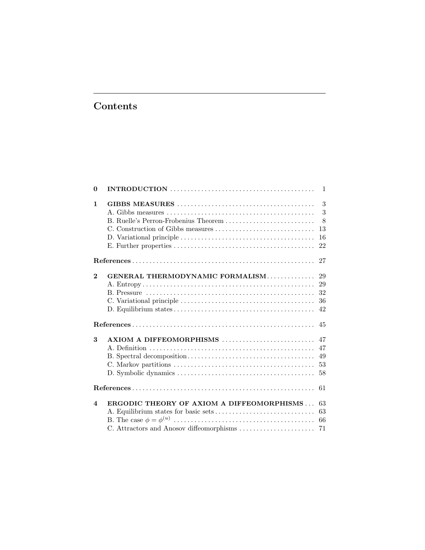# Contents

| $\mathbf{0}$           |                                           | $\mathbf{1}$ |
|------------------------|-------------------------------------------|--------------|
| 1                      |                                           | 3            |
|                        |                                           | 3            |
|                        | B. Ruelle's Perron-Frobenius Theorem      | 8            |
|                        |                                           | 13           |
|                        |                                           | 16           |
|                        |                                           | 22           |
|                        |                                           | 27           |
| $\mathbf{2}$           | GENERAL THERMODYNAMIC FORMALISM           | 29           |
|                        |                                           | 29           |
|                        |                                           | 32           |
|                        |                                           | 36           |
|                        |                                           | 42           |
|                        |                                           | 45           |
| 3                      | AXIOM A DIFFEOMORPHISMS                   | 47           |
|                        |                                           | 47           |
|                        |                                           | 49           |
|                        |                                           | 53           |
|                        |                                           | 58           |
|                        |                                           | 61           |
| $\boldsymbol{\Lambda}$ | ERGODIC THEORY OF AXIOM A DIFFEOMORPHISMS | 63           |
|                        |                                           | 63           |
|                        |                                           |              |
|                        |                                           | 71           |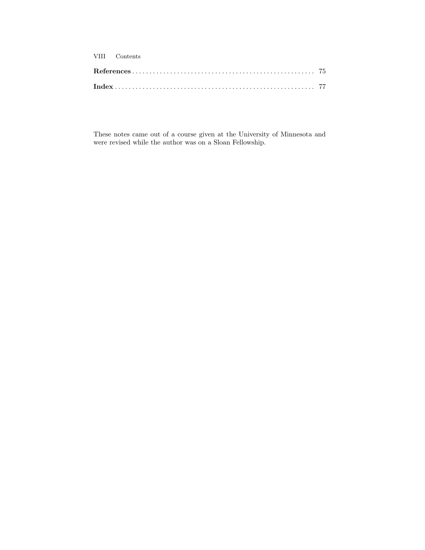| VIII Contents |  |
|---------------|--|
|               |  |
|               |  |

These notes came out of a course given at the University of Minnesota and were revised while the author was on a Sloan Fellowship.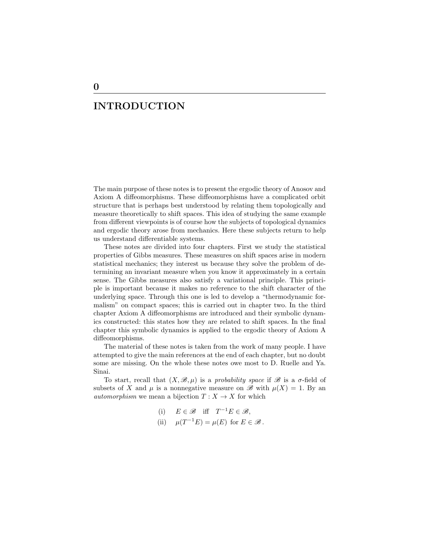# INTRODUCTION

The main purpose of these notes is to present the ergodic theory of Anosov and Axiom A diffeomorphisms. These diffeomorphisms have a complicated orbit structure that is perhaps best understood by relating them topologically and measure theoretically to shift spaces. This idea of studying the same example from different viewpoints is of course how the subjects of topological dynamics and ergodic theory arose from mechanics. Here these subjects return to help us understand differentiable systems.

These notes are divided into four chapters. First we study the statistical properties of Gibbs measures. These measures on shift spaces arise in modern statistical mechanics; they interest us because they solve the problem of determining an invariant measure when you know it approximately in a certain sense. The Gibbs measures also satisfy a variational principle. This principle is important because it makes no reference to the shift character of the underlying space. Through this one is led to develop a "thermodynamic formalism" on compact spaces; this is carried out in chapter two. In the third chapter Axiom A diffeomorphisms are introduced and their symbolic dynamics constructed: this states how they are related to shift spaces. In the final chapter this symbolic dynamics is applied to the ergodic theory of Axiom A diffeomorphisms.

The material of these notes is taken from the work of many people. I have attempted to give the main references at the end of each chapter, but no doubt some are missing. On the whole these notes owe most to D. Ruelle and Ya. Sinai.

To start, recall that  $(X, \mathcal{B}, \mu)$  is a probability space if  $\mathcal{B}$  is a  $\sigma$ -field of subsets of X and  $\mu$  is a nonnegative measure on  $\mathscr{B}$  with  $\mu(X) = 1$ . By an *automorphism* we mean a bijection  $T : X \to X$  for which

(i) 
$$
E \in \mathcal{B}
$$
 iff  $T^{-1}E \in \mathcal{B}$ ,  
\n(ii)  $\mu(T^{-1}E) = \mu(E)$  for  $E \in \mathcal{B}$ .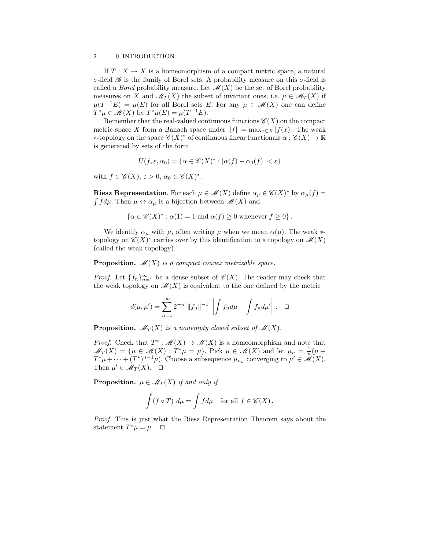## 2 0 INTRODUCTION

If  $T: X \to X$  is a homeomorphism of a compact metric space, a natural σ-field  $\mathscr B$  is the family of Borel sets. A probability measure on this σ-field is called a *Borel* probability measure. Let  $\mathcal{M}(X)$  be the set of Borel probability measures on X and  $\mathcal{M}_T(X)$  the subset of invariant ones, i.e.  $\mu \in \mathcal{M}_T(X)$  if  $\mu(T^{-1}E) = \mu(E)$  for all Borel sets E. For any  $\mu \in \mathcal{M}(X)$  one can define  $T^*\mu \in \mathcal{M}(X)$  by  $T^*\mu(E) = \mu(T^{-1}E)$ .

Remember that the real-valued continuous functions  $\mathscr{C}(X)$  on the compact metric space X form a Banach space under  $||f|| = \max_{x \in X} |f(x)|$ . The weak  $*$ -topology on the space  $\mathscr{C}(X)$ <sup>\*</sup> of continuous linear functionals  $\alpha : \mathscr{C}(X) \to \mathbb{R}$ is generated by sets of the form

$$
U(f, \varepsilon, \alpha_0) = \{ \alpha \in \mathscr{C}(X)^* : |\alpha(f) - \alpha_0(f)| < \varepsilon \}
$$

with  $f \in \mathscr{C}(X), \, \varepsilon > 0, \, \alpha_0 \in \mathscr{C}(X)^*$ .

**Riesz Representation**. For each  $\mu \in \mathcal{M}(X)$  define  $\alpha_{\mu} \in \mathcal{C}(X)^*$  by  $\alpha_{\mu}(f) =$  $\int f d\mu$ . Then  $\mu \leftrightarrow \alpha_{\mu}$  is a bijection between  $\mathscr{M}(X)$  and

$$
\{\alpha \in \mathscr{C}(X)^* : \alpha(1) = 1 \text{ and } \alpha(f) \ge 0 \text{ whenever } f \ge 0\}.
$$

We identify  $\alpha_{\mu}$  with  $\mu$ , often writing  $\mu$  when we mean  $\alpha(\mu)$ . The weak  $*$ topology on  $\mathscr{C}(X)^*$  carries over by this identification to a topology on  $\mathscr{M}(X)$ (called the weak topology).

**Proposition.**  $\mathcal{M}(X)$  is a compact convex metrizable space.

*Proof.* Let  ${f_n}_{n=1}^{\infty}$  be a dense subset of  $\mathscr{C}(X)$ . The reader may check that the weak topology on  $\mathcal{M}(X)$  is equivalent to the one defined by the metric

$$
d(\mu, \mu') = \sum_{n=1}^{\infty} 2^{-n} \|f_n\|^{-1} \left| \int f_n d\mu - \int f_n d\mu' \right| \quad \Box
$$

**Proposition.**  $\mathcal{M}_T(X)$  is a nonempty closed subset of  $\mathcal{M}(X)$ .

*Proof.* Check that  $T^* : \mathcal{M}(X) \to \mathcal{M}(X)$  is a homeomorphism and note that  $\mathcal{M}_T(X) = \{\mu \in \mathcal{M}(X) : T^*\mu = \mu\}.$  Pick  $\mu \in \mathcal{M}(X)$  and let  $\mu_n = \frac{1}{n}(\mu +$  $T^*\mu+\cdots+(T^*)^{n-1}\mu$ . Choose a subsequence  $\mu_{n_k}$  converging to  $\mu'\in\mathcal{M}(X)$ . Then  $\mu' \in \mathscr{M}_T(X)$ .  $\Box$ 

**Proposition.**  $\mu \in \mathcal{M}_T(X)$  if and only if

$$
\int (f \circ T) \ d\mu = \int f d\mu \quad \text{for all } f \in \mathscr{C}(X).
$$

Proof. This is just what the Riesz Representation Theorem says about the statement  $T^*\mu = \mu$ .  $\Box$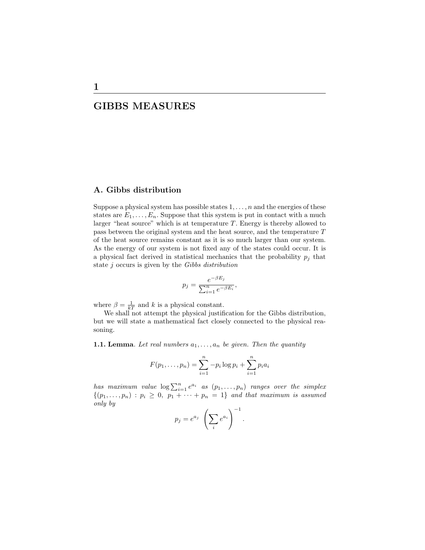# A. Gibbs distribution

Suppose a physical system has possible states  $1, \ldots, n$  and the energies of these states are  $E_1, \ldots, E_n$ . Suppose that this system is put in contact with a much larger "heat source" which is at temperature  $T$ . Energy is thereby allowed to pass between the original system and the heat source, and the temperature T of the heat source remains constant as it is so much larger than our system. As the energy of our system is not fixed any of the states could occur. It is a physical fact derived in statistical mechanics that the probability  $p_i$  that state  $j$  occurs is given by the Gibbs distribution

$$
p_j = \frac{e^{-\beta E_j}}{\sum_{i=1}^n e^{-\beta E_i}},
$$

where  $\beta = \frac{1}{kT}$  and k is a physical constant.

We shall not attempt the physical justification for the Gibbs distribution, but we will state a mathematical fact closely connected to the physical reasoning.

**1.1. Lemma**. Let real numbers  $a_1, \ldots, a_n$  be given. Then the quantity

$$
F(p_1, ..., p_n) = \sum_{i=1}^n -p_i \log p_i + \sum_{i=1}^n p_i a_i
$$

has maximum value  $\log \sum_{i=1}^{n} e^{a_i}$  as  $(p_1, \ldots, p_n)$  ranges over the simplex  $\{(p_1,\ldots,p_n): p_i \geq 0, p_1 + \cdots + p_n = 1\}$  and that maximum is assumed only by

$$
p_j = e^{a_j} \left( \sum_i e^{a_i} \right)^{-1}.
$$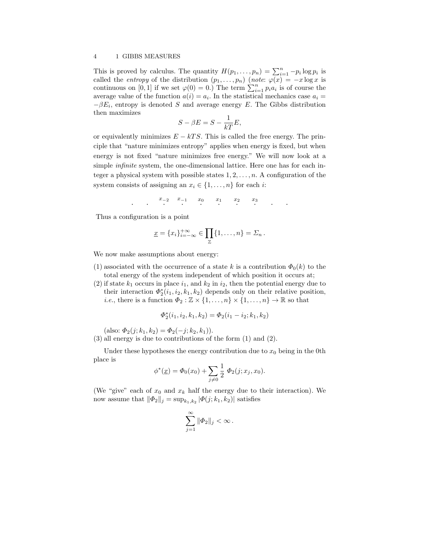This is proved by calculus. The quantity  $H(p_1, \ldots, p_n) = \sum_{i=1}^n -p_i \log p_i$  is called the *entropy* of the distribution  $(p_1, \ldots, p_n)$  (note:  $\varphi(x) = -x \log x$  is continuous on [0, 1] if we set  $\varphi(0) = 0$ .) The term  $\sum_{i=1}^{n} p_i a_i$  is of course the average value of the function  $a(i) = a_i$ . In the statistical mechanics case  $a_i =$  $-\beta E_i$ , entropy is denoted S and average energy E. The Gibbs distribution then maximizes

$$
S - \beta E = S - \frac{1}{kT}E,
$$

or equivalently minimizes  $E - kTS$ . This is called the free energy. The principle that "nature minimizes entropy" applies when energy is fixed, but when energy is not fixed "nature minimizes free energy." We will now look at a simple *infinite* system, the one-dimensional lattice. Here one has for each integer a physical system with possible states  $1, 2, \ldots, n$ . A configuration of the system consists of assigning an  $x_i \in \{1, \ldots, n\}$  for each *i*:

$$
x_{-2} \quad x_{-1} \quad x_0 \quad x_1 \quad x_2 \quad x_3
$$

Thus a configuration is a point

$$
\underline{x} = \{x_i\}_{i=-\infty}^{+\infty} \in \prod_{\mathbb{Z}} \{1, \ldots, n\} = \Sigma_n.
$$

We now make assumptions about energy:

- (1) associated with the occurrence of a state k is a contribution  $\Phi_0(k)$  to the total energy of the system independent of which position it occurs at;
- (2) if state  $k_1$  occurs in place  $i_1$ , and  $k_2$  in  $i_2$ , then the potential energy due to their interaction  $\Phi_2^*(i_1, i_2, k_1, k_2)$  depends only on their relative position, *i.e.*, there is a function  $\Phi_2 : \mathbb{Z} \times \{1, \ldots, n\} \times \{1, \ldots, n\} \to \mathbb{R}$  so that

$$
\varPhi_2^*(i_1,i_2,k_1,k_2)=\varPhi_2(i_1-i_2;k_1,k_2)
$$

(also:  $\Phi_2(j; k_1, k_2) = \Phi_2(-j; k_2, k_1)$ ).

(3) all energy is due to contributions of the form (1) and (2).

Under these hypotheses the energy contribution due to  $x_0$  being in the 0th place is

$$
\phi^*(\underline{x}) = \Phi_0(x_0) + \sum_{j \neq 0} \frac{1}{2} \Phi_2(j; x_j, x_0).
$$

(We "give" each of  $x_0$  and  $x_k$  half the energy due to their interaction). We now assume that  $\|\Phi_2\|_j = \sup_{k_1,k_2} |\Phi(j;k_1,k_2)|$  satisfies

$$
\sum_{j=1}^{\infty} \|\varPhi_2\|_j < \infty\,.
$$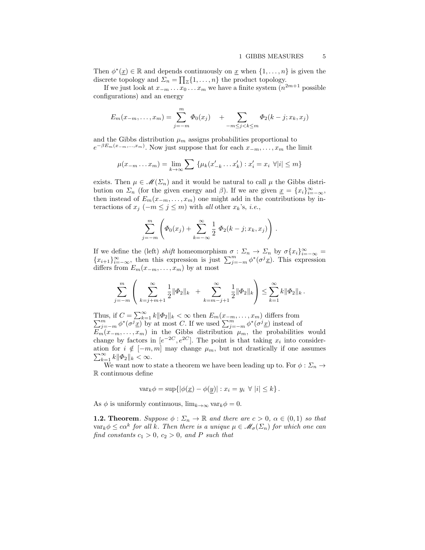Then  $\phi^*(\underline{x}) \in \mathbb{R}$  and depends continuously on  $\underline{x}$  when  $\{1, \ldots, n\}$  is given the discrete topology and  $\Sigma_n = \prod_{\mathbb{Z}} \{1, \ldots, n\}$  the product topology.

If we just look at  $x_{-m} \ldots x_0 \ldots x_m$  we have a finite system  $(n^{2m+1})$  possible configurations) and an energy

$$
E_m(x_{-m},...,x_m) = \sum_{j=-m}^m \Phi_0(x_j) + \sum_{-m \le j < k \le m} \Phi_2(k-j; x_k, x_j)
$$

and the Gibbs distribution  $\mu_m$  assigns probabilities proportional to  $e^{-\beta E_m(x_{-m},...,x_m)}$ . Now just suppose that for each  $x_{-m},\ldots,x_m$  the limit

$$
\mu(x_{-m}...x_m) = \lim_{k \to \infty} \sum \{ \mu_k(x'_{-k}...x'_k) : x'_i = x_i \ \forall |i| \le m \}
$$

exists. Then  $\mu \in \mathcal{M}(\Sigma_n)$  and it would be natural to call  $\mu$  the Gibbs distribution on  $\Sigma_n$  (for the given energy and  $\beta$ ). If we are given  $\underline{x} = \{x_i\}_{i=-\infty}^{\infty}$ , then instead of  $E_m(x_{-m}, \ldots, x_m)$  one might add in the contributions by interactions of  $x_j$  ( $-m \leq j \leq m$ ) with all other  $x_k$ 's, *i.e.*,

$$
\sum_{j=-m}^{m} \left( \Phi_0(x_j) + \sum_{k=-\infty}^{\infty} \frac{1}{2} \Phi_2(k-j; x_k, x_j) \right).
$$

If we define the (left) *shift* homeomorphism  $\sigma : \Sigma_n \to \Sigma_n$  by  $\sigma \{x_i\}_{i=-\infty}^{\infty}$  ${x_{i+1}}_{i=-\infty}^{\infty}$ , then this expression is just  $\sum_{j=-m}^{m} \phi^*(\sigma^j \underline{x})$ . This expression differs from  $E_m(x_{-m}, \ldots, x_m)$  by at most

$$
\sum_{j=-m}^{m} \left( \sum_{k=j+m+1}^{\infty} \frac{1}{2} \|\Phi_2\|_{k} + \sum_{k=m-j+1}^{\infty} \frac{1}{2} \|\Phi_2\|_{k} \right) \leq \sum_{k=1}^{\infty} k \|\Phi_2\|_{k}.
$$

Thus, if  $C = \sum_{k=1}^{\infty} \sum_{k=1}^{n}$ <br> $\sum_{i=-m}^{m} \phi^*(\sigma^j \underline{x})$  by nus, if  $C = \sum_{k=1}^{\infty} k \|\Phi_2\|_k < \infty$  then  $E_m(x_{-m}, \ldots, x_m)$  differs from  $\sum_{j=-m}^{m} \phi^*(\sigma^j \underline{x})$  by at most C. If we used  $\sum_{j=-m}^{m} \phi^*(\sigma^j \underline{x})$  instead of  $E_m(x_{-m},...,x_m)$  in the Gibbs distribution  $\mu_m$ , the probabilities would change by factors in  $[e^{-2C}, e^{2C}]$ . The point is that taking  $x_i$  into consider- $\sum_{k=1}^{\infty} k \|\Phi_2\|_k < \infty.$ ation for  $i \notin [-m, m]$  may change  $\mu_m$ , but not drastically if one assumes

We want now to state a theorem we have been leading up to. For  $\phi : \Sigma_n \to$ R continuous define

$$
\text{var}_k \phi = \sup \{ |\phi(\underline{x}) - \phi(y)| : x_i = y_i \ \forall \ |i| \le k \}.
$$

As  $\phi$  is uniformly continuous,  $\lim_{k\to\infty} \text{var}_k \phi = 0$ .

**1.2. Theorem**. Suppose  $\phi : \Sigma_n \to \mathbb{R}$  and there are  $c > 0$ ,  $\alpha \in (0,1)$  so that  $\text{var}_k \phi \leq c \alpha^k$  for all k. Then there is a unique  $\mu \in \mathscr{M}_\sigma(\Sigma_n)$  for which one can find constants  $c_1 > 0$ ,  $c_2 > 0$ , and P such that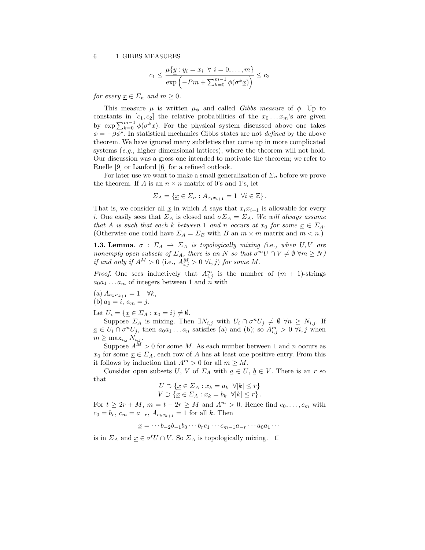$$
c_1 \le \frac{\mu\{y : y_i = x_i \ \forall \ i = 0, \dots, m\}}{\exp\left(-Pm + \sum_{k=0}^{m-1} \phi(\sigma^k \underline{x})\right)} \le c_2
$$

for every  $x \in \Sigma_n$  and  $m \geq 0$ .

This measure  $\mu$  is written  $\mu_{\phi}$  and called Gibbs measure of  $\phi$ . Up to constants in  $[c_1, c_2]$  the relative probabilities of the  $x_0 \dots x_m$ 's are given by  $\exp\sum_{k=0}^{m-1}\phi(\sigma^k\underline{x})$ . For the physical system discussed above one takes  $\phi = -\beta \phi^*$ . In statistical mechanics Gibbs states are not *defined* by the above theorem. We have ignored many subtleties that come up in more complicated systems  $(e, q, h)$  higher dimensional lattices), where the theorem will not hold. Our discussion was a gross one intended to motivate the theorem; we refer to Ruelle [9] or Lanford [6] for a refined outlook.

For later use we want to make a small generalization of  $\Sigma_n$  before we prove the theorem. If A is an  $n \times n$  matrix of 0's and 1's, let

$$
\Sigma_A = \{ \underline{x} \in \Sigma_n : A_{x_i x_{i+1}} = 1 \ \forall i \in \mathbb{Z} \}.
$$

That is, we consider all  $\underline{x}$  in which A says that  $x_i x_{i+1}$  is allowable for every i. One easily sees that  $\Sigma_A$  is closed and  $\sigma \Sigma_A = \Sigma_A$ . We will always assume that A is such that each k between 1 and n occurs at  $x_0$  for some  $\underline{x} \in \Sigma_A$ . (Otherwise one could have  $\Sigma_A = \Sigma_B$  with B an  $m \times m$  matrix and  $m < n$ .)

**1.3. Lemma.**  $\sigma : \Sigma_A \to \Sigma_A$  is topologically mixing (i.e., when U,V are nonempty open subsets of  $\Sigma_A$ , there is an N so that  $\sigma^m U \cap V \neq \emptyset \ \forall m \geq N$ ) if and only if  $A^M > 0$  (i.e.,  $A_{i,j}^M > 0$   $\forall i, j$ ) for some M.

*Proof.* One sees inductively that  $A_{i,j}^m$  is the number of  $(m + 1)$ -strings  $a_0a_1 \ldots a_m$  of integers between 1 and n with

(a) 
$$
A_{a_k a_{k+1}} = 1 \quad \forall k,
$$
  
(b)  $a_0 = i, a_m = j.$ 

Let  $U_i = \{ \underline{x} \in \Sigma_A : x_0 = i \} \neq \emptyset$ .

Suppose  $\Sigma_A$  is mixing. Then  $\exists N_{i,j}$  with  $U_i \cap \sigma^n U_j \neq \emptyset$   $\forall n \ge N_{i,j}$ . If  $\underline{a} \in U_i \cap \sigma^n U_j$ , then  $a_0 a_1 \ldots a_n$  satisfies (a) and (b); so  $A^m_{i,j} > 0$   $\forall i, j$  when  $m \geq \max_{i,j} N_{i,j}$ 

Suppose  $A^{\tilde{M}} > 0$  for some M. As each number between 1 and n occurs as  $x_0$  for some  $\underline{x} \in \Sigma_A$ , each row of A has at least one positive entry. From this it follows by induction that  $A^m > 0$  for all  $m \geq M$ .

Consider open subsets U, V of  $\Sigma_A$  with  $\underline{a} \in U$ ,  $\underline{b} \in V$ . There is an r so that  $U \supseteq \{x \in \Sigma : x \in \Sigma | k| \leq a\}$ 

$$
U \supset \{ \underline{x} \in \Sigma_A : x_k = a_k \quad \forall |k| \le r \}
$$
  

$$
V \supset \{ \underline{x} \in \Sigma_A : x_k = b_k \quad \forall |k| \le r \}.
$$

For  $t \geq 2r + M$ ,  $m = t - 2r \geq M$  and  $A<sup>m</sup> > 0$ . Hence find  $c_0, \ldots, c_m$  with  $c_0 = b_r, c_m = a_{-r}, A_{c_k,c_{k+1}} = 1$  for all k. Then

$$
\underline{x} = \cdots b_{-2}b_{-1}b_0 \cdots b_r c_1 \cdots c_{m-1}a_{-r} \cdots a_0 a_1 \cdots
$$

is in  $\Sigma_A$  and  $\underline{x} \in \sigma^t U \cap V$ . So  $\Sigma_A$  is topologically mixing.  $\square$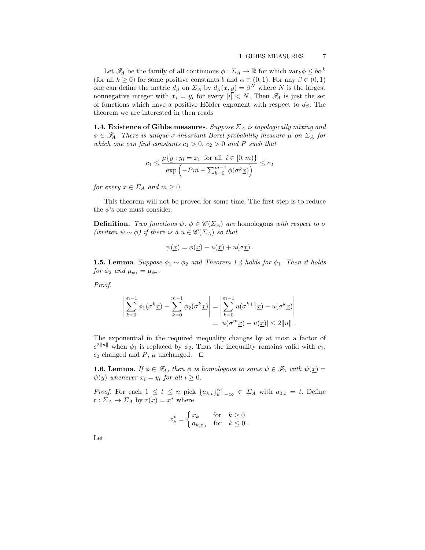Let  $\mathscr{F}_A$  be the family of all continuous  $\phi : \Sigma_A \to \mathbb{R}$  for which  $var_k \phi \leq b\alpha^k$ (for all  $k \geq 0$ ) for some positive constants b and  $\alpha \in (0, 1)$ . For any  $\beta \in (0, 1)$ one can define the metric  $d_{\beta}$  on  $\Sigma_A$  by  $d_{\beta}(\underline{x}, y) = \beta^N$  where N is the largest nonnegative integer with  $x_i = y_i$  for every  $|i| < N$ . Then  $\mathscr{T}_A$  is just the set of functions which have a positive Hölder exponent with respect to  $d_{\beta}$ . The theorem we are interested in then reads

**1.4. Existence of Gibbs measures**. Suppose  $\Sigma_A$  is topologically mixing and  $\phi \in \mathscr{F}_A$ . There is unique  $\sigma$ -invariant Borel probability measure  $\mu$  on  $\Sigma_A$  for which one can find constants  $c_1 > 0$ ,  $c_2 > 0$  and P such that

$$
c_1 \le \frac{\mu\{y : y_i = x_i \text{ for all } i \in [0, m)\}}{\exp\left(-Pm + \sum_{k=0}^{m-1} \phi(\sigma^k \underline{x})\right)} \le c_2
$$

for every  $\underline{x} \in \Sigma_A$  and  $m \geq 0$ .

This theorem will not be proved for some time. The first step is to reduce the  $\phi$ 's one must consider.

**Definition.** Two functions  $\psi$ ,  $\phi \in \mathscr{C}(\Sigma_A)$  are homologous with respect to  $\sigma$ (written  $\psi \sim \phi$ ) if there is a  $u \in \mathscr{C}(\Sigma_A)$  so that

$$
\psi(\underline{x}) = \phi(\underline{x}) - u(\underline{x}) + u(\sigma \underline{x}).
$$

**1.5. Lemma**. Suppose  $\phi_1 \sim \phi_2$  and Theorem 1.4 holds for  $\phi_1$ . Then it holds for  $\phi_2$  and  $\mu_{\phi_1} = \mu_{\phi_2}$ .

Proof.

$$
\left| \sum_{k=0}^{m-1} \phi_1(\sigma^k \underline{x}) - \sum_{k=0}^{m-1} \phi_2(\sigma^k \underline{x}) \right| = \left| \sum_{k=0}^{m-1} u(\sigma^{k+1} \underline{x}) - u(\sigma^k \underline{x}) \right|
$$
  
=  $|u(\sigma^m \underline{x}) - u(\underline{x})| \le 2||u||.$ 

The exponential in the required inequality changes by at most a factor of  $e^{2\|u\|}$  when  $\phi_1$  is replaced by  $\phi_2$ . Thus the inequality remains valid with  $c_1$ ,  $c_2$  changed and P,  $\mu$  unchanged.  $\Box$ 

**1.6. Lemma**. If  $\phi \in \mathscr{F}_A$ , then  $\phi$  is homologous to some  $\psi \in \mathscr{F}_A$  with  $\psi(\underline{x}) =$  $\psi(y)$  whenever  $x_i = y_i$  for all  $i \geq 0$ .

*Proof.* For each  $1 \leq t \leq n$  pick  $\{a_{k,t}\}_{k=-\infty}^{\infty} \in \Sigma_A$  with  $a_{0,t} = t$ . Define  $r: \Sigma_A \to \Sigma_A$  by  $r(\underline{x}) = \underline{x}^*$  where

$$
x_k^* = \begin{cases} x_k & \text{for} \quad k \ge 0 \\ a_{k,x_0} & \text{for} \quad k \le 0. \end{cases}
$$

Let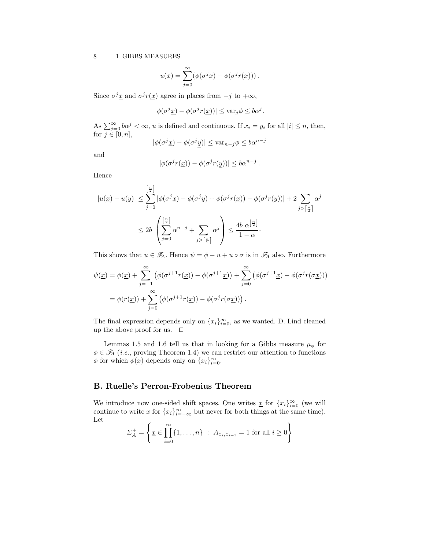$$
u(\underline{x}) = \sum_{j=0}^{\infty} (\phi(\sigma^j \underline{x}) - \phi(\sigma^j r(\underline{x}))).
$$

Since  $\sigma^j \underline{x}$  and  $\sigma^j r(\underline{x})$  agree in places from  $-j$  to  $+\infty$ ,

$$
|\phi(\sigma^j \underline{x}) - \phi(\sigma^j r(\underline{x}))| \leq \text{var}_j \phi \leq b\alpha^j
$$

.

As  $\sum_{j=0}^{\infty} b \alpha^j < \infty$ , u is defined and continuous. If  $x_i = y_i$  for all  $|i| \leq n$ , then, for  $j \in [0, n]$ ,

$$
|\phi(\sigma^j \underline{x}) - \phi(\sigma^j \underline{y})| \le \text{var}_{n-j} \phi \le b\alpha^{n-j}
$$

and

$$
|\phi(\sigma^j r(\underline{x})) - \phi(\sigma^j r(\underline{y}))| \le b\alpha^{n-j}.
$$

Hence

$$
|u(\underline{x}) - u(\underline{y})| \le \sum_{j=0}^{\left[\frac{n}{2}\right]} |\phi(\sigma^j \underline{x}) - \phi(\sigma^j \underline{y})| + \phi(\sigma^j r(\underline{x})) - \phi(\sigma^j r(\underline{y}))| + 2 \sum_{j > \left[\frac{n}{2}\right]} \alpha^j
$$
  

$$
\le 2b \left( \sum_{j=0}^{\left[\frac{n}{2}\right]} \alpha^{n-j} + \sum_{j > \left[\frac{n}{2}\right]} \alpha^j \right) \le \frac{4b \alpha^{\left[\frac{n}{2}\right]}}{1 - \alpha}.
$$

This shows that  $u \in \mathscr{F}_A$ . Hence  $\psi = \phi - u + u \circ \sigma$  is in  $\mathscr{F}_A$  also. Furthermore

$$
\psi(\underline{x}) = \phi(\underline{x}) + \sum_{j=-1}^{\infty} (\phi(\sigma^{j+1}r(\underline{x})) - \phi(\sigma^{j+1}\underline{x})) + \sum_{j=0}^{\infty} (\phi(\sigma^{j+1}\underline{x}) - \phi(\sigma^j r(\sigma \underline{x})))
$$
  
=  $\phi(r(\underline{x})) + \sum_{j=0}^{\infty} (\phi(\sigma^{j+1}r(\underline{x})) - \phi(\sigma^j r(\sigma \underline{x}))).$ 

The final expression depends only on  ${x_i}_{i=0}^{\infty}$ , as we wanted. D. Lind cleaned up the above proof for us.  $\Box$ 

Lemmas 1.5 and 1.6 tell us that in looking for a Gibbs measure  $\mu_\phi$  for  $\phi \in \mathscr{F}_A$  (*i.e.*, proving Theorem 1.4) we can restrict our attention to functions  $\phi$  for which  $\phi(\underline{x})$  depends only on  $\{x_i\}_{i=0}^{\infty}$ .

# B. Ruelle's Perron-Frobenius Theorem

We introduce now one-sided shift spaces. One writes  $\underline{x}$  for  $\{x_i\}_{i=0}^{\infty}$  (we will continue to write  $\underline{x}$  for  $\{x_i\}_{i=-\infty}^{\infty}$  but never for both things at the same time). Let

$$
\Sigma_A^+ = \left\{ \underline{x} \in \prod_{i=0}^{\infty} \{1, \dots, n\} \; : \; A_{x_i, x_{i+1}} = 1 \text{ for all } i \ge 0 \right\}
$$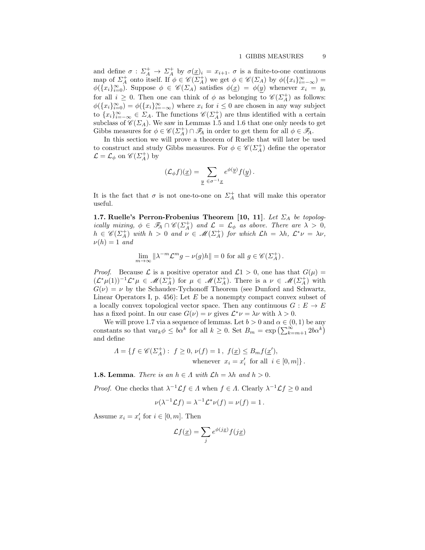and define  $\sigma : \Sigma_A^+ \to \Sigma_A^+$  by  $\sigma(\underline{x})_i = x_{i+1}$ .  $\sigma$  is a finite-to-one continuous map of  $\Sigma_A^+$  onto itself. If  $\phi \in \mathscr{C}(\Sigma_A^+)$  we get  $\phi \in \mathscr{C}(\Sigma_A)$  by  $\phi(\{x_i\}_{i=-\infty}^{\infty})=$  $\phi(\{x_i\}_{i=0}^{\infty})$ . Suppose  $\phi \in \mathscr{C}(\Sigma_A)$  satisfies  $\phi(\underline{x}) = \phi(\underline{y})$  whenever  $x_i = y_i$ for all  $i \geq 0$ . Then one can think of  $\phi$  as belonging to  $\mathscr{C}(\Sigma_A^+)$  as follows:  $\phi(\{x_i\}_{i=0}^{\infty}) = \phi(\{x_i\}_{i=-\infty}^{\infty})$  where  $x_i$  for  $i \leq 0$  are chosen in any way subject to  ${x_i}_{i=-\infty}^{\infty} \in \Sigma_A$ . The functions  $\mathscr{C}(\Sigma_A^+)$  are thus identified with a certain subclass of  $\mathscr{C}(\Sigma_A)$ . We saw in Lemmas 1.5 and 1.6 that one only needs to get Gibbs measures for  $\phi \in \mathscr{C}(\Sigma_A^+) \cap \mathscr{F}_A$  in order to get them for all  $\phi \in \mathscr{F}_A$ .

In this section we will prove a theorem of Ruelle that will later be used to construct and study Gibbs measures. For  $\phi \in \mathscr{C}(\Sigma_{A}^{+})$  define the operator  $\mathcal{L} = \mathcal{L}_{\phi}$  on  $\mathscr{C}(\Sigma_A^+)$  by

$$
(\mathcal{L}_{\phi}f)(\underline{x})=\sum_{\underline{y}\ \in \sigma^{-1}\underline{x}}e^{\phi(\underline{y})}f(\underline{y})\,.
$$

It is the fact that  $\sigma$  is not one-to-one on  $\Sigma_A^+$  that will make this operator useful.

1.7. Ruelle's Perron-Frobenius Theorem [10, 11]. Let  $\Sigma_A$  be topologically mixing,  $\phi \in \mathscr{F}_A \cap \mathscr{C}(\Sigma_A^+)$  and  $\mathcal{L} = \mathcal{L}_{\phi}$  as above. There are  $\lambda > 0$ ,  $h \in \mathscr{C}(\Sigma_A^+)$  with  $h > 0$  and  $v \in \mathscr{M}(\Sigma_A^+)$  for which  $\mathcal{L}h = \lambda h$ ,  $\mathcal{L}^*v = \lambda v$ ,  $\nu(h) = 1$  and

$$
\lim_{m \to \infty} \|\lambda^{-m} \mathcal{L}^m g - \nu(g)h\| = 0 \text{ for all } g \in \mathscr{C}(\Sigma_A^+).
$$

*Proof.* Because  $\mathcal L$  is a positive operator and  $\mathcal L_1 > 0$ , one has that  $G(\mu) =$  $(\mathcal{L}^*\mu(1))^{-1}\mathcal{L}^*\mu \in \mathscr{M}(\Sigma_A^+)$  for  $\mu \in \mathscr{M}(\Sigma_A^+)$ . There is a  $\nu \in \mathscr{M}(\Sigma_A^+)$  with  $G(\nu) = \nu$  by the Schauder-Tychonoff Theorem (see Dunford and Schwartz, Linear Operators I, p. 456): Let  $E$  be a nonempty compact convex subset of a locally convex topological vector space. Then any continuous  $G : E \to E$ has a fixed point. In our case  $G(\nu) = \nu$  gives  $\mathcal{L}^* \nu = \lambda \nu$  with  $\lambda > 0$ .

We will prove 1.7 via a sequence of lemmas. Let  $b > 0$  and  $\alpha \in (0, 1)$  be any constants so that  $var_k \phi \leq b\alpha^k$  for all  $k \geq 0$ . Set  $B_m = \exp\left(\sum_{k=m+1}^{\infty} 2b\alpha^k\right)$ and define

$$
\begin{split} \varLambda &= \{f \in \mathscr{C}(\varSigma_A^+) : \hspace{0.2cm} f \geq 0, \, \nu(f) = 1 \, , \, \, f(\underline{x}) \leq B_m f(\underline{x}'), \\ & \qquad \qquad \text{whenever} \hspace{0.2cm} x_i = x_i' \hspace{0.2cm} \text{for all} \hspace{0.2cm} i \in [0,m] \} \, . \end{split}
$$

**1.8. Lemma**. There is an  $h \in \Lambda$  with  $\mathcal{L}h = \lambda h$  and  $h > 0$ .

*Proof.* One checks that  $\lambda^{-1} \mathcal{L}f \in \Lambda$  when  $f \in \Lambda$ . Clearly  $\lambda^{-1} \mathcal{L}f \geq 0$  and

$$
\nu(\lambda^{-1}\mathcal{L}f) = \lambda^{-1}\mathcal{L}^*\nu(f) = \nu(f) = 1.
$$

Assume  $x_i = x'_i$  for  $i \in [0, m]$ . Then

$$
\mathcal{L}f(\underline{x}) = \sum_{j} e^{\phi(j\underline{x})} f(j\underline{x})
$$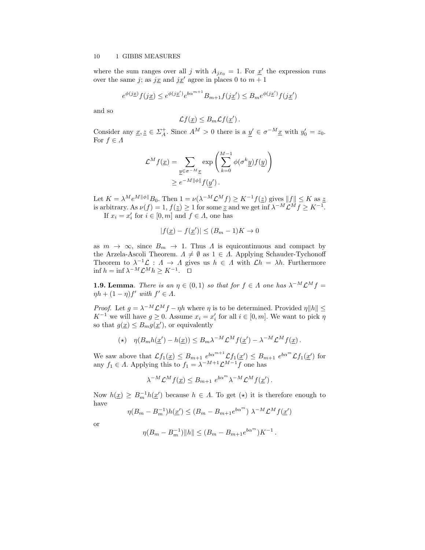where the sum ranges over all j with  $A_{jx_0} = 1$ . For  $\underline{x}'$  the expression runs over the same j; as  $j\underline{x}$  and  $j\underline{x}^{\prime}$  agree in places 0 to  $m + 1$ 

$$
e^{\phi(j\underline{x})}f(j\underline{x}) \le e^{\phi(j\underline{x}')}e^{b\alpha^{m+1}}B_{m+1}f(j\underline{x}') \le B_me^{\phi(j\underline{x}')}f(j\underline{x}')
$$

and so

$$
\mathcal{L}f(\underline{x}) \leq B_m \mathcal{L}f(\underline{x}').
$$

Consider any  $\underline{x}, \underline{z} \in \Sigma_A^+$ . Since  $A^M > 0$  there is a  $\underline{y}' \in \sigma^{-M} \underline{x}$  with  $y'_0 = z_0$ . For  $f \in \Lambda$ 

$$
\mathcal{L}^M f(\underline{x}) = \sum_{\underline{y} \in \sigma^{-M} \underline{x}} \exp \left( \sum_{k=0}^{M-1} \phi(\sigma^k \underline{y}) f(\underline{y}) \right)
$$
  
 
$$
\geq e^{-M \|\phi\|} f(\underline{y}').
$$

Let  $K = \lambda^M e^{M ||\phi||} B_0$ . Then  $1 = \nu(\lambda^{-M} \mathcal{L}^M f) \geq K^{-1} f(\underline{z})$  gives  $||f|| \leq K$  as  $\underline{z}$ is arbitrary. As  $\nu(f) = 1, f(\underline{z}) \geq 1$  for some  $\underline{z}$  and we get inf  $\lambda^{-M} \mathcal{L}^M f \geq K^{-1}$ .

If  $x_i = x'_i$  for  $i \in [0, m]$  and  $f \in \Lambda$ , one has

$$
|f(\underline{x}) - f(\underline{x}')| \le (B_m - 1)K \to 0
$$

as  $m \to \infty$ , since  $B_m \to 1$ . Thus  $\Lambda$  is equicontinuous and compact by the Arzela-Ascoli Theorem.  $\Lambda \neq \emptyset$  as  $1 \in \Lambda$ . Applying Schauder-Tychonoff Theorem to  $\lambda^{-1}\mathcal{L}: A \to A$  gives us  $h \in A$  with  $\mathcal{L}h = \lambda h$ . Furthermore  $\inf h = \inf \lambda^{-M} \mathcal{L}^M h \geq K^{-1}$ .  $\Box$ 

**1.9. Lemma**. There is an  $\eta \in (0,1)$  so that for  $f \in \Lambda$  one has  $\lambda^{-M} \mathcal{L}^M f =$  $\eta h + (1 - \eta)f'$  with  $f' \in \Lambda$ .

*Proof.* Let  $g = \lambda^{-M} \mathcal{L}^M f - \eta h$  where  $\eta$  is to be determined. Provided  $\eta \|h\| \leq$  $K^{-1}$  we will have  $g \geq 0$ . Assume  $x_i = x'_i$  for all  $i \in [0, m]$ . We want to pick  $\eta$ so that  $g(\underline{x}) \leq B_m g(\underline{x}')$ , or equivalently

$$
(\star) \quad \eta(B_m h(\underline{x}') - h(\underline{x})) \leq B_m \lambda^{-M} \mathcal{L}^M f(\underline{x}') - \lambda^{-M} \mathcal{L}^M f(\underline{x}) \, .
$$

We saw above that  $\mathcal{L}f_1(\underline{x}) \leq B_{m+1} e^{b\alpha^{m+1}} \mathcal{L}f_1(\underline{x}') \leq B_{m+1} e^{b\alpha^{m}} \mathcal{L}f_1(\underline{x}')$  for any  $f_1 \in \Lambda$ . Applying this to  $f_1 = \lambda^{-M+1} \mathcal{L}^{M-1} f$  one has

$$
\lambda^{-M} \mathcal{L}^M f(\underline{x}) \leq B_{m+1} e^{b\alpha^m} \lambda^{-M} \mathcal{L}^M f(\underline{x}').
$$

Now  $h(\underline{x}) \geq B_m^{-1} h(\underline{x}')$  because  $h \in \Lambda$ . To get  $(\star)$  it is therefore enough to have

$$
\eta(B_m - B_m^{-1})h(\underline{x}') \le (B_m - B_{m+1}e^{b\alpha^m}) \lambda^{-M} \mathcal{L}^M f(\underline{x}')
$$

or

$$
\eta(B_m - B_m^{-1})||h|| \le (B_m - B_{m+1}e^{b\alpha^m})K^{-1}.
$$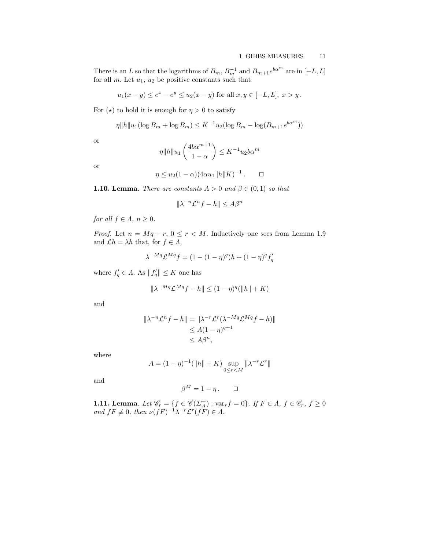There is an L so that the logarithms of  $B_m$ ,  $B_m^{-1}$  and  $B_{m+1}e^{b\alpha^m}$  are in  $[-L, L]$ for all  $m$ . Let  $u_1$ ,  $u_2$  be positive constants such that

$$
u_1(x - y) \le e^x - e^y \le u_2(x - y)
$$
 for all  $x, y \in [-L, L], x > y$ .

For  $(\star)$  to hold it is enough for  $\eta > 0$  to satisfy

$$
\eta \|h\| u_1(\log B_m + \log B_m) \le K^{-1} u_2(\log B_m - \log(B_{m+1}e^{b\alpha^m}))
$$

or

$$
\eta \|h\| u_1 \left(\frac{4b\alpha^{m+1}}{1-\alpha}\right) \leq K^{-1} u_2 b \alpha^m
$$

or

$$
\eta \le u_2(1-\alpha)(4\alpha u_1||h||K)^{-1} . \qquad \Box
$$

**1.10. Lemma**. There are constants  $A > 0$  and  $\beta \in (0,1)$  so that

$$
\|\lambda^{-n}\mathcal{L}^n f - h\| \le A\beta^n
$$

for all  $f \in A$ ,  $n \geq 0$ .

*Proof.* Let  $n = Mq + r$ ,  $0 \le r < M$ . Inductively one sees from Lemma 1.9 and  $\mathcal{L}h = \lambda h$  that, for  $f \in \Lambda$ ,

$$
\lambda^{-Mq} \mathcal{L}^{Mq} f = (1 - (1 - \eta)^q) h + (1 - \eta)^q f'_q
$$

where  $f'_q \in A$ . As  $||f'_q|| \leq K$  one has

$$
\|\lambda^{-Mq}\mathcal{L}^{Mq}f - h\| \le (1-\eta)^q(\|h\| + K)
$$

and

$$
\|\lambda^{-n}\mathcal{L}^n f - h\| = \|\lambda^{-r}\mathcal{L}^r(\lambda^{-Mq}\mathcal{L}^{Mq}f - h)\|
$$
  
\n
$$
\leq A(1 - \eta)^{q+1}
$$
  
\n
$$
\leq A\beta^n,
$$

where

$$
A = (1 - \eta)^{-1} (||h|| + K) \sup_{0 \le r < M} ||\lambda^{-r} \mathcal{L}^r||
$$

and

$$
\beta^M = 1 - \eta \, . \qquad \Box
$$

**1.11. Lemma**. Let  $\mathcal{C}_r = \{f \in \mathcal{C}(\Sigma_A^+) : \text{var}_r f = 0\}$ . If  $F \in \Lambda$ ,  $f \in \mathcal{C}_r$ ,  $f \geq 0$ and  $fF \not\equiv 0$ , then  $\nu(fF)^{-1}\lambda^{-r}\mathcal{L}^r(fF) \in \Lambda$ .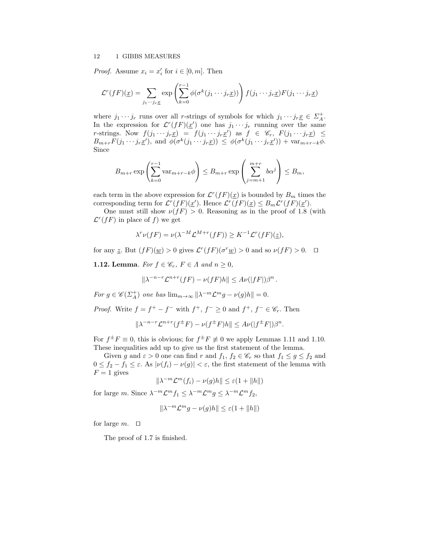*Proof.* Assume  $x_i = x'_i$  for  $i \in [0, m]$ . Then

$$
\mathcal{L}^r(fF)(\underline{x}) = \sum_{j_1\cdots j_r \underline{x}} \exp\left(\sum_{k=0}^{r-1} \phi(\sigma^k(j_1\cdots j_r \underline{x}))\right) f(j_1\cdots j_r \underline{x}) F(j_1\cdots j_r \underline{x})
$$

where  $j_1 \cdots j_r$  runs over all r-strings of symbols for which  $j_1 \cdots j_r \underline{x} \in \Sigma_A^+$ . In the expression for  $\mathcal{L}^r(fF)(\underline{x}')$  one has  $j_1 \cdots j_r$  running over the same r-strings. Now  $f(j_1 \cdots j_r \underline{x}) = f(j_1 \cdots j_r \underline{x}')$  as  $f \in \mathscr{C}_r$ ,  $F(j_1 \cdots j_r \underline{x}) \leq$  $B_{m+r}F(j_1\cdots j_r\underline{x}'),$  and  $\phi(\sigma^k(j_1\cdots j_r\underline{x})) \leq \phi(\sigma^k(j_1\cdots j_r\underline{x}')) + \text{var}_{m+r-k}\phi.$ Since

$$
B_{m+r} \exp\left(\sum_{k=0}^{r-1} \text{var}_{m+r-k} \phi\right) \leq B_{m+r} \exp\left(\sum_{j=m+1}^{m+r} b\alpha^j\right) \leq B_m,
$$

each term in the above expression for  $\mathcal{L}^r(fF)(\underline{x})$  is bounded by  $B_m$  times the corresponding term for  $\mathcal{L}^r(fF)(\underline{x}')$ . Hence  $\mathcal{L}^r(fF)(\underline{x}) \leq B_m \mathcal{L}^r(fF)(\underline{x}')$ .

One must still show  $\nu(fF) > 0$ . Reasoning as in the proof of 1.8 (with  $\mathcal{L}^r(fF)$  in place of f) we get

$$
\lambda^r \nu(fF) = \nu(\lambda^{-M} \mathcal{L}^{M+r}(fF)) \ge K^{-1} \mathcal{L}^r(fF)(\underline{z}),
$$

for any <u>z</u>. But  $(fF)(\underline{w}) > 0$  gives  $\mathcal{L}^r(fF)(\sigma^r \underline{w}) > 0$  and so  $\nu(fF) > 0$ .  $\Box$ 

**1.12. Lemma.** For  $f \in \mathcal{C}_r$ ,  $F \in \Lambda$  and  $n \geq 0$ ,

$$
\|\lambda^{-n-r} \mathcal{L}^{n+r}(fF) - \nu(fF)h\| \leq A\nu(|fF|)\beta^n.
$$

For  $g \in \mathscr{C}(\Sigma_A^+)$  one has  $\lim_{m\to\infty} \|\lambda^{-m}\mathcal{L}^mg - \nu(g)h\| = 0.$ 

*Proof.* Write  $f = f^+ - f^-$  with  $f^+, f^- \ge 0$  and  $f^+, f^- \in \mathscr{C}_r$ . Then

$$
\|\lambda^{-n-r} \mathcal{L}^{n+r}(f^{\pm}F) - \nu(f^{\pm}F)h\| \leq A\nu(|f^{\pm}F|)\beta^n.
$$

For  $f^{\pm}F \equiv 0$ , this is obvious; for  $f^{\pm}F \not\equiv 0$  we apply Lemmas 1.11 and 1.10. These inequalities add up to give us the first statement of the lemma.

Given g and  $\varepsilon > 0$  one can find r and  $f_1, f_2 \in \mathscr{C}_r$  so that  $f_1 \leq g \leq f_2$  and  $0 \le f_2 - f_1 \le \varepsilon$ . As  $|\nu(f_i) - \nu(g)| < \varepsilon$ , the first statement of the lemma with  $F = 1$  gives

$$
\|\lambda^{-m}\mathcal{L}^m(f_i) - \nu(g)h\| \le \varepsilon(1 + \|h\|)
$$

for large *m*. Since  $\lambda^{-m} \mathcal{L}^m f_1 \leq \lambda^{-m} \mathcal{L}^m g \leq \lambda^{-m} \mathcal{L}^m f_2$ ,

$$
\|\lambda^{-m}\mathcal{L}^mg - \nu(g)h\| \le \varepsilon(1 + \|h\|)
$$

for large  $m$ .  $\square$ 

The proof of 1.7 is finished.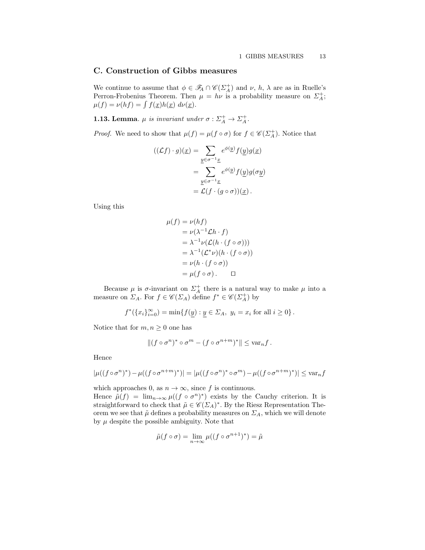# C. Construction of Gibbs measures

We continue to assume that  $\phi \in \mathscr{F}_A \cap \mathscr{C}(\Sigma_A^+)$  and  $\nu$ ,  $h$ ,  $\lambda$  are as in Ruelle's Perron-Frobenius Theorem. Then  $\mu = h\nu$  is a probability measure on  $\Sigma_A^+$ ;  $\mu(f) = \nu(hf) = \int f(\underline{x})h(\underline{x}) \ d\nu(\underline{x}).$ 

**1.13. Lemma**.  $\mu$  is invariant under  $\sigma : \Sigma_A^+ \to \Sigma_A^+$ .

*Proof.* We need to show that  $\mu(f) = \mu(f \circ \sigma)$  for  $f \in \mathscr{C}(\Sigma_A^+)$ . Notice that

$$
((\mathcal{L}f) \cdot g)(\underline{x}) = \sum_{\underline{y} \in \sigma^{-1}\underline{x}} e^{\phi(\underline{y})} f(\underline{y}) g(\underline{x})
$$

$$
= \sum_{\underline{y} \in \sigma^{-1}\underline{x}} e^{\phi(\underline{y})} f(\underline{y}) g(\sigma \underline{y})
$$

$$
= \mathcal{L}(f \cdot (g \circ \sigma))(\underline{x}).
$$

Using this

$$
\mu(f) = \nu(hf)
$$
  
=  $\nu(\lambda^{-1}Lh \cdot f)$   
=  $\lambda^{-1}\nu(\mathcal{L}(h \cdot (f \circ \sigma)))$   
=  $\lambda^{-1}(\mathcal{L}^*\nu)(h \cdot (f \circ \sigma))$   
=  $\nu(h \cdot (f \circ \sigma))$   
=  $\mu(f \circ \sigma)$ .

Because  $\mu$  is  $\sigma$ -invariant on  $\Sigma_A^+$  there is a natural way to make  $\mu$  into a measure on  $\Sigma_A$ . For  $f \in \mathscr{C}(\Sigma_A)$  define  $f^* \in \mathscr{C}(\Sigma_A^+)$  by

$$
f^*(\{x_i\}_{i=0}^{\infty}) = \min\{f(\underline{y}) : \underline{y} \in \Sigma_A, \ y_i = x_i \text{ for all } i \ge 0\}.
$$

Notice that for  $m, n \geq 0$  one has

$$
||(f \circ \sigma^n)^* \circ \sigma^m - (f \circ \sigma^{n+m})^*|| \leq \text{var}_n f.
$$

Hence

$$
|\mu((f\circ\sigma^n)^*) - \mu((f\circ\sigma^{n+m})^*)| = |\mu((f\circ\sigma^n)^*\circ\sigma^m) - \mu((f\circ\sigma^{n+m})^*)| \le \text{var}_n f
$$

which approaches 0, as  $n \to \infty$ , since f is continuous. Hence  $\tilde{\mu}(f) = \lim_{n \to \infty} \mu((f \circ \sigma^n)^*)$  exists by the Cauchy criterion. It is straightforward to check that  $\tilde{\mu} \in \mathscr{C}(\Sigma_A)^*$ . By the Riesz Representation Theorem we see that  $\tilde{\mu}$  defines a probability measures on  $\Sigma_A$ , which we will denote by  $\mu$  despite the possible ambiguity. Note that

$$
\tilde{\mu}(f \circ \sigma) = \lim_{n \to \infty} \mu((f \circ \sigma^{n+1})^*) = \tilde{\mu}
$$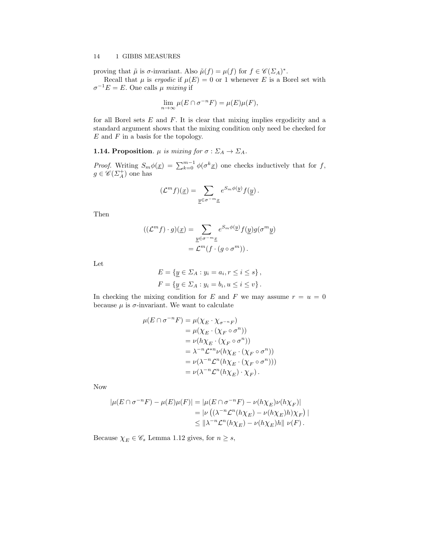proving that  $\tilde{\mu}$  is  $\sigma$ -invariant. Also  $\tilde{\mu}(f) = \mu(f)$  for  $f \in \mathscr{C}(\Sigma_A)^*$ .

Recall that  $\mu$  is ergodic if  $\mu(E) = 0$  or 1 whenever E is a Borel set with  $\sigma^{-1}E = E$ . One calls  $\mu$  mixing if

$$
\lim_{n \to \infty} \mu(E \cap \sigma^{-n} F) = \mu(E)\mu(F),
$$

for all Borel sets  $E$  and  $F$ . It is clear that mixing implies ergodicity and a standard argument shows that the mixing condition only need be checked for  $E$  and  $F$  in a basis for the topology.

**1.14. Proposition**.  $\mu$  is mixing for  $\sigma : \Sigma_A \to \Sigma_A$ .

*Proof.* Writing  $S_m \phi(\underline{x}) = \sum_{k=0}^{m-1} \phi(\sigma^k \underline{x})$  one checks inductively that for f,  $g \in \mathscr{C}(\Sigma_{A}^{+})$  one has

$$
(\mathcal{L}^m f)(\underline{x}) = \sum_{\underline{y} \in \sigma^{-m} \underline{x}} e^{S_m \phi(\underline{y})} f(\underline{y}).
$$

Then

$$
((\mathcal{L}^m f) \cdot g)(\underline{x}) = \sum_{\underline{y} \in \sigma^{-m} \underline{x}} e^{S_m \phi(\underline{y})} f(\underline{y}) g(\sigma^m \underline{y})
$$

$$
= \mathcal{L}^m (f \cdot (g \circ \sigma^m)).
$$

Let

$$
E = \{ \underline{y} \in \Sigma_A : y_i = a_i, r \le i \le s \},
$$
  

$$
F = \{ y \in \Sigma_A : y_i = b_i, u \le i \le v \}.
$$

In checking the mixing condition for E and F we may assume  $r = u = 0$ because  $\mu$  is  $\sigma$ -invariant. We want to calculate

$$
\mu(E \cap \sigma^{-n} F) = \mu(\chi_E \cdot \chi_{\sigma^{-n} F})
$$
  
=  $\mu(\chi_E \cdot (\chi_F \circ \sigma^n))$   
=  $\nu(h\chi_E \cdot (\chi_F \circ \sigma^n))$   
=  $\lambda^{-n} \mathcal{L}^{*n} \nu(h\chi_E \cdot (\chi_F \circ \sigma^n))$   
=  $\nu(\lambda^{-n} \mathcal{L}^n(h\chi_E \cdot (\chi_F \circ \sigma^n)))$   
=  $\nu(\lambda^{-n} \mathcal{L}^n(h\chi_E) \cdot \chi_F).$ 

Now

$$
|\mu(E \cap \sigma^{-n} F) - \mu(E)\mu(F)| = |\mu(E \cap \sigma^{-n} F) - \nu(h\chi_E)\nu(h\chi_F)|
$$
  
= 
$$
|\nu((\lambda^{-n} \mathcal{L}^n(h\chi_E) - \nu(h\chi_E)h)\chi_F)|
$$
  

$$
\leq ||\lambda^{-n} \mathcal{L}^n(h\chi_E) - \nu(h\chi_E)h|| \nu(F).
$$

Because  $\chi_E \in \mathscr{C}_s$  Lemma 1.12 gives, for  $n \geq s$ ,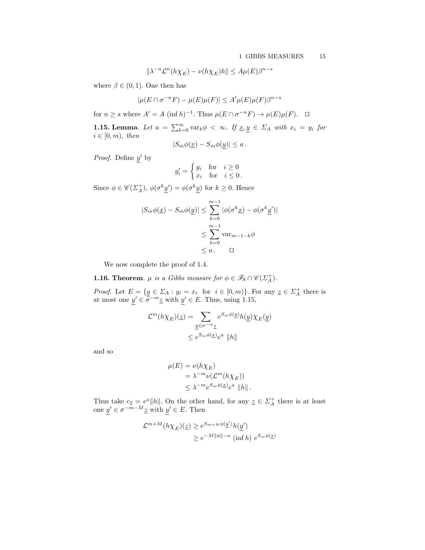$$
\|\lambda^{-n}\mathcal{L}^n(h\chi_E) - \nu(h\chi_E)h\| \leq A\mu(E)\beta^{n-s}
$$

where  $\beta \in (0,1)$ . One then has

$$
|\mu(E \cap \sigma^{-n}F) - \mu(E)\mu(F)| \le A'\mu(E)\mu(F)\beta^{n-s}
$$

for  $n \geq s$  where  $A' = A$  (inf h)<sup>-1</sup>. Thus  $\mu(E \cap \sigma^{-n} F) \to \mu(E)\mu(F)$ .  $\Box$ 

**1.15. Lemma**. Let  $a = \sum_{k=0}^{\infty} \text{var}_k \phi < \infty$ . If  $\underline{x}, \underline{y} \in \Sigma_A$  with  $x_i = y_i$  for  $i \in [0, m)$ , then

$$
|S_m\phi(\underline{x}) - S_m\phi(\underline{y})| \le a.
$$

*Proof.* Define  $y'$  by

$$
y_i' = \begin{cases} y_i & \text{for } i \ge 0 \\ x_i & \text{for } i \le 0. \end{cases}
$$

Since  $\phi \in \mathscr{C}(\Sigma_{A}^{+}), \phi(\sigma^{k}\underline{y}') = \phi(\sigma^{k}\underline{y})$  for  $k \geq 0$ . Hence

$$
|S_m\phi(\underline{x}) - S_m\phi(\underline{y})| \le \sum_{k=0}^{m-1} |\phi(\sigma^k \underline{x}) - \phi(\sigma^k \underline{y}')|
$$
  

$$
\le \sum_{k=0}^{m-1} \text{var}_{m-1-k}\phi
$$
  

$$
\le a. \quad \Box
$$

We now complete the proof of 1.4.

**1.16. Theorem**.  $\mu$  is a Gibbs measure for  $\phi \in \mathscr{F}_A \cap \mathscr{C}(\Sigma_A^+)$ .

*Proof.* Let  $E = \{ \underline{y} \in \Sigma_A : y_i = x_i \text{ for } i \in [0, m) \}.$  For any  $\underline{z} \in \Sigma_A^+$  there is at most one  $y' \in \overline{\sigma}^{-m} \underline{z}$  with  $y' \in E$ . Thus, using 1.15,

$$
\mathcal{L}^m(h\chi_E)(\underline{z}) = \sum_{\underline{y} \in \sigma^{-m} \underline{z}} e^{S_m \phi(\underline{y})} h(\underline{y}) \chi_E(\underline{y})
$$
  

$$
\leq e^{S_m \phi(\underline{x})} e^{a} ||h||
$$

and so

$$
\mu(E) = \nu(h\chi_E)
$$
  
=  $\lambda^{-m}\nu(\mathcal{L}^m(h\chi_E))$   
 $\leq \lambda^{-m}e^{S_m\phi(\underline{x})}e^a \Vert h \Vert.$ 

Thus take  $c_2 = e^a ||h||$ . On the other hand, for any  $\leq \in \Sigma_A^+$  there is at least one  $y' \in \sigma^{-m-M}$  *z* with  $y' \in E$ . Then

$$
\mathcal{L}^{m+M}(h\chi_E)(\underline{z}) \ge e^{S_{m+M}\phi(\underline{y}')}h(\underline{y}')\n\n\ge e^{-M\|\phi\|-a} \text{ (inf } h) e^{S_m\phi(\underline{x})}
$$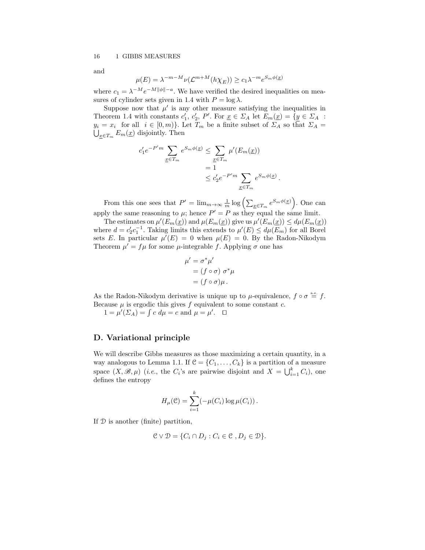and

$$
\mu(E) = \lambda^{-m-M} \nu(\mathcal{L}^{m+M}(h\chi_E)) \ge c_1 \lambda^{-m} e^{S_m \phi(\underline{x})}
$$

where  $c_1 = \lambda^{-M} e^{-M||\phi|| - a}$ . We have verified the desired inequalities on measures of cylinder sets given in 1.4 with  $P = \log \lambda$ .

Suppose now that  $\mu'$  is any other measure satisfying the inequalities in Theorem 1.4 with constants  $c'_1, c'_2, P'$ . For  $\underline{x} \in \Sigma_A$  let  $E_m(\underline{x}) = \{ \underline{y} \in \Sigma_A :$  $y_i = x_i$  for all  $i \in [0, m)$ . Let  $T_m$  be a finite subset of  $\Sigma_A$  so that  $\Sigma_A =$  $\bigcup_{\underline{x}\in T_m} E_m(\underline{x})$  disjointly. Then

$$
c'_1 e^{-P'm} \sum_{\underline{x} \in T_m} e^{S_m \phi(\underline{x})} \le \sum_{\underline{x} \in T_m} \mu'(E_m(\underline{x}))
$$
  
= 1  

$$
\le c'_2 e^{-P'm} \sum_{\underline{x} \in T_m} e^{S_m \phi(\underline{x})}
$$

.

From this one sees that  $P' = \lim_{m \to \infty} \frac{1}{m} \log \left( \sum_{\underline{x} \in T_m} e^{S_m \phi(\underline{x})} \right)$ . One can apply the same reasoning to  $\mu$ ; hence  $P' = P$  as they equal the same limit.

The estimates on  $\mu'(E_m(\underline{x}))$  and  $\mu(E_m(\underline{x}))$  give us  $\mu'(E_m(\underline{x})) \leq d\mu(E_m(\underline{x}))$ where  $d = c_2' c_1^{-1}$ . Taking limits this extends to  $\mu'(E) \leq d\mu(E_m)$  for all Borel sets E. In particular  $\mu'(E) = 0$  when  $\mu(E) = 0$ . By the Radon-Nikodym Theorem  $\mu' = f\mu$  for some  $\mu$ -integrable f. Applying  $\sigma$  one has

$$
\mu' = \sigma^* \mu'
$$
  
=  $(f \circ \sigma) \sigma^* \mu$   
=  $(f \circ \sigma) \mu$ .

As the Radon-Nikodym derivative is unique up to  $\mu$ -equivalence,  $f \circ \sigma \stackrel{\text{a.e.}}{=} f$ . Because  $\mu$  is ergodic this gives f equivalent to some constant c.

 $1 = \mu'(\Sigma_A) = \int c \ d\mu = c$  and  $\mu = \mu'. \quad \Box$ 

# D. Variational principle

We will describe Gibbs measures as those maximizing a certain quantity, in a way analogous to Lemma 1.1. If  $\mathcal{C} = \{C_1, \ldots, C_k\}$  is a partition of a measure space  $(X, \mathscr{B}, \mu)$  (*i.e.*, the  $C_i$ 's are pairwise disjoint and  $X = \bigcup_{i=1}^k C_i$ ), one defines the entropy

$$
H_{\mu}(\mathcal{C}) = \sum_{i=1}^{k} (-\mu(C_i) \log \mu(C_i)).
$$

If  $D$  is another (finite) partition,

$$
\mathcal{C} \vee \mathcal{D} = \{C_i \cap D_j : C_i \in \mathcal{C}, D_j \in \mathcal{D}\}.
$$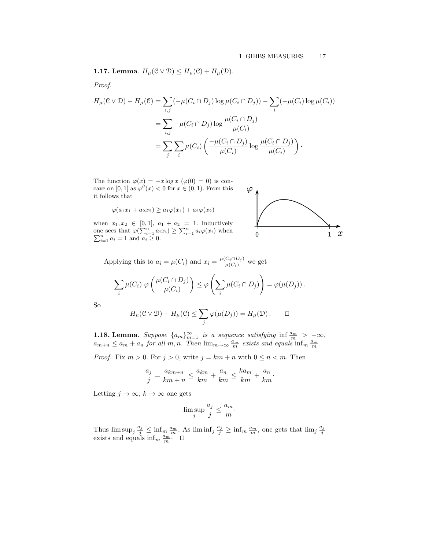**1.17. Lemma.**  $H_{\mu}(\mathcal{C} \vee \mathcal{D}) \leq H_{\mu}(\mathcal{C}) + H_{\mu}(\mathcal{D})$ .

Proof.

$$
H_{\mu}(\mathcal{C} \vee \mathcal{D}) - H_{\mu}(\mathcal{C}) = \sum_{i,j} (-\mu(C_i \cap D_j) \log \mu(C_i \cap D_j)) - \sum_{i} (-\mu(C_i) \log \mu(C_i))
$$
  

$$
= \sum_{i,j} -\mu(C_i \cap D_j) \log \frac{\mu(C_i \cap D_j)}{\mu(C_i)}
$$
  

$$
= \sum_{j} \sum_{i} \mu(C_i) \left( \frac{-\mu(C_i \cap D_j)}{\mu(C_i)} \log \frac{\mu(C_i \cap D_j)}{\mu(C_i)} \right).
$$

The function  $\varphi(x) = -x \log x$  ( $\varphi(0) = 0$ ) is concave on [0, 1] as  $\varphi''(x) < 0$  for  $x \in (0, 1)$ . From this it follows that

$$
\varphi(a_1x_1 + a_2x_2) \ge a_1\varphi(x_1) + a_2\varphi(x_2)
$$

when  $x_1, x_2 \in [0, 1], a_1 + a_2 = 1.$  Inductively one sees that  $\varphi(\sum_{i=1}^n a_i x_i) \ge \sum_{i=1}^n a_i \varphi(x_i)$  when  $\sum_{i=1}^n a_i = 1$  and  $a_i \ge 0$ .



Applying this to  $a_i = \mu(C_i)$  and  $x_i = \frac{\mu(C_i \cap D_j)}{\mu(C_i)}$  we get

$$
\sum_{i} \mu(C_i) \varphi\left(\frac{\mu(C_i \cap D_j)}{\mu(C_i)}\right) \leq \varphi\left(\sum_{i} \mu(C_i \cap D_j)\right) = \varphi(\mu(D_j)).
$$

So

$$
H_{\mu}(\mathcal{C} \vee \mathcal{D}) - H_{\mu}(\mathcal{C}) \le \sum_{j} \varphi(\mu(D_j)) = H_{\mu}(\mathcal{D}). \qquad \Box
$$

**1.18. Lemma**. Suppose  $\{a_m\}_{m=1}^{\infty}$  is a sequence satisfying inf  $\frac{a_m}{m} > -\infty$ ,  $a_{m+n} \le a_m + a_n$  for all  $m, n$ . Then  $\lim_{m \to \infty} \frac{a_m}{m}$  exists and equals  $\inf_m \frac{a_m}{m}$ .

*Proof.* Fix  $m > 0$ . For  $j > 0$ , write  $j = km + n$  with  $0 \leq n < m$ . Then

$$
\frac{a_j}{j} = \frac{a_{km+n}}{km+n} \le \frac{a_{km}}{km} + \frac{a_n}{km} \le \frac{ka_m}{km} + \frac{a_n}{km}.
$$

Letting  $j \to \infty$ ,  $k \to \infty$  one gets

$$
\limsup_{j} \frac{a_j}{j} \le \frac{a_m}{m} \cdot
$$

Thus  $\limsup_j \frac{a_j}{j} \leq \inf_m \frac{a_m}{m}$ . As  $\liminf_j \frac{a_j}{j} \geq \inf_m \frac{a_m}{m}$ , one gets that  $\lim_j \frac{a_j}{j}$  exists and equals  $\inf_m \frac{a_m}{m}$ .  $\square$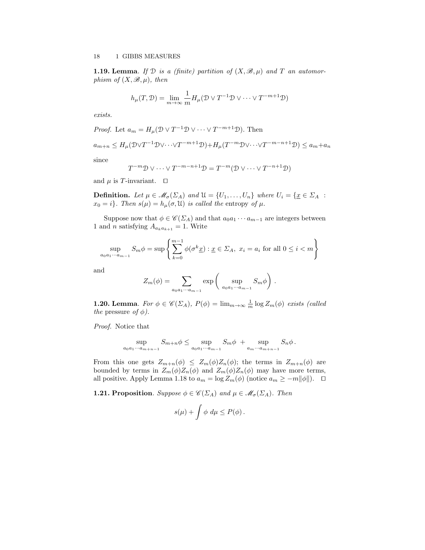**1.19. Lemma.** If  $D$  is a (finite) partition of  $(X, \mathcal{B}, \mu)$  and  $T$  an automorphism of  $(X, \mathcal{B}, \mu)$ , then

$$
h_{\mu}(T, \mathcal{D}) = \lim_{m \to \infty} \frac{1}{m} H_{\mu}(\mathcal{D} \vee T^{-1} \mathcal{D} \vee \dots \vee T^{-m+1} \mathcal{D})
$$

exists.

*Proof.* Let  $a_m = H_\mu(\mathcal{D} \vee T^{-1} \mathcal{D} \vee \cdots \vee T^{-m+1} \mathcal{D})$ . Then  $a_{m+n} \leq H_\mu(\mathcal{D} \vee T^{-1} \mathcal{D} \vee \cdots \vee T^{-m+1} \mathcal{D}) + H_\mu(T^{-m} \mathcal{D} \vee \cdots \vee T^{-m-n+1} \mathcal{D}) \leq a_m + a_n$ 

since

$$
T^{-m}\mathcal{D} \vee \cdots \vee T^{-m-n+1}\mathcal{D} = T^{-m}(\mathcal{D} \vee \cdots \vee T^{-n+1}\mathcal{D})
$$

and  $\mu$  is T-invariant.  $\square$ 

**Definition.** Let  $\mu \in \mathcal{M}_{\sigma}(\Sigma_A)$  and  $\mathcal{U} = \{U_1, \ldots, U_n\}$  where  $U_i = \{x \in \Sigma_A :$  $x_0 = i$ . Then  $s(\mu) = h_{\mu}(\sigma, \mathfrak{U})$  is called the entropy of  $\mu$ .

Suppose now that  $\phi \in \mathscr{C}(\Sigma_A)$  and that  $a_0a_1 \cdots a_{m-1}$  are integers between 1 and *n* satisfying  $A_{a_k a_{k+1}} = 1$ . Write

$$
\sup_{a_0 a_1 \cdots a_{m-1}} S_m \phi = \sup \left\{ \sum_{k=0}^{m-1} \phi(\sigma^k \underline{x}) : \underline{x} \in \Sigma_A, \ x_i = a_i \text{ for all } 0 \le i < m \right\}
$$

and

$$
Z_m(\phi) = \sum_{a_0 a_1 \cdots a_{m-1}} \exp \left( \ \sup_{a_0 a_1 \cdots a_{m-1}} S_m \phi \right).
$$

**1.20. Lemma**. For  $\phi \in \mathscr{C}(\Sigma_A)$ ,  $P(\phi) = \lim_{m \to \infty} \frac{1}{m} \log Z_m(\phi)$  exists (called the pressure of  $\phi$ ).

Proof. Notice that

$$
\sup_{a_0 a_1 \cdots a_{m+n-1}} S_{m+n} \phi \le \sup_{a_0 a_1 \cdots a_{m-1}} S_m \phi + \sup_{a_m \cdots a_{m+n-1}} S_n \phi.
$$

From this one gets  $Z_{m+n}(\phi) \leq Z_m(\phi)Z_n(\phi)$ ; the terms in  $Z_{m+n}(\phi)$  are bounded by terms in  $Z_m(\phi)Z_n(\phi)$  and  $Z_m(\phi)Z_n(\phi)$  may have more terms, all positive. Apply Lemma 1.18 to  $a_m = \log Z_m(\phi)$  (notice  $a_m \geq -m||\phi||$ ).  $\Box$ 

**1.21. Proposition**. Suppose  $\phi \in \mathscr{C}(\Sigma_A)$  and  $\mu \in \mathscr{M}_{\sigma}(\Sigma_A)$ . Then

$$
s(\mu) + \int \phi \, d\mu \le P(\phi).
$$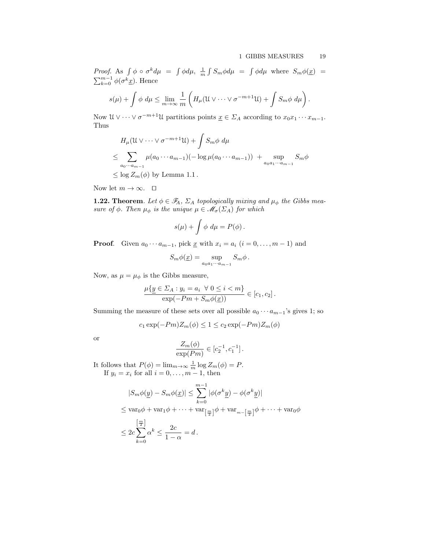Proof. As  $\int \phi \circ \sigma^k d\mu = \int \phi d\mu$ ,  $\frac{1}{m} \int S_m \phi d\mu = \int \phi d\mu$  where  $S_m \phi(\underline{x}) =$  $\sum_{k=0}^{m-1} \phi(\sigma^k \underline{x})$ . Hence

$$
s(\mu)+\int \phi \ d\mu \leq \lim_{m\to\infty}\frac{1}{m}\left(H_{\mu}(\mathfrak{U}\vee\cdots\vee\sigma^{-m+1}\mathfrak{U})+\int S_m\phi \ d\mu\right).
$$

Now  $\mathcal{U} \vee \cdots \vee \sigma^{-m+1} \mathcal{U}$  partitions points  $\underline{x} \in \Sigma_A$  according to  $x_0 x_1 \cdots x_{m-1}$ . Thus

$$
H_{\mu}(\mathfrak{U} \vee \cdots \vee \sigma^{-m+1}\mathfrak{U}) + \int S_m \phi \ d\mu
$$
  
\n
$$
\leq \sum_{a_0 \cdots a_{m-1}} \mu(a_0 \cdots a_{m-1})(-\log \mu(a_0 \cdots a_{m-1})) + \sup_{a_0 a_1 \cdots a_{m-1}} S_m \phi
$$
  
\n
$$
\leq \log Z_m(\phi)
$$
 by Lemma 1.1.

Now let  $m \to \infty$ .  $\square$ 

**1.22. Theorem**. Let  $\phi \in \mathscr{F}_A$ ,  $\Sigma_A$  topologically mixing and  $\mu_{\phi}$  the Gibbs measure of  $\phi$ . Then  $\mu_{\phi}$  is the unique  $\mu \in \mathscr{M}_{\sigma}(\Sigma_A)$  for which

$$
s(\mu) + \int \phi \ d\mu = P(\phi) \, .
$$

**Proof.** Given  $a_0 \cdots a_{m-1}$ , pick  $\underline{x}$  with  $x_i = a_i$   $(i = 0, \ldots, m-1)$  and

$$
S_m \phi(\underline{x}) = \sup_{a_0 a_1 \cdots a_{m-1}} S_m \phi.
$$

Now, as  $\mu = \mu_{\phi}$  is the Gibbs measure,

$$
\frac{\mu\{y \in \Sigma_A : y_i = a_i \ \forall \ 0 \le i < m\}}{\exp(-Pm + S_m \phi(\underline{x}))} \in [c_1, c_2].
$$

Summing the measure of these sets over all possible  $a_0 \cdots a_{m-1}$ 's gives 1; so

$$
c_1 \exp(-Pm)Z_m(\phi) \le 1 \le c_2 \exp(-Pm)Z_m(\phi)
$$

or

$$
\frac{Z_m(\phi)}{\exp(Pm)} \in [c_2^{-1}, c_1^{-1}].
$$

It follows that  $P(\phi) = \lim_{m \to \infty} \frac{1}{m} \log Z_m(\phi) = P$ . If  $y_i = x_i$  for all  $i = 0, \ldots, m-1$ , then

$$
|S_m\phi(\underline{y}) - S_m\phi(\underline{x})| \le \sum_{k=0}^{m-1} |\phi(\sigma^k \underline{y}) - \phi(\sigma^k \underline{y})|
$$
  
\n
$$
\le \text{var}_0 \phi + \text{var}_1 \phi + \dots + \text{var}_{\left[\frac{m}{2}\right]} \phi + \text{var}_{m-\left[\frac{m}{2}\right]} \phi + \dots + \text{var}_0 \phi
$$
  
\n
$$
\le 2c \sum_{k=0}^{\left[\frac{m}{2}\right]} \alpha^k \le \frac{2c}{1-\alpha} = d.
$$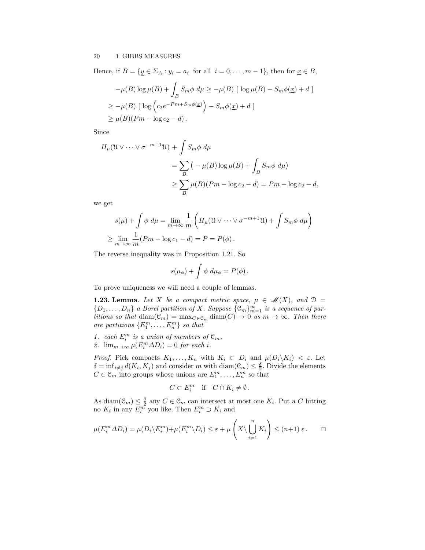Hence, if  $B = \{ \underline{y} \in \Sigma_A : y_i = a_i \text{ for all } i = 0, \ldots, m-1 \},\$  then for  $\underline{x} \in B$ ,

$$
-\mu(B)\log\mu(B) + \int_B S_m \phi \, d\mu \ge -\mu(B) \left[ \log \mu(B) - S_m \phi(\underline{x}) + d \right]
$$
  
\n
$$
\ge -\mu(B) \left[ \log \left( c_2 e^{-Pm + S_m \phi(\underline{x})} \right) - S_m \phi(\underline{x}) + d \right]
$$
  
\n
$$
\ge \mu(B)(Pm - \log c_2 - d).
$$

Since

$$
H_{\mu}(\mathfrak{U} \vee \cdots \vee \sigma^{-m+1} \mathfrak{U}) + \int S_m \phi \ d\mu
$$
  
= 
$$
\sum_B \left( -\mu(B) \log \mu(B) + \int_B S_m \phi \ d\mu \right)
$$
  

$$
\geq \sum_B \mu(B) (Pm - \log c_2 - d) = Pm - \log c_2 - d,
$$

we get

$$
s(\mu) + \int \phi \, d\mu = \lim_{m \to \infty} \frac{1}{m} \left( H_{\mu}(\mathfrak{U} \vee \cdots \vee \sigma^{-m+1} \mathfrak{U}) + \int S_m \phi \, d\mu \right)
$$
  
\n
$$
\geq \lim_{m \to \infty} \frac{1}{m} (Pm - \log c_1 - d) = P = P(\phi).
$$

The reverse inequality was in Proposition 1.21. So

$$
s(\mu_{\phi}) + \int \phi \ d\mu_{\phi} = P(\phi) .
$$

To prove uniqueness we will need a couple of lemmas.

**1.23. Lemma**. Let X be a compact metric space,  $\mu \in \mathcal{M}(X)$ , and  $\mathcal{D} =$  ${D_1, \ldots, D_n}$  a Borel partition of X. Suppose  ${\mathcal{C}_m}_{m=1}^{\infty}$  is a sequence of partitions so that  $\text{diam}(\mathcal{C}_m) = \max_{C \in \mathcal{C}_m} \text{diam}(C) \to 0$  as  $m \to \infty$ . Then there are partitions  $\{E_1^m,\ldots,E_n^m\}$  so that

- 1. each  $E_i^m$  is a union of members of  $\mathfrak{C}_m$ ,
- 2.  $\lim_{m\to\infty}\mu(E_i^m\Delta D_i)=0$  for each i.

*Proof.* Pick compacts  $K_1, \ldots, K_n$  with  $K_i \subset D_i$  and  $\mu(D_i \backslash K_i) < \varepsilon$ . Let  $\delta = \inf_{i \neq j} d(K_i, K_j)$  and consider m with  $\text{diam}(\mathcal{C}_m) \leq \frac{\delta}{2}$ . Divide the elements  $C \in \mathcal{C}_m$  into groups whose unions are  $E_1^m, \ldots, E_n^m$  so that

$$
C \subset E_i^m \quad \text{if} \quad C \cap K_i \neq \emptyset \, .
$$

As  $\text{diam}(\mathcal{C}_m) \leq \frac{\delta}{2}$  any  $C \in \mathcal{C}_m$  can intersect at most one  $K_i$ . Put a C hitting no  $K_i$  in any  $E_i^m$  you like. Then  $E_i^m \supset K_i$  and

$$
\mu(E_i^m \Delta D_i) = \mu(D_i \setminus E_i^m) + \mu(E_i^m \setminus D_i) \le \varepsilon + \mu\left(X \setminus \bigcup_{i=1}^n K_i\right) \le (n+1)\,\varepsilon. \qquad \Box
$$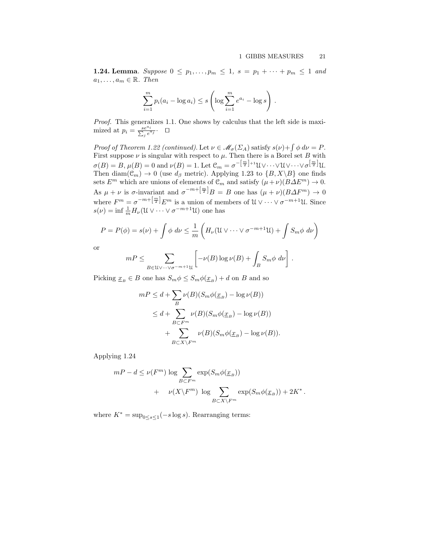**1.24. Lemma.** Suppose  $0 \leq p_1, ..., p_m \leq 1$ ,  $s = p_1 + ... + p_m \leq 1$  and  $a_1, \ldots, a_m \in \mathbb{R}$ . Then

$$
\sum_{i=1}^m p_i(a_i - \log a_i) \leq s \left( \log \sum_{i=1}^m e^{a_i} - \log s \right).
$$

Proof. This generalizes 1.1. One shows by calculus that the left side is maximized at  $p_i = \frac{se}{\sum_i}$ ai  $\frac{e^{a_i}}{e^{a_j}}$ .  $\Box$ 

Proof of Theorem 1.22 (continued). Let  $\nu \in \mathcal{M}_{\sigma}(\Sigma_A)$  satisfy  $s(\nu) + \int \phi \, d\nu = P$ . First suppose  $\nu$  is singular with respect to  $\mu$ . Then there is a Borel set B with  $\sigma(B) = B, \mu(B) = 0 \text{ and } \nu(B) = 1. \text{ Let } \mathfrak{C}_m = \sigma^{-\left[\frac{m}{2}\right]+1} \mathfrak{U} \vee \cdots \vee \mathfrak{U} \vee \cdots \vee \sigma^{\left[\frac{m}{2}\right]} \mathfrak{U}.$ Then diam $(\mathcal{C}_m) \to 0$  (use  $d_\beta$  metric). Applying 1.23 to  $\{B, X \setminus B\}$  one finds sets  $E^m$  which are unions of elements of  $\mathcal{C}_m$  and satisfy  $(\mu + \nu)(B\Delta E^m) \to 0$ . As  $\mu + \nu$  is  $\sigma$ -invariant and  $\sigma^{-m + \left[\frac{m}{2}\right]}B = B$  one has  $(\mu + \nu)(B\Delta F^m) \to 0$ where  $F^m = \sigma^{-m + \left[\frac{m}{2}\right]} E^m$  is a union of members of  $\mathfrak{U} \vee \cdots \vee \sigma^{-m+1} \mathfrak{U}$ . Since  $s(\nu) = \inf \frac{1}{m} H_{\nu}(\mathfrak{U} \vee \cdots \vee \sigma^{-m+1} \mathfrak{U})$  one has

$$
P = P(\phi) = s(\nu) + \int \phi \, d\nu \le \frac{1}{m} \left( H_{\nu}(\mathfrak{U} \vee \cdots \vee \sigma^{-m+1} \mathfrak{U}) + \int S_m \phi \, d\nu \right)
$$

or

$$
mP \leq \sum_{B \in \mathfrak{U} \vee \cdots \vee \sigma^{-m+1}\mathfrak{U}} \left[ -\nu(B) \log \nu(B) + \int_B S_m \phi \ d\nu \right].
$$

Picking  $\underline{x}_B \in B$  one has  $S_m \phi \leq S_m \phi(\underline{x}_B) + d$  on B and so

$$
mP \le d + \sum_{B} \nu(B)(S_m \phi(\underline{x}_B) - \log \nu(B))
$$
  
\n
$$
\le d + \sum_{B \subset F^m} \nu(B)(S_m \phi(\underline{x}_B) - \log \nu(B))
$$
  
\n
$$
+ \sum_{B \subset X \setminus F^m} \nu(B)(S_m \phi(\underline{x}_B) - \log \nu(B)).
$$

Applying 1.24

$$
mP - d \le \nu(F^m) \log \sum_{B \subset F^m} \exp(S_m \phi(\underline{x}_B))
$$
  
+  $\nu(X \backslash F^m) \log \sum_{B \subset X \backslash F^m} \exp(S_m \phi(\underline{x}_B)) + 2K^*.$ 

where  $K^* = \sup_{0 \le s \le 1} (-s \log s)$ . Rearranging terms: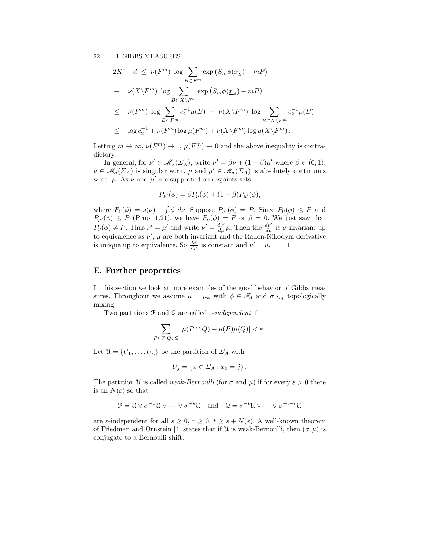$$
-2K^* - d \le \nu(F^m) \log \sum_{B \subset F^m} \exp (S_m \phi(\underline{x}_B) - mP)
$$
  
+  $\nu(X \backslash F^m)$  log  $\sum_{B \subset X \backslash F^m} \exp (S_m \phi(\underline{x}_B) - mP)$   
 $\le \nu(F^m) \log \sum_{B \subset F^m} c_2^{-1} \mu(B) + \nu(X \backslash F^m) \log \sum_{B \subset X \backslash F^m} c_2^{-1} \mu(B)$   
 $\le \log c_2^{-1} + \nu(F^m) \log \mu(F^m) + \nu(X \backslash F^m) \log \mu(X \backslash F^m).$ 

Letting  $m \to \infty$ ,  $\nu(F^m) \to 1$ ,  $\mu(F^m) \to 0$  and the above inequality is contradictory.

In general, for  $\nu' \in \mathcal{M}_{\sigma}(\Sigma_A)$ , write  $\nu' = \beta \nu + (1 - \beta) \mu'$  where  $\beta \in (0, 1)$ ,  $\nu \in \mathscr{M}_{\sigma}(\Sigma_A)$  is singular w.r.t.  $\mu$  and  $\mu' \in \mathscr{M}_{\sigma}(\Sigma_A)$  is absolutely continuous w.r.t.  $\mu$ . As  $\nu$  and  $\mu'$  are supported on disjoints sets

$$
P_{\nu'}(\phi) = \beta P_{\nu}(\phi) + (1 - \beta) P_{\mu'}(\phi),
$$

where  $P_{\nu}(\phi) = s(\nu) + \int \phi \ d\nu$ . Suppose  $P_{\nu}(\phi) = P$ . Since  $P_{\nu}(\phi) \leq P$  and  $P_{\mu}(\phi) \le P$  (Prop. 1.21), we have  $P_{\nu}(\phi) = P$  or  $\beta = 0$ . We just saw that  $P_{\nu}(\phi) \neq P$ . Thus  $\nu' = \mu'$  and write  $\nu' = \frac{d\nu'}{d\mu}\mu$ . Then the  $\frac{d\nu'}{d\mu}$  is  $\sigma$ -invariant up to equivalence as  $\nu'$ ,  $\mu$  are both invariant and the Radon-Nikodym derivative is unique up to equivalence. So  $\frac{d\nu'}{d\mu}$  is constant and  $\nu' = \mu$ .

# E. Further properties

In this section we look at more examples of the good behavior of Gibbs measures. Throughout we assume  $\mu = \mu_{\phi}$  with  $\phi \in \mathscr{F}_A$  and  $\sigma|_{\Sigma_A}$  topologically mixing.

Two partitions  $P$  and  $Q$  are called  $\varepsilon$ -independent if

$$
\sum_{P \in \mathcal{P}, Q \in \mathcal{Q}} |\mu(P \cap Q) - \mu(P)\mu(Q)| < \varepsilon \, .
$$

Let  $\mathcal{U} = \{U_1, \ldots, U_n\}$  be the partition of  $\Sigma_A$  with

$$
U_j = \{ \underline{x} \in \Sigma_A : x_0 = j \}.
$$

The partition U is called *weak-Bernoulli* (for  $\sigma$  and  $\mu$ ) if for every  $\varepsilon > 0$  there is an  $N(\varepsilon)$  so that

$$
\mathcal{P} = \mathcal{U} \vee \sigma^{-1} \mathcal{U} \vee \cdots \vee \sigma^{-s} \mathcal{U} \quad \text{and} \quad \mathcal{Q} = \sigma^{-t} \mathcal{U} \vee \cdots \vee \sigma^{-t-r} \mathcal{U}
$$

are  $\varepsilon$ -independent for all  $s \geq 0$ ,  $r \geq 0$ ,  $t \geq s + N(\varepsilon)$ . A well-known theorem of Friedman and Ornstein [4] states that if U is weak-Bernoulli, then  $(\sigma, \mu)$  is conjugate to a Bernoulli shift.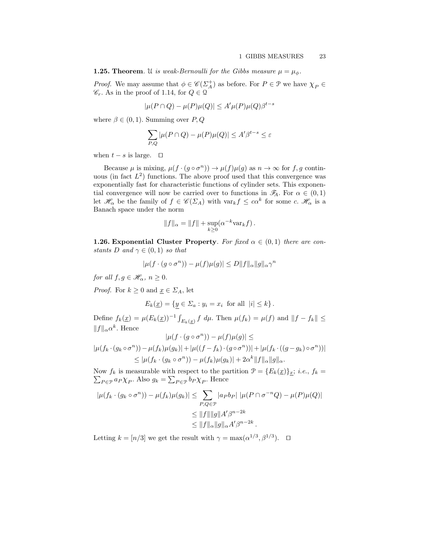## **1.25. Theorem**. U is weak-Bernoulli for the Gibbs measure  $\mu = \mu_{\phi}$ .

*Proof.* We may assume that  $\phi \in \mathscr{C}(\Sigma_A^+)$  as before. For  $P \in \mathcal{P}$  we have  $\chi_P \in$  $\mathscr{C}_r$ . As in the proof of 1.14, for  $Q \in \mathfrak{Q}$ 

$$
|\mu(P\cap Q)-\mu(P)\mu(Q)|\leq A'\mu(P)\mu(Q)\beta^{t-s}
$$

where  $\beta \in (0, 1)$ . Summing over P, Q

$$
\sum_{P,Q} |\mu(P \cap Q) - \mu(P)\mu(Q)| \le A'\beta^{t-s} \le \varepsilon
$$

when  $t - s$  is large.  $\Box$ 

Because  $\mu$  is mixing,  $\mu(f \cdot (g \circ \sigma^n)) \to \mu(f)\mu(g)$  as  $n \to \infty$  for f, g continuous (in fact  $L^2$ ) functions. The above proof used that this convergence was exponentially fast for characteristic functions of cylinder sets. This exponential convergence will now be carried over to functions in  $\mathscr{F}_A$ . For  $\alpha \in (0,1)$ let  $\mathscr{H}_{\alpha}$  be the family of  $f \in \mathscr{C}(\Sigma_A)$  with  $var_k f \leq c\alpha^k$  for some c.  $\mathscr{H}_{\alpha}$  is a Banach space under the norm

$$
||f||_{\alpha} = ||f|| + \sup_{k \geq 0} (\alpha^{-k} \text{var}_k f).
$$

**1.26. Exponential Cluster Property**. For fixed  $\alpha \in (0,1)$  there are constants D and  $\gamma \in (0,1)$  so that

$$
|\mu(f \cdot (g \circ \sigma^n)) - \mu(f)\mu(g)| \le D||f||_{\alpha}||g||_{\alpha} \gamma^n
$$

for all  $f, g \in \mathscr{H}_{\alpha}, n \geq 0$ .

*Proof.* For  $k \geq 0$  and  $\underline{x} \in \Sigma_A$ , let

$$
E_k(\underline{x}) = \{ \underline{y} \in \Sigma_a : y_i = x_i \text{ for all } |i| \le k \}.
$$

Define  $f_k(\underline{x}) = \mu(E_k(\underline{x}))^{-1} \int_{E_k(\underline{x})} f d\mu$ . Then  $\mu(f_k) = \mu(f)$  and  $||f - f_k|| \le$  $||f||_{\alpha} \alpha^{k}$ . Hence

$$
|\mu(f \cdot (g \circ \sigma^n)) - \mu(f)\mu(g)| \le
$$
  

$$
|\mu(f_k \cdot (g_k \circ \sigma^n)) - \mu(f_k)\mu(g_k)| + |\mu((f - f_k) \cdot (g \circ \sigma^n))| + |\mu(f_k \cdot ((g - g_k) \circ \sigma^n))|
$$
  

$$
\leq |\mu(f_k \cdot (g_k \circ \sigma^n)) - \mu(f_k)\mu(g_k)| + 2\alpha^k \|f\|_{\alpha} \|g\|_{\alpha}.
$$

Now  $f_k$  is measurable with respect to the partition  $\mathcal{P} = \{E_k(\underline{x})\}_x$ ; *i.e.*,  $f_k =$  $\sum_{P \in \mathcal{P}} a_P \chi_P$ . Also  $g_k = \sum_{P \in \mathcal{P}} b_P \chi_P$ . Hence

$$
|\mu(f_k \cdot (g_k \circ \sigma^n)) - \mu(f_k)\mu(g_k)| \le \sum_{P,Q \in \mathcal{P}} |a_P b_P| |\mu(P \cap \sigma^{-n} Q) - \mu(P)\mu(Q)|
$$
  

$$
\le ||f|| ||g|| A' \beta^{n-2k}
$$
  

$$
\le ||f||_{\alpha} ||g||_{\alpha} A' \beta^{n-2k}.
$$

Letting  $k = [n/3]$  we get the result with  $\gamma = \max(\alpha^{1/3}, \beta^{1/3})$ .  $\Box$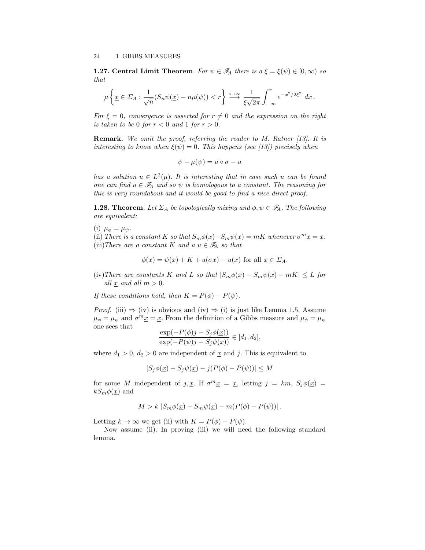**1.27. Central Limit Theorem**. For  $\psi \in \mathscr{F}_A$  there is  $a \xi = \xi(\psi) \in [0, \infty)$  so that

$$
\mu\left\{\underline{x}\in \varSigma_A:\frac{1}{\sqrt{n}}(S_n\psi(\underline{x})-n\mu(\psi))
$$

For  $\xi = 0$ , convergence is asserted for  $r \neq 0$  and the expression on the right is taken to be 0 for  $r < 0$  and 1 for  $r > 0$ .

Remark. We omit the proof, referring the reader to M. Ratner [13]. It is interesting to know when  $\xi(\psi) = 0$ . This happens (see [13]) precisely when

$$
\psi - \mu(\psi) = u \circ \sigma - u
$$

has a solution  $u \in L^2(\mu)$ . It is interesting that in case such u can be found one can find  $u \in \mathscr{F}_A$  and so  $\psi$  is homologous to a constant. The reasoning for this is very roundabout and it would be good to find a nice direct proof.

**1.28. Theorem**. Let  $\Sigma_A$  be topologically mixing and  $\phi, \psi \in \mathscr{F}_A$ . The following are equivalent:

(i)  $\mu_{\phi} = \mu_{\psi}$ .

(ii) There is a constant K so that  $S_m \phi(\underline{x}) - S_m \psi(\underline{x}) = mK$  whenever  $\sigma^m \underline{x} = \underline{x}$ . (iii)There are a constant K and a  $u \in \mathscr{F}_A$  so that

$$
\phi(\underline{x}) = \psi(\underline{x}) + K + u(\sigma \underline{x}) - u(\underline{x})
$$
 for all  $\underline{x} \in \Sigma_A$ .

(iv)There are constants K and L so that  $|S_m \phi(x) - S_m \psi(x) - mK| \leq L$  for all  $x$  and all  $m > 0$ .

If these conditions hold, then  $K = P(\phi) - P(\psi)$ .

*Proof.* (iii)  $\Rightarrow$  (iv) is obvious and (iv)  $\Rightarrow$  (i) is just like Lemma 1.5. Assume  $\mu_{\phi} = \mu_{\psi}$  and  $\sigma^{m} \underline{x} = \underline{x}$ . From the definition of a Gibbs measure and  $\mu_{\phi} = \mu_{\psi}$ one sees that

$$
\frac{\exp(-P(\phi)j + S_j\phi(\underline{x}))}{\exp(-P(\psi)j + S_j\psi(\underline{x}))} \in [d_1, d_2],
$$

where  $d_1 > 0$ ,  $d_2 > 0$  are independent of  $\underline{x}$  and j. This is equivalent to

$$
|S_j \phi(\underline{x}) - S_j \psi(\underline{x}) - j(P(\phi) - P(\psi))| \le M
$$

for some M independent of j, x. If  $\sigma^m x = x$ , letting  $j = km$ ,  $S_j \phi(x) =$  $kS_m\phi(\underline{x})$  and

$$
M > k |S_m \phi(\underline{x}) - S_m \psi(\underline{x}) - m(P(\phi) - P(\psi))|.
$$

Letting  $k \to \infty$  we get (ii) with  $K = P(\phi) - P(\psi)$ .

Now assume (ii). In proving (iii) we will need the following standard lemma.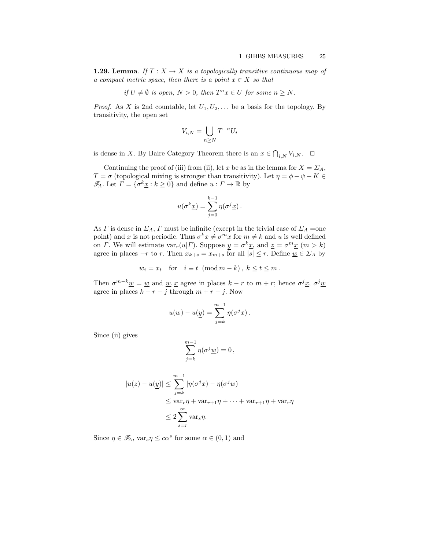**1.29. Lemma.** If  $T : X \to X$  is a topologically transitive continuous map of a compact metric space, then there is a point  $x \in X$  so that

if 
$$
U \neq \emptyset
$$
 is open,  $N > 0$ , then  $T^n x \in U$  for some  $n \geq N$ .

*Proof.* As X is 2nd countable, let  $U_1, U_2, \ldots$  be a basis for the topology. By transitivity, the open set

$$
V_{i,N} = \bigcup_{n \geq N} T^{-n} U_i
$$

is dense in X. By Baire Category Theorem there is an  $x \in \bigcap_{i,N} V_{i,N}$ .  $\Box$ 

Continuing the proof of (iii) from (ii), let  $\underline{x}$  be as in the lemma for  $X = \Sigma_A$ , T =  $\sigma$  (topological mixing is stronger than transitivity). Let  $\eta = \phi - \psi - K \in$  $\mathscr{F}_A$ . Let  $\overline{\Gamma} = \{ \sigma^k \underline{x} : k \ge 0 \}$  and define  $u : \Gamma \to \mathbb{R}$  by

$$
u(\sigma^k \underline{x}) = \sum_{j=0}^{k-1} \eta(\sigma^j \underline{x}).
$$

As  $\Gamma$  is dense in  $\Sigma_A$ ,  $\Gamma$  must be infinite (except in the trivial case of  $\Sigma_A$  =one point) and <u>x</u> is not periodic. Thus  $\sigma^k \underline{x} \neq \sigma^m \underline{x}$  for  $m \neq k$  and u is well defined on *Γ*. We will estimate  $var_r(u|F)$ . Suppose  $y = \sigma^k \underline{x}$ , and  $\underline{z} = \sigma^m \underline{x}$   $(m > k)$ agree in places  $-r$  to r. Then  $x_{k+s} = x_{m+s}$  for all  $|s| \leq r$ . Define  $\underline{w} \in \Sigma_A$  by

$$
w_i = x_t
$$
 for  $i \equiv t \pmod{m-k}$ ,  $k \le t \le m$ .

Then  $\sigma^{m-k} \underline{w} = \underline{w}$  and  $\underline{w}, \underline{x}$  agree in places  $k - r$  to  $m + r$ ; hence  $\sigma^j \underline{x}, \sigma^j \underline{w}$ agree in places  $k - r - j$  through  $m + r - j$ . Now

$$
u(\underline{w}) - u(\underline{y}) = \sum_{j=k}^{m-1} \eta(\sigma^j \underline{x}).
$$

Since (ii) gives

$$
\sum_{j=k}^{m-1} \eta(\sigma^j \underline{w}) = 0,
$$

$$
|u(\underline{z}) - u(\underline{y})| \le \sum_{j=k}^{m-1} |\eta(\sigma^j \underline{x}) - \eta(\sigma^j \underline{w})|
$$
  

$$
\le \operatorname{var}_{r} \eta + \operatorname{var}_{r+1} \eta + \dots + \operatorname{var}_{r+1} \eta + \operatorname{var}_{r} \eta
$$
  

$$
\le 2 \sum_{s=r}^{\infty} \operatorname{var}_{s} \eta.
$$

Since  $\eta \in \mathscr{F}_A$ ,  $\text{var}_s \eta \leq c\alpha^s$  for some  $\alpha \in (0,1)$  and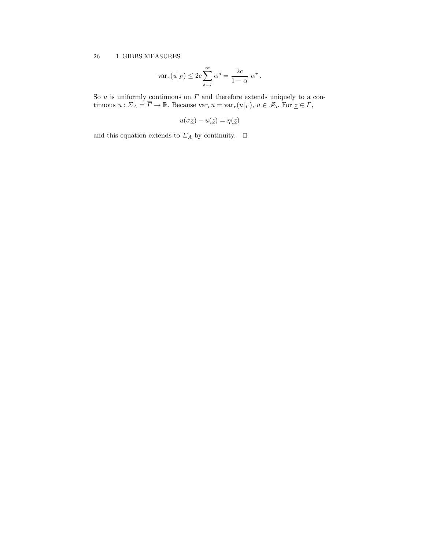$$
var_r(u|_{\Gamma}) \le 2c \sum_{s=r}^{\infty} \alpha^s = \frac{2c}{1-\alpha} \alpha^r.
$$

So  $u$  is uniformly continuous on  $\Gamma$  and therefore extends uniquely to a continuous  $u : \Sigma_A = \overline{\Gamma} \to \mathbb{R}$ . Because var $_r u = \text{var}_r(u|_{\Gamma}), u \in \mathscr{F}_A$ . For  $z \in \Gamma$ ,

$$
u(\sigma \underline{z}) - u(\underline{z}) = \eta(\underline{z})
$$

and this equation extends to  $\varSigma_A$  by continuity.  $\;\;\Box$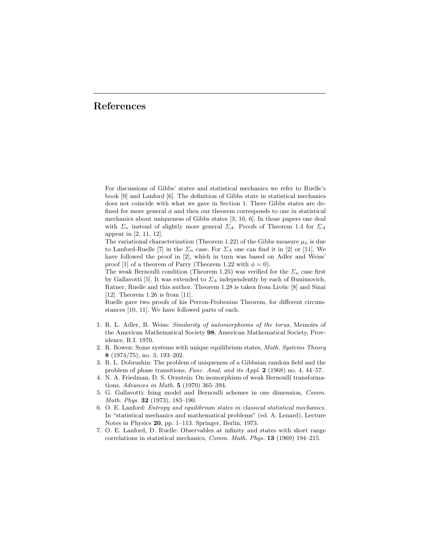# References

For discussions of Gibbs' states and statistical mechanics we refer to Ruelle's book [9] and Lanford [6]. The definition of Gibbs state in statistical mechanics does not coincide with what we gave in Section 1. There Gibbs states are defined for more general  $\phi$  and then our theorem corresponds to one in statistical mechanics about uniqueness of Gibbs states [3, 10, 6]. In those papers one deal with  $\Sigma_n$  instead of slightly more general  $\Sigma_A$ . Proofs of Theorem 1.4 for  $\Sigma_A$ appear in [2, 11, 12].

The variational characterization (Theorem 1.22) of the Gibbs measure  $\mu_{\phi}$  is due to Lanford-Ruelle [7] in the  $\Sigma_n$  case. For  $\Sigma_A$  one can find it in [2] or [11]. We have followed the proof in [2], which in turn was based on Adler and Weiss' proof [1] of a theorem of Parry (Theorem 1.22 with  $\phi = 0$ ).

The weak Bernoulli condition (Theorem 1.25) was verified for the  $\Sigma_n$  case first by Gallavotti [5]. It was extended to  $\Sigma_A$  independently by each of Bunimovich, Ratner, Ruelle and this author. Theorem 1.28 is taken from Livšic [8] and Sinai [12]. Theorem 1.26 is from [11].

Ruelle gave two proofs of his Perron-Frobenius Theorem, for different circumstances [10, 11]. We have followed parts of each.

- 1. R. L. Adler, B. Weiss: Similarity of automorphisms of the torus, Memoirs of the American Mathematical Society 98, American Mathematical Society, Providence, R.I. 1970.
- 2. R. Bowen: Some systems with unique equilibrium states, Math. Systems Theory 8 (1974/75), no. 3, 193–202.
- 3. R. L. Dobrushin: The problem of uniqueness of a Gibbsian random field and the problem of phase transitions, Func. Anal. and its Appl. 2 (1968) no. 4, 44–57.
- 4. N. A. Friedman, D. S. Ornstein: On isomorphism of weak Bernoulli transformations, Advances in Math. 5 (1970) 365–394.
- 5. G. Gallavotti: Ising model and Bernoulli schemes in one dimension, Comm. Math. Phys. 32 (1973), 183–190.
- 6. O. E. Lanford: Entropy and equilibrium states in classical statistical mechanics. In "statistical mechanics and mathematical problems" (ed. A. Lenard), Lecture Notes in Physics 20, pp. 1–113. Springer, Berlin, 1973.
- 7. O. E. Lanford, D. Ruelle: Observables at infinity and states with short range correlations in statistical mechanics, Comm. Math. Phys. 13 (1969) 194–215.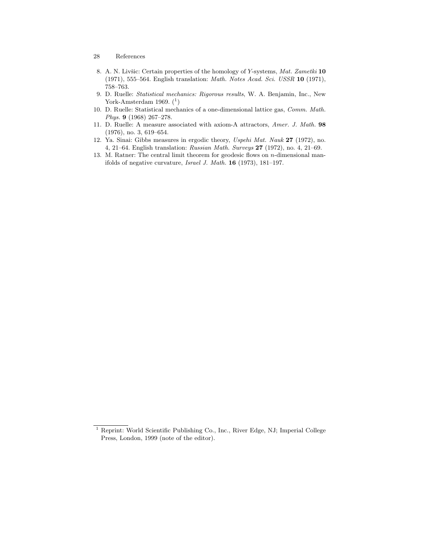- 28 References
- 8. A. N. Livšic: Certain properties of the homology of Y-systems, Mat. Zametki 10 (1971), 555–564. English translation: Math. Notes Acad. Sci. USSR 10 (1971), 758–763.
- 9. D. Ruelle: Statistical mechanics: Rigorous results, W. A. Benjamin, Inc., New York-Amsterdam 1969. $(1)$
- 10. D. Ruelle: Statistical mechanics of a one-dimensional lattice gas, Comm. Math. Phys. 9 (1968) 267–278.
- 11. D. Ruelle: A measure associated with axiom-A attractors, Amer. J. Math. 98 (1976), no. 3, 619–654.
- 12. Ya. Sinai: Gibbs measures in ergodic theory, Uspehi Mat. Nauk 27 (1972), no. 4, 21–64. English translation: Russian Math. Surveys 27 (1972), no. 4, 21–69.
- 13. M. Ratner: The central limit theorem for geodesic flows on  $n$ -dimensional manifolds of negative curvature, Israel J. Math. 16 (1973), 181–197.

<sup>&</sup>lt;sup>1</sup> Reprint: World Scientific Publishing Co., Inc., River Edge, NJ; Imperial College Press, London, 1999 (note of the editor).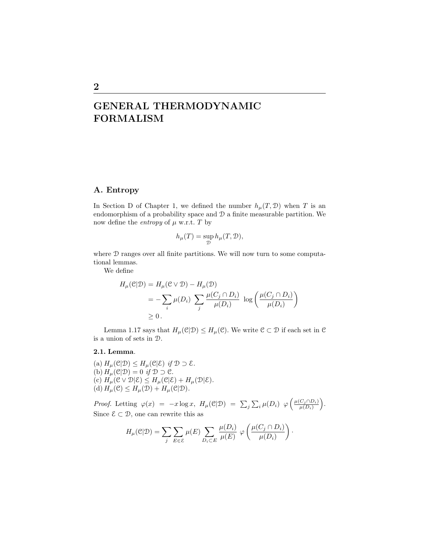# GENERAL THERMODYNAMIC FORMALISM

# A. Entropy

In Section D of Chapter 1, we defined the number  $h_\mu(T, \mathcal{D})$  when T is an endomorphism of a probability space and  $D$  a finite measurable partition. We now define the *entropy* of  $\mu$  w.r.t. T by

$$
h_{\mu}(T) = \sup_{\mathcal{D}} h_{\mu}(T, \mathcal{D}),
$$

where  $D$  ranges over all finite partitions. We will now turn to some computational lemmas.

We define

$$
H_{\mu}(\mathcal{C}|\mathcal{D}) = H_{\mu}(\mathcal{C} \vee \mathcal{D}) - H_{\mu}(\mathcal{D})
$$
  
= 
$$
- \sum_{i} \mu(D_{i}) \sum_{j} \frac{\mu(C_{j} \cap D_{i})}{\mu(D_{i})} \log \left( \frac{\mu(C_{j} \cap D_{i})}{\mu(D_{i})} \right)
$$
  

$$
\geq 0.
$$

Lemma 1.17 says that  $H_{\mu}(\mathcal{C}|\mathcal{D}) \leq H_{\mu}(\mathcal{C})$ . We write  $\mathcal{C} \subset \mathcal{D}$  if each set in  $\mathcal{C}$ is a union of sets in D.

## 2.1. Lemma.

(a)  $H_{\mu}(\mathcal{C}|\mathcal{D}) \leq H_{\mu}(\mathcal{C}|\mathcal{E})$  if  $\mathcal{D} \supset \mathcal{E}$ . (b)  $H_{\mu}(\mathcal{C}|\mathcal{D}) = 0$  if  $\mathcal{D} \supset \mathcal{C}$ . (c)  $H_{\mu}(\mathcal{C} \vee \mathcal{D} | \mathcal{E}) \leq H_{\mu}(\mathcal{C} | \mathcal{E}) + H_{\mu}(\mathcal{D} | \mathcal{E}).$ (d)  $H_{\mu}(\mathcal{C}) \leq H_{\mu}(\mathcal{D}) + H_{\mu}(\mathcal{C}|\mathcal{D}).$ 

Proof. Letting  $\varphi(x) = -x \log x$ ,  $H_{\mu}(\mathcal{C}|\mathcal{D}) = \sum_{j} \sum_{i} \mu(D_i) \varphi\left(\frac{\mu(C_j \cap D_i)}{\mu(D_i)}\right)$  $\frac{(C_j \cap D_i)}{\mu(D_i)}\bigg).$ Since  $\mathcal{E} \subset \mathcal{D}$ , one can rewrite this as

$$
H_{\mu}(\mathcal{C}|\mathcal{D}) = \sum_{j} \sum_{E \in \mathcal{E}} \mu(E) \sum_{D_i \subset E} \frac{\mu(D_i)}{\mu(E)} \varphi \left( \frac{\mu(C_j \cap D_i)}{\mu(D_i)} \right).
$$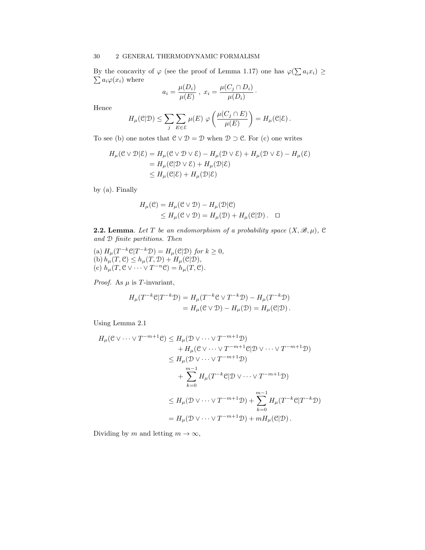# 30 2 GENERAL THERMODYNAMIC FORMALISM

By the concavity of  $\varphi$  (see the proof of Lemma 1.17) one has  $\varphi(\sum a_i x_i) \geq$  $\sum a_i \varphi(x_i)$  where

$$
a_i = \frac{\mu(D_i)}{\mu(E)}
$$
,  $x_i = \frac{\mu(C_j \cap D_i)}{\mu(D_i)}$ .

Hence

$$
H_{\mu}(\mathcal{C}|\mathcal{D}) \leq \sum_{j} \sum_{E \in \mathcal{E}} \mu(E) \varphi \left( \frac{\mu(C_j \cap E)}{\mu(E)} \right) = H_{\mu}(\mathcal{C}|\mathcal{E}).
$$

To see (b) one notes that  $C \vee D = D$  when  $D \supset C$ . For (c) one writes

$$
H_{\mu}(\mathcal{C} \vee \mathcal{D}|\mathcal{E}) = H_{\mu}(\mathcal{C} \vee \mathcal{D} \vee \mathcal{E}) - H_{\mu}(\mathcal{D} \vee \mathcal{E}) + H_{\mu}(\mathcal{D} \vee \mathcal{E}) - H_{\mu}(\mathcal{E})
$$
  
=  $H_{\mu}(\mathcal{C}|\mathcal{D} \vee \mathcal{E}) + H_{\mu}(\mathcal{D}|\mathcal{E})$   
 $\leq H_{\mu}(\mathcal{C}|\mathcal{E}) + H_{\mu}(\mathcal{D}|\mathcal{E})$ 

by (a). Finally

$$
H_{\mu}(\mathcal{C}) = H_{\mu}(\mathcal{C} \vee \mathcal{D}) - H_{\mu}(\mathcal{D}|\mathcal{C})
$$
  
\n
$$
\leq H_{\mu}(\mathcal{C} \vee \mathcal{D}) = H_{\mu}(\mathcal{D}) + H_{\mu}(\mathcal{C}|\mathcal{D}). \quad \Box
$$

**2.2. Lemma**. Let T be an endomorphism of a probability space  $(X, \mathcal{B}, \mu)$ , C and D finite partitions. Then

(a) 
$$
H_{\mu}(T^{-k}C|T^{-k}\mathcal{D}) = H_{\mu}(C|\mathcal{D})
$$
 for  $k \ge 0$ ,  
\n(b)  $h_{\mu}(T, C) \le h_{\mu}(T, \mathcal{D}) + H_{\mu}(C|\mathcal{D})$ ,  
\n(c)  $h_{\mu}(T, C \vee \cdots \vee T^{-n}C) = h_{\mu}(T, C)$ .

*Proof.* As  $\mu$  is T-invariant,

$$
H_{\mu}(T^{-k}\mathcal{C}|T^{-k}\mathcal{D}) = H_{\mu}(T^{-k}\mathcal{C} \vee T^{-k}\mathcal{D}) - H_{\mu}(T^{-k}\mathcal{D})
$$
  
=  $H_{\mu}(\mathcal{C} \vee \mathcal{D}) - H_{\mu}(\mathcal{D}) = H_{\mu}(\mathcal{C}|\mathcal{D}).$ 

Using Lemma 2.1

$$
H_{\mu}(\mathcal{C}\vee\cdots\vee T^{-m+1}\mathcal{C}) \leq H_{\mu}(\mathcal{D}\vee\cdots\vee T^{-m+1}\mathcal{D})
$$
  
+ 
$$
H_{\mu}(\mathcal{C}\vee\cdots\vee T^{-m+1}\mathcal{C}|\mathcal{D}\vee\cdots\vee T^{-m+1}\mathcal{D})
$$
  

$$
\leq H_{\mu}(\mathcal{D}\vee\cdots\vee T^{-m+1}\mathcal{D})
$$
  
+ 
$$
\sum_{k=0}^{m-1} H_{\mu}(T^{-k}\mathcal{C}|\mathcal{D}\vee\cdots\vee T^{-m+1}\mathcal{D})
$$
  

$$
\leq H_{\mu}(\mathcal{D}\vee\cdots\vee T^{-m+1}\mathcal{D}) + \sum_{k=0}^{m-1} H_{\mu}(T^{-k}\mathcal{C}|T^{-k}\mathcal{D})
$$
  
= 
$$
H_{\mu}(\mathcal{D}\vee\cdots\vee T^{-m+1}\mathcal{D}) + mH_{\mu}(\mathcal{C}|\mathcal{D}).
$$

Dividing by m and letting  $m \to \infty$ ,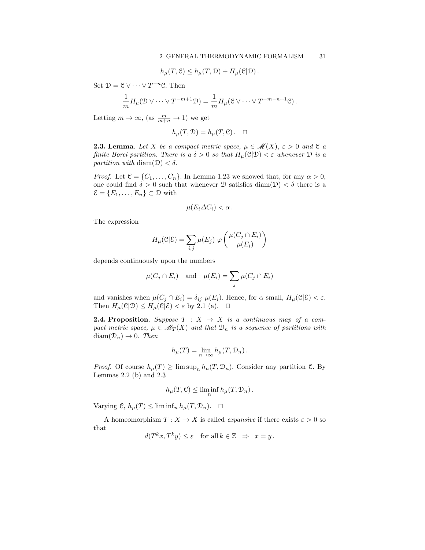$$
h_{\mu}(T, \mathcal{C}) \le h_{\mu}(T, \mathcal{D}) + H_{\mu}(\mathcal{C}|\mathcal{D}).
$$

Set  $\mathcal{D} = \mathcal{C} \vee \cdots \vee T^{-n} \mathcal{C}$ . Then

$$
\frac{1}{m}H_{\mu}(\mathcal{D}\vee\cdots\vee T^{-m+1}\mathcal{D})=\frac{1}{m}H_{\mu}(\mathcal{C}\vee\cdots\vee T^{-m-n+1}\mathcal{C}).
$$

Letting  $m \to \infty$ , (as  $\frac{m}{m+n} \to 1$ ) we get

$$
h_{\mu}(T,\mathcal{D}) = h_{\mu}(T,\mathcal{C}). \quad \Box
$$

**2.3. Lemma**. Let X be a compact metric space,  $\mu \in \mathcal{M}(X)$ ,  $\varepsilon > 0$  and  $\mathcal{C}$  a finite Borel partition. There is a  $\delta > 0$  so that  $H_{\mu}(\mathcal{C}|\mathcal{D}) < \varepsilon$  whenever  $\mathcal D$  is a partition with diam( $\mathcal{D}$ ) <  $\delta$ .

*Proof.* Let  $\mathcal{C} = \{C_1, \ldots, C_n\}$ . In Lemma 1.23 we showed that, for any  $\alpha > 0$ , one could find  $\delta > 0$  such that whenever  $\mathcal D$  satisfies  $\text{diam}(\mathcal D) < \delta$  there is a  $\mathcal{E} = \{E_1, \ldots, E_n\} \subset \mathcal{D}$  with

$$
\mu(E_i \Delta C_i) < \alpha \, .
$$

The expression

$$
H_{\mu}(\mathcal{C}|\mathcal{E}) = \sum_{i,j} \mu(E_j) \varphi\left(\frac{\mu(C_j \cap E_i)}{\mu(E_i)}\right)
$$

depends continuously upon the numbers

$$
\mu(C_j \cap E_i)
$$
 and  $\mu(E_i) = \sum_j \mu(C_j \cap E_i)$ 

and vanishes when  $\mu(C_j \cap E_i) = \delta_{ij} \mu(E_i)$ . Hence, for  $\alpha$  small,  $H_\mu(\mathcal{C}|\mathcal{E}) < \varepsilon$ . Then  $H_{\mu}(\mathcal{C}|\mathcal{D}) \leq H_{\mu}(\mathcal{C}|\mathcal{E}) < \varepsilon$  by 2.1 (a).  $\Box$ 

**2.4. Proposition.** Suppose  $T : X \rightarrow X$  is a continuous map of a compact metric space,  $\mu \in \mathcal{M}_T(X)$  and that  $\mathcal{D}_n$  is a sequence of partitions with  $diam(\mathcal{D}_n) \to 0$ . Then

$$
h_{\mu}(T) = \lim_{n \to \infty} h_{\mu}(T, \mathcal{D}_n).
$$

*Proof.* Of course  $h_{\mu}(T) \ge \limsup_n h_{\mu}(T, \mathcal{D}_n)$ . Consider any partition C. By Lemmas 2.2 (b) and 2.3

$$
h_\mu(T,\mathcal{C})\leq \liminf_n h_\mu(T,\mathcal{D}_n)\,.
$$

Varying  $\mathcal{C}, h_{\mu}(T) \leq \liminf_{n} h_{\mu}(T, \mathcal{D}_n).$   $\Box$ 

A homeomorphism  $T : X \to X$  is called *expansive* if there exists  $\varepsilon > 0$  so that

$$
d(T^kx, T^ky) \le \varepsilon \quad \text{for all } k \in \mathbb{Z} \Rightarrow x = y.
$$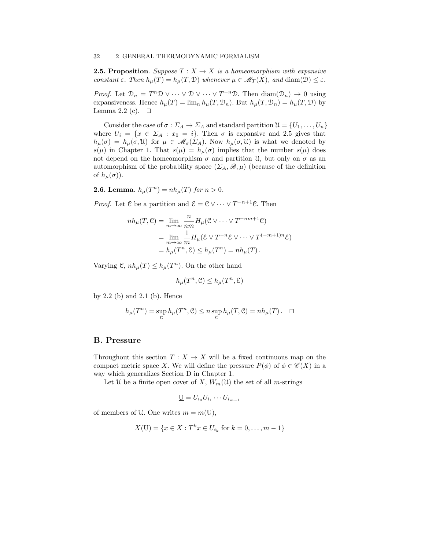**2.5. Proposition**. Suppose  $T : X \to X$  is a homeomorphism with expansive constant  $\varepsilon$ . Then  $h_{\mu}(T) = h_{\mu}(T, \mathcal{D})$  whenever  $\mu \in \mathcal{M}_T(X)$ , and  $\text{diam}(\mathcal{D}) \leq \varepsilon$ .

*Proof.* Let  $\mathcal{D}_n = T^n \mathcal{D} \vee \cdots \vee \mathcal{D} \vee \cdots \vee T^{-n} \mathcal{D}$ . Then  $\text{diam}(\mathcal{D}_n) \to 0$  using expansiveness. Hence  $h_\mu(T) = \lim_n h_\mu(T, \mathcal{D}_n)$ . But  $h_\mu(T, \mathcal{D}_n) = h_\mu(T, \mathcal{D})$  by Lemma 2.2 (c).  $\Box$ 

Consider the case of  $\sigma : \Sigma_A \to \Sigma_A$  and standard partition  $\mathcal{U} = \{U_1, \ldots, U_n\}$ where  $U_i = \{ \underline{x} \in \Sigma_A : x_0 = i \}.$  Then  $\sigma$  is expansive and 2.5 gives that  $h_{\mu}(\sigma) = h_{\mu}(\sigma, \mathfrak{U})$  for  $\mu \in \mathcal{M}_{\sigma}(\Sigma_A)$ . Now  $h_{\mu}(\sigma, \mathfrak{U})$  is what we denoted by  $s(\mu)$  in Chapter 1. That  $s(\mu) = h_{\mu}(\sigma)$  implies that the number  $s(\mu)$  does not depend on the homeomorphism  $\sigma$  and partition U, but only on  $\sigma$  as an automorphism of the probability space  $(\Sigma_A, \mathscr{B}, \mu)$  (because of the definition of  $h_\mu(\sigma)$ ).

**2.6. Lemma**.  $h_{\mu}(T^n) = nh_{\mu}(T)$  for  $n > 0$ .

*Proof.* Let C be a partition and  $\mathcal{E} = \mathcal{C} \vee \cdots \vee T^{-n+1}\mathcal{C}$ . Then

$$
nh_{\mu}(T, \mathcal{C}) = \lim_{m \to \infty} \frac{n}{nm} H_{\mu}(\mathcal{C} \vee \cdots \vee T^{-nm+1} \mathcal{C})
$$
  
= 
$$
\lim_{m \to \infty} \frac{1}{m} H_{\mu}(\mathcal{E} \vee T^{-n} \mathcal{E} \vee \cdots \vee T^{(-m+1)n} \mathcal{E})
$$
  
= 
$$
h_{\mu}(T^n, \mathcal{E}) \le h_{\mu}(T^n) = nh_{\mu}(T).
$$

Varying  $\mathfrak{C}, nh_{\mu}(T) \leq h_{\mu}(T^n)$ . On the other hand

$$
h_{\mu}(T^n, \mathcal{C}) \le h_{\mu}(T^n, \mathcal{E})
$$

by 2.2 (b) and 2.1 (b). Hence

$$
h_\mu(T^n)=\sup_{\mathcal{C}}h_\mu(T^n,\mathcal{C})\leq n\sup_{\mathcal{C}}h_\mu(T,\mathcal{C})=nh_\mu(T)\,.\quad \Box
$$

## B. Pressure

Throughout this section  $T : X \to X$  will be a fixed continuous map on the compact metric space X. We will define the pressure  $P(\phi)$  of  $\phi \in \mathscr{C}(X)$  in a way which generalizes Section D in Chapter 1.

Let U be a finite open cover of X,  $W_m(\mathfrak{U})$  the set of all m-strings

$$
\underline{\mathbf{U}} = U_{i_0} U_{i_1} \cdots U_{i_{m-1}}
$$

of members of  $\mathfrak U$ . One writes  $m = m(\underline{U})$ ,

$$
X(\underline{\mathbf{U}}) = \{ x \in X : T^k x \in U_{i_k} \text{ for } k = 0, ..., m - 1 \}
$$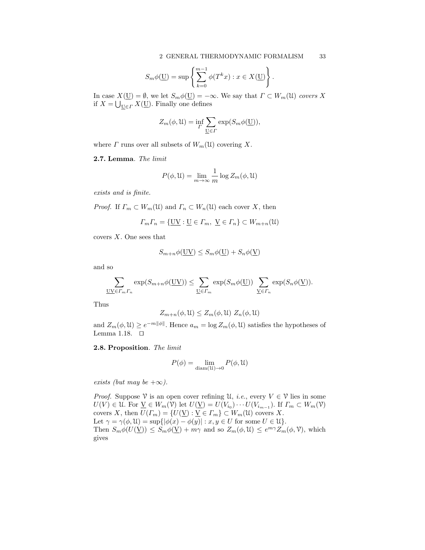$$
S_m\phi(\underline{\mathbf{U}}) = \sup \left\{ \sum_{k=0}^{m-1} \phi(T^k x) : x \in X(\underline{\mathbf{U}}) \right\}.
$$

In case  $X(\underline{U}) = \emptyset$ , we let  $S_m \phi(\underline{U}) = -\infty$ . We say that  $\Gamma \subset W_m(\mathfrak{U})$  covers X if  $X = \bigcup_{\underline{\mathbf{U}} \in \Gamma} X(\underline{\mathbf{U}})$ . Finally one defines

$$
Z_m(\phi, \mathfrak{U}) = \inf_{\Gamma} \sum_{\underline{\mathbf{U}} \in \Gamma} \exp(S_m \phi(\underline{\mathbf{U}})),
$$

where  $\Gamma$  runs over all subsets of  $W_m(\mathfrak{U})$  covering X.

#### 2.7. Lemma. The limit

$$
P(\phi, \mathfrak{U}) = \lim_{m \to \infty} \frac{1}{m} \log Z_m(\phi, \mathfrak{U})
$$

exists and is finite.

*Proof.* If  $\Gamma_m \subset W_m(\mathfrak{U})$  and  $\Gamma_n \subset W_n(\mathfrak{U})$  each cover X, then

$$
\Gamma_m \Gamma_n = \{ \underline{\mathbf{U}} \underline{\mathbf{V}} : \underline{\mathbf{U}} \in \Gamma_m, \ \underline{\mathbf{V}} \in \Gamma_n \} \subset W_{m+n}(\mathbf{U})
$$

covers X. One sees that

$$
S_{m+n}\phi(\underline{UV}) \le S_m\phi(\underline{U}) + S_n\phi(\underline{V})
$$

and so

$$
\sum_{\underline{\text{UV}} \in \Gamma_m \Gamma_n} \exp(S_{m+n} \phi(\underline{\text{UV}})) \leq \sum_{\underline{\text{U}} \in \Gamma_m} \exp(S_m \phi(\underline{\text{U}})) \sum_{\underline{\text{V}} \in \Gamma_n} \exp(S_n \phi(\underline{\text{V}})).
$$

Thus

$$
Z_{m+n}(\phi, \mathfrak{U}) \le Z_m(\phi, \mathfrak{U}) \ Z_n(\phi, \mathfrak{U})
$$

and  $Z_m(\phi, \mathfrak{U}) \geq e^{-m||\phi||}$ . Hence  $a_m = \log Z_m(\phi, \mathfrak{U})$  satisfies the hypotheses of Lemma 1.18.  $\Box$ 

2.8. Proposition. The limit

$$
P(\phi) = \lim_{\text{diam}(\mathcal{U}) \to 0} P(\phi, \mathcal{U})
$$

exists (but may be  $+\infty$ ).

*Proof.* Suppose V is an open cover refining U, *i.e.*, every  $V \in \mathcal{V}$  lies in some  $U(V) \in \mathcal{U}$ . For  $\underline{V} \in W_m(\mathcal{V})$  let  $U(\underline{V}) = U(V_{i_0}) \cdots U(V_{i_{m-1}})$ . If  $\Gamma_m \subset W_m(\mathcal{V})$ covers X, then  $U(\Gamma_m) = \{U(\underline{V}) : \underline{V} \in \Gamma_m\} \subset W_m(\mathfrak{U})$  covers X. Let  $\gamma = \gamma(\phi, \mathfrak{U}) = \sup \{ |\phi(x) - \phi(y)| : x, y \in U \text{ for some } U \in \mathfrak{U} \}.$ Then  $S_m\phi(U(\underline{V})) \leq S_m\phi(\underline{V}) + m\gamma$  and so  $Z_m(\phi, \mathfrak{U}) \leq e^{m\gamma}Z_m(\phi, \mathfrak{V})$ , which gives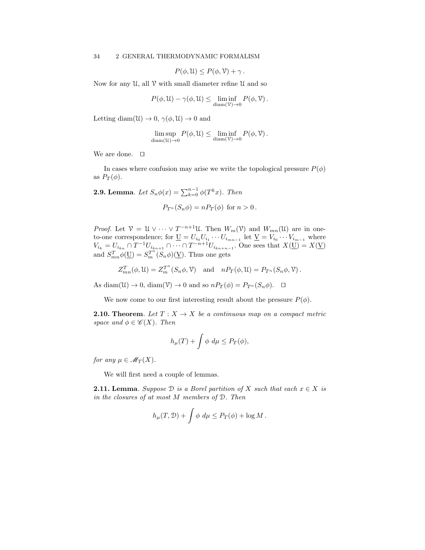$$
P(\phi, \mathcal{U}) \le P(\phi, \mathcal{V}) + \gamma.
$$

Now for any  $\mathfrak{U}$ , all  $\mathfrak{V}$  with small diameter refine  $\mathfrak{U}$  and so

$$
P(\phi, \mathcal{U}) - \gamma(\phi, \mathcal{U}) \leq \liminf_{\text{diam}(\mathcal{V}) \to 0} P(\phi, \mathcal{V}).
$$

Letting diam( $\mathcal{U}$ )  $\rightarrow$  0,  $\gamma(\phi, \mathcal{U})$   $\rightarrow$  0 and

$$
\limsup_{\text{diam}(\mathcal{U}) \to 0} P(\phi, \mathcal{U}) \le \liminf_{\text{diam}(\mathcal{V}) \to 0} P(\phi, \mathcal{V}).
$$

We are done.  $\square$ 

In cases where confusion may arise we write the topological pressure  $P(\phi)$ as  $P_T(\phi)$ .

**2.9. Lemma**. Let  $S_n \phi(x) = \sum_{k=0}^{n-1} \phi(T^k x)$ . Then

$$
P_{T^n}(S_n \phi) = n P_T(\phi) \text{ for } n > 0.
$$

*Proof.* Let  $\mathcal{V} = \mathcal{U} \vee \cdots \vee T^{-n+1} \mathcal{U}$ . Then  $W_m(\mathcal{V})$  and  $W_{mn}(\mathcal{U})$  are in oneto-one correspondence; for  $\underline{U} = U_{i_0} U_{i_1} \cdots U_{i_{mn-1}}$  let  $\underline{V} = V_{i_0} \cdots V_{i_{m-1}}$  where  $V_{i_k} = U_{i_{kn}} \cap T^{-1}U_{i_{kn+1}} \cap \cdots \cap T^{-n+1}U_{i_{kn+n-1}}$ . One sees that  $X(\underline{U}) = X(\underline{V})$ and  $S_{mn}^T \phi(\underline{U}) = S_m^{T^n}(S_n \phi)(\underline{V})$ . Thus one gets

$$
Z_{mn}^T(\phi, \mathfrak{U}) = Z_m^{T^n}(S_n \phi, \mathcal{V}) \text{ and } nP_T(\phi, \mathfrak{U}) = P_{T^n}(S_n \phi, \mathcal{V}).
$$

As diam( $\mathcal{U}$ )  $\rightarrow$  0, diam( $\mathcal{V}$ )  $\rightarrow$  0 and so  $nP_T(\phi) = P_{T^n}(S_n\phi)$ .  $\Box$ 

We now come to our first interesting result about the pressure  $P(\phi)$ .

**2.10. Theorem.** Let  $T : X \to X$  be a continuous map on a compact metric space and  $\phi \in \mathscr{C}(X)$ . Then

$$
h_{\mu}(T) + \int \phi \, d\mu \le P_T(\phi),
$$

for any  $\mu \in \mathscr{M}_T(X)$ .

We will first need a couple of lemmas.

**2.11. Lemma.** Suppose  $\mathcal{D}$  is a Borel partition of X such that each  $x \in X$  is in the closures of at most M members of D. Then

$$
h_{\mu}(T,\mathcal{D}) + \int \phi \, d\mu \le P_T(\phi) + \log M.
$$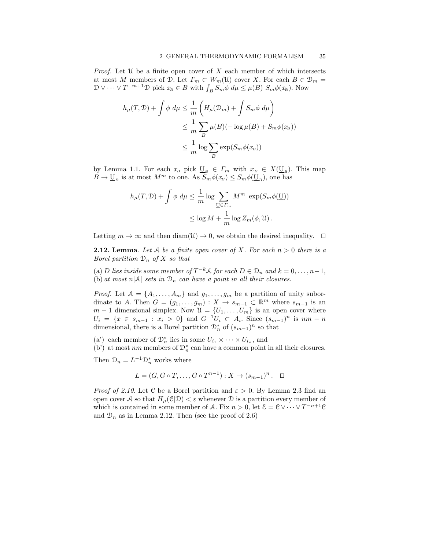*Proof.* Let  $U$  be a finite open cover of  $X$  each member of which intersects at most M members of D. Let  $\varGamma_m \subset W_m(\mathfrak{U})$  cover X. For each  $B \in \mathfrak{D}_m =$  $\mathcal{D} \vee \cdots \vee T^{-m+1} \mathcal{D}$  pick  $x_B \in B$  with  $\int_B S_m \phi \ d\mu \le \mu(B) \ S_m \phi(x_B)$ . Now

$$
h_{\mu}(T, \mathcal{D}) + \int \phi \, d\mu \le \frac{1}{m} \left( H_{\mu}(\mathcal{D}_{m}) + \int S_{m}\phi \, d\mu \right)
$$
  

$$
\le \frac{1}{m} \sum_{B} \mu(B) (-\log \mu(B) + S_{m}\phi(x_{B}))
$$
  

$$
\le \frac{1}{m} \log \sum_{B} \exp(S_{m}\phi(x_{B}))
$$

by Lemma 1.1. For each  $x_B$  pick  $\underline{U}_B \in \Gamma_m$  with  $x_B \in X(\underline{U}_B)$ . This map  $B \to \underline{U}_B$  is at most  $M^m$  to one. As  $S_m \phi(x_B) \leq S_m \phi(\underline{U}_B)$ , one has

$$
h_{\mu}(T, \mathcal{D}) + \int \phi \, d\mu \le \frac{1}{m} \log \sum_{\underline{U} \in \Gamma_m} M^m \, \exp(S_m \phi(\underline{U}))
$$
  

$$
\le \log M + \frac{1}{m} \log Z_m(\phi, \mathcal{U}).
$$

Letting  $m \to \infty$  and then diam( $\mathcal{U}$ )  $\to 0$ , we obtain the desired inequality.  $\square$ 

**2.12. Lemma**. Let A be a finite open cover of X. For each  $n > 0$  there is a Borel partition  $\mathcal{D}_n$  of X so that

(a) D lies inside some member of  $T^{-k}A$  for each  $D \in \mathcal{D}_n$  and  $k = 0, \ldots, n-1$ , (b) at most  $n|\mathcal{A}|$  sets in  $\mathcal{D}_n$  can have a point in all their closures.

*Proof.* Let  $A = \{A_1, \ldots, A_m\}$  and  $g_1, \ldots, g_m$  be a partition of unity subordinate to A. Then  $G = (g_1, \ldots, g_m) : X \to s_{m-1} \subset \mathbb{R}^m$  where  $s_{m-1}$  is an  $m-1$  dimensional simplex. Now  $\mathcal{U} = \{U_1, \ldots, U_m\}$  is an open cover where  $U_i = \{ \underline{x} \in s_{m-1} : x_i > 0 \}$  and  $G^{-1}U_i \subset A_i$ . Since  $(s_{m-1})^n$  is  $nm - n$ dimensional, there is a Borel partition  $\mathcal{D}_n^*$  of  $(s_{m-1})^n$  so that

(a') each member of  $\mathcal{D}_n^*$  lies in some  $U_{i_1} \times \cdots \times U_{i_n}$ , and (b') at most  $nm$  members of  $\mathcal{D}_n^*$  can have a common point in all their closures.

Then  $\mathcal{D}_n = L^{-1} \mathcal{D}_n^*$  works where

$$
L = (G, G \circ T, \dots, G \circ T^{n-1}) : X \to (s_{m-1})^n. \quad \Box
$$

*Proof of 2.10.* Let C be a Borel partition and  $\varepsilon > 0$ . By Lemma 2.3 find an open cover A so that  $H_{\mu}(\mathcal{C}|\mathcal{D}) < \varepsilon$  whenever D is a partition every member of which is contained in some member of A. Fix  $n > 0$ , let  $\mathcal{E} = \mathcal{C} \vee \cdots \vee T^{-n+1} \mathcal{C}$ and  $\mathcal{D}_n$  as in Lemma 2.12. Then (see the proof of 2.6)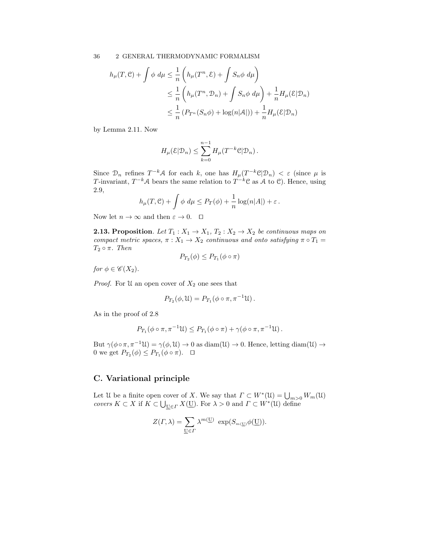36 2 GENERAL THERMODYNAMIC FORMALISM

$$
h_{\mu}(T, \mathcal{C}) + \int \phi \, d\mu \le \frac{1}{n} \left( h_{\mu}(T^n, \mathcal{E}) + \int S_n \phi \, d\mu \right)
$$
  

$$
\le \frac{1}{n} \left( h_{\mu}(T^n, \mathcal{D}_n) + \int S_n \phi \, d\mu \right) + \frac{1}{n} H_{\mu}(\mathcal{E}|\mathcal{D}_n)
$$
  

$$
\le \frac{1}{n} \left( P_{T^n}(S_n \phi) + \log(n|\mathcal{A}|) \right) + \frac{1}{n} H_{\mu}(\mathcal{E}|\mathcal{D}_n)
$$

by Lemma 2.11. Now

$$
H_{\mu}(\mathcal{E}|\mathcal{D}_n) \leq \sum_{k=0}^{n-1} H_{\mu}(T^{-k}\mathcal{C}|\mathcal{D}_n).
$$

Since  $\mathcal{D}_n$  refines  $T^{-k}\mathcal{A}$  for each k, one has  $H_\mu(T^{-k}\mathcal{C}|\mathcal{D}_n) < \varepsilon$  (since  $\mu$  is T-invariant,  $T^{-k}A$  bears the same relation to  $T^{-k}C$  as A to C). Hence, using 2.9,

$$
h_{\mu}(T, \mathcal{C}) + \int \phi \, d\mu \le P_T(\phi) + \frac{1}{n} \log(n|A|) + \varepsilon \, .
$$

Now let  $n \to \infty$  and then  $\varepsilon \to 0$ .  $\Box$ 

**2.13. Proposition.** Let  $T_1: X_1 \to X_1, T_2: X_2 \to X_2$  be continuous maps on compact metric spaces,  $\pi : X_1 \to X_2$  continuous and onto satisfying  $\pi \circ T_1 =$  $T_2 \circ \pi$ . Then

$$
P_{T_2}(\phi) \le P_{T_1}(\phi \circ \pi)
$$

for  $\phi \in \mathscr{C}(X_2)$ .

*Proof.* For  $\mathcal U$  an open cover of  $X_2$  one sees that

$$
P_{T_2}(\phi, \mathfrak{U}) = P_{T_1}(\phi \circ \pi, \pi^{-1} \mathfrak{U}).
$$

As in the proof of 2.8

$$
P_{T_1}(\phi \circ \pi, \pi^{-1} \mathcal{U}) \leq P_{T_1}(\phi \circ \pi) + \gamma(\phi \circ \pi, \pi^{-1} \mathcal{U}).
$$

But  $\gamma(\phi \circ \pi, \pi^{-1} \mathcal{U}) = \gamma(\phi, \mathcal{U}) \to 0$  as diam( $\mathcal{U} \to 0$ . Hence, letting diam( $\mathcal{U} \to \mathcal{U}$ ) 0 we get  $P_{T_2}(\phi) \leq P_{T_1}(\phi \circ \pi)$ .  $\Box$ 

## C. Variational principle

Let U be a finite open cover of X. We say that  $\Gamma \subset W^*(\mathfrak{U}) = \bigcup_{m>0} W_m(\mathfrak{U})$ covers  $K \subset X$  if  $K \subset \bigcup_{\underline{U} \in \Gamma} X(\underline{U})$ . For  $\lambda > 0$  and  $\Gamma \subset W^*(\mathfrak{U})$  define

$$
Z(\Gamma,\lambda) = \sum_{\underline{\mathbf{U}} \in \Gamma} \lambda^{m(\underline{\mathbf{U}})} \exp(S_{m(\underline{\mathbf{U}})}\phi(\underline{\mathbf{U}})).
$$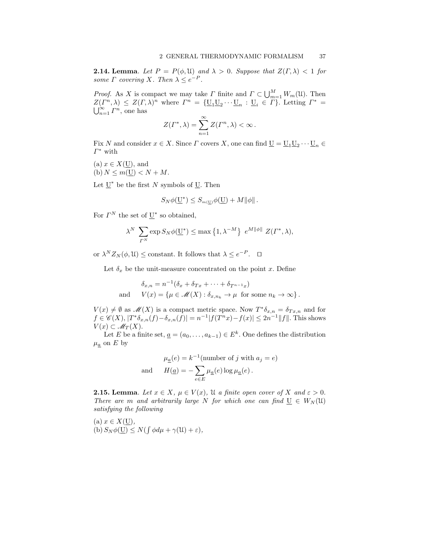**2.14. Lemma.** Let  $P = P(\phi, \mathfrak{U})$  and  $\lambda > 0$ . Suppose that  $Z(\Gamma, \lambda) < 1$  for some  $\Gamma$  covering X. Then  $\lambda \leq e^{-P}$ .

*Proof.* As X is compact we may take  $\Gamma$  finite and  $\Gamma \subset \bigcup_{m=1}^M W_m(\mathfrak{U})$ . Then  $Z(\Gamma^n, \lambda) \leq Z(\Gamma, \lambda)^n$  where  $\Gamma^n = {\{\underline{\mathrm{U}}_1 \underline{\mathrm{U}}_2 \cdots \underline{\mathrm{U}}_n : \underline{\mathrm{U}}_i \in \Gamma\}}$ . Letting  $\Gamma^* =$  $\bigcup_{n=1}^{\infty} \overline{\Gamma^n}$ , one has

$$
Z(\Gamma^*, \lambda) = \sum_{n=1}^{\infty} Z(\Gamma^n, \lambda) < \infty.
$$

Fix N and consider  $x \in X$ . Since  $\Gamma$  covers X, one can find  $\underline{\mathbf{U}} = \underline{\mathbf{U}}_1 \underline{\mathbf{U}}_2 \cdots \underline{\mathbf{U}}_n \in$  $\Gamma^*$  with

(a)  $x \in X(\underline{U})$ , and (b)  $N \leq m(U) < N + M$ .

Let  $\underline{U}^*$  be the first N symbols of  $\underline{U}$ . Then

$$
S_N\phi(\underline{\mathbf{U}}^*) \leq S_{m(\underline{\mathbf{U}})}\phi(\underline{\mathbf{U}}) + M\|\phi\|.
$$

For  $\Gamma^N$  the set of  $\underline{\mathbf{U}}^*$  so obtained,

$$
\lambda^N \sum_{\Gamma^N} \exp S_N \phi(\underline{\mathbf{U}}^*) \le \max \left\{ 1, \lambda^{-M} \right\} e^{M \|\phi\|} Z(\Gamma^*, \lambda),
$$

or  $\lambda^N Z_N(\phi, \mathfrak{U}) \leq \text{constant}$ . It follows that  $\lambda \leq e^{-P}$ .  $\Box$ 

Let  $\delta_x$  be the unit-measure concentrated on the point x. Define

$$
\delta_{x,n} = n^{-1}(\delta_x + \delta_{Tx} + \dots + \delta_{T^{n-1}x})
$$
  
and 
$$
V(x) = \{ \mu \in \mathcal{M}(X) : \delta_{x,n_k} \to \mu \text{ for some } n_k \to \infty \}.
$$

 $V(x) \neq \emptyset$  as  $\mathscr{M}(X)$  is a compact metric space. Now  $T^*\delta_{x,n} = \delta_{Tx,n}$  and for  $f \in \mathscr{C}(X), |T^*\delta_{x,n}(f) - \delta_{x,n}(f)| = n^{-1}|f(T^nx) - f(x)| \le 2n^{-1}||f||$ . This shows  $V(x) \subset \mathscr{M}_T(X)$ .

Let E be a finite set,  $\underline{a} = (a_0, \ldots, a_{k-1}) \in E^k$ . One defines the distribution  $\mu_{\underline{a}}$  on E by

$$
\mu_{\underline{a}}(e) = k^{-1}(\text{number of } j \text{ with } a_j = e)
$$
  
and 
$$
H(\underline{a}) = -\sum_{e \in E} \mu_{\underline{a}}(e) \log \mu_{\underline{a}}(e).
$$

**2.15. Lemma**. Let  $x \in X$ ,  $\mu \in V(x)$ , U a finite open cover of X and  $\varepsilon > 0$ . There are m and arbitrarily large N for which one can find  $\underline{U} \in W_N(\mathfrak{U})$ satisfying the following

(a)  $x \in X(\underline{U}),$ (b)  $S_N \phi(\underline{U}) \leq N(\int \phi d\mu + \gamma(\mathfrak{U}) + \varepsilon),$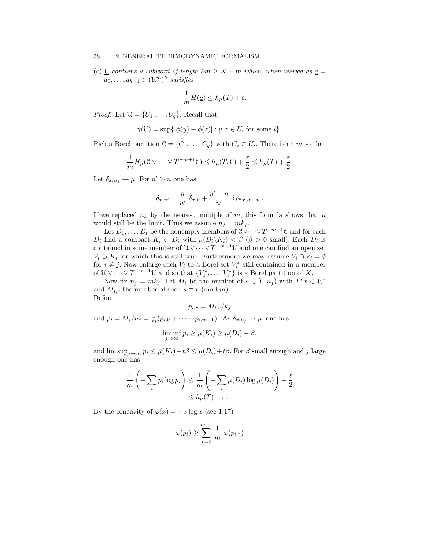#### 38 2 GENERAL THERMODYNAMIC FORMALISM

(c) U contains a subword of length km  $\geq N-m$  which, when viewed as  $\underline{a} =$  $a_0, \ldots, a_{k-1} \in (\mathcal{U}^m)^k$  satisfies

$$
\frac{1}{m}H(\underline{a}) \le h_{\mu}(T) + \varepsilon.
$$

*Proof.* Let  $\mathcal{U} = \{U_1, \ldots, U_q\}$ . Recall that

$$
\gamma(\mathfrak{U}) = \sup\{|\phi(y) - \phi(z)| : y, z \in U_i \text{ for some } i\}.
$$

Pick a Borel partition  $\mathcal{C} = \{C_1, \ldots, C_q\}$  with  $\overline{C}_i \subset U_i$ . There is an m so that

$$
\frac{1}{m}H_{\mu}(\mathcal{C}\vee\cdots\vee T^{-m+1}\mathcal{C})\leq h_{\mu}(T,\mathcal{C})+\frac{\varepsilon}{2}\leq h_{\mu}(T)+\frac{\varepsilon}{2}.
$$

Let  $\delta_{x,n_j} \to \mu$ . For  $n' > n$  one has

$$
\delta_{x,n'} = \frac{n}{n'} \; \delta_{x,n} + \frac{n'-n}{n'} \; \delta_{T^n x, n'-n} \, .
$$

If we replaced  $n_k$  by the nearest multiple of m, this formula shows that  $\mu$ would still be the limit. Thus we assume  $n_j = mk_j$ .

Let  $D_1, \ldots, D_t$  be the nonempty members of  $\mathfrak{C} \vee \cdots \vee T^{-m+1}\mathfrak{C}$  and for each  $D_i$  find a compact  $K_i \subset D_i$  with  $\mu(D_i \backslash K_i) < \beta \ (\beta > 0 \text{ small})$ . Each  $D_i$  is contained in some member of  $\mathcal{U} \vee \cdots \vee T^{-m+1}\mathcal{U}$  and one can find an open set  $V_i \supset K_i$  for which this is still true. Furthermore we may assume  $V_i \cap V_j = \emptyset$ for  $i \neq j$ . Now enlarge each  $V_i$  to a Borel set  $V_i^*$  still contained in a member of  $\mathcal{U} \vee \cdots \vee T^{-m+1}\mathcal{U}$  and so that  $\{V_1^*, \ldots, V_t^*\}$  is a Borel partition of X.

Now fix  $n_j = mk_j$ . Let  $M_i$  be the number of  $s \in [0, n_j)$  with  $T^s x \in V_i^*$ and  $M_{i,r}$  the number of such  $s \equiv r \pmod{m}$ . Define

$$
p_{i,r} = M_{i,r}/k_j
$$

and  $p_i = M_i/n_j = \frac{1}{m}(p_{i,0} + \cdots + p_{i,m-1})$ . As  $\delta_{x,n_j} \to \mu$ , one has  $\liminf_{j\to\infty} p_i \geq \mu(K_i) \geq \mu(D_i) - \beta,$ 

and 
$$
\limsup_{j\to\infty} p_i \le \mu(K_i) + t\beta \le \mu(D_i) + t\beta
$$
. For  $\beta$  small enough and j large enough one has

$$
\frac{1}{m} \left( -\sum_{i} p_i \log p_i \right) \leq \frac{1}{m} \left( -\sum_{i} \mu(D_i) \log \mu(D_i) \right) + \frac{\varepsilon}{2}
$$

$$
\leq h_{\mu}(T) + \varepsilon.
$$

By the concavity of  $\varphi(x) = -x \log x$  (see 1.17)

$$
\varphi(p_i) \geq \sum_{r=0}^{m-1} \frac{1}{m} \varphi(p_{i,r})
$$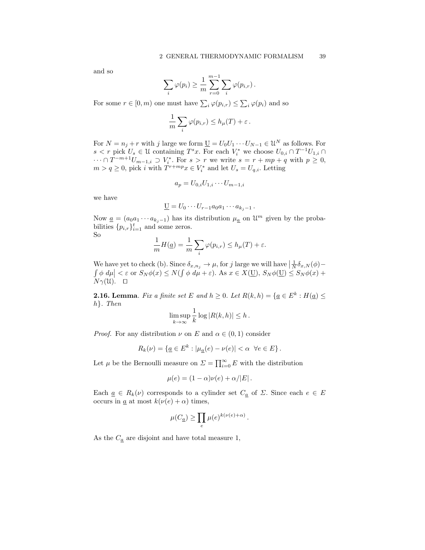and so

$$
\sum_{i} \varphi(p_i) \geq \frac{1}{m} \sum_{r=0}^{m-1} \sum_{i} \varphi(p_{i,r}).
$$

For some  $r \in [0, m)$  one must have  $\sum_i \varphi(p_{i,r}) \leq \sum_i \varphi(p_i)$  and so

$$
\frac{1}{m}\sum_i \varphi(p_{i,r}) \leq h_\mu(T) + \varepsilon \, .
$$

For  $N = n_j + r$  with j large we form  $\underline{U} = U_0 U_1 \cdots U_{N-1} \in \mathcal{U}^N$  as follows. For  $s < r$  pick  $U_s \in \mathcal{U}$  containing  $T^s x$ . For each  $V_i^*$  we choose  $U_{0,i} \cap T^{-1}U_{1,i} \cap$  $\cdots \cap T^{-m+1}U_{m-1,i} \supset V_i^*$ . For  $s > r$  we write  $s = r + mp + q$  with  $p \geq 0$ ,  $m > q \geq 0$ , pick i with  $T^{r+mp}x \in V_i^*$  and let  $U_s = U_{q,i}$ . Letting

$$
a_p = U_{0,i}U_{1,i}\cdots U_{m-1,i}
$$

we have

$$
\underline{\mathbf{U}} = U_0 \cdots U_{r-1} a_0 a_1 \cdots a_{k_j-1}.
$$

Now  $\underline{a} = (a_0 a_1 \cdots a_{k_j-1})$  has its distribution  $\mu_{\underline{a}}$  on  $\mathcal{U}^m$  given by the probabilities  $\{p_{i,r}\}_{i=1}^t$  and some zeros. So

$$
\frac{1}{m}H(\underline{a}) = \frac{1}{m}\sum_{i}\varphi(p_{i,r}) \le h_{\mu}(T) + \varepsilon.
$$

We have yet to check (b). Since  $\delta_{x,n_j} \to \mu$ , for j large we will have  $\frac{1}{N} \delta_{x,N}(\phi) \int \phi \, d\mu \, < \varepsilon$  or  $S_N \phi(x) \leq N(\int \phi \, d\mu + \varepsilon)$ . As  $x \in X(\underline{U})$ ,  $S_N \phi(\underline{U}) \leq S_N \phi(x) +$  $N\gamma(\mathfrak{U})$ .  $\Box$ 

**2.16. Lemma**. Fix a finite set E and  $h \ge 0$ . Let  $R(k, h) = \{ \underline{a} \in E^k : H(\underline{a}) \le$ h}. Then

$$
\limsup_{k \to \infty} \frac{1}{k} \log |R(k, h)| \leq h.
$$

*Proof.* For any distribution  $\nu$  on E and  $\alpha \in (0,1)$  consider

$$
R_k(\nu) = \{ \underline{a} \in E^k : |\mu_{\underline{a}}(e) - \nu(e)| < \alpha \ \forall e \in E \}.
$$

Let  $\mu$  be the Bernoulli measure on  $\Sigma = \prod_{i=0}^{\infty} E$  with the distribution

$$
\mu(e) = (1 - \alpha)\nu(e) + \alpha/|E|.
$$

Each  $\underline{a} \in R_k(\nu)$  corresponds to a cylinder set  $C_{\underline{a}}$  of  $\Sigma$ . Since each  $e \in E$ occurs in <u>a</u> at most  $k(\nu(e) + \alpha)$  times,

$$
\mu(C_{\underline{a}}) \geq \prod_e \mu(e)^{k(\nu(e)+\alpha)}\,.
$$

As the  $C_{\underline{a}}$  are disjoint and have total measure 1,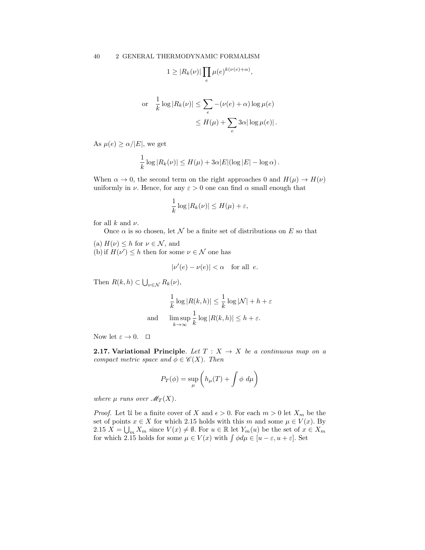$$
1 \geq |R_k(\nu)| \prod_e \mu(e)^{k(\nu(e) + \alpha)},
$$

or 
$$
\frac{1}{k} \log |R_k(\nu)| \le \sum_e -(\nu(e) + \alpha) \log \mu(e)
$$
  
 $\le H(\mu) + \sum_e 3\alpha |\log \mu(e)|.$ 

As  $\mu(e) \ge \alpha / |E|$ , we get

$$
\frac{1}{k}\log|R_k(\nu)| \le H(\mu) + 3\alpha |E|(\log|E| - \log \alpha) .
$$

When  $\alpha \to 0$ , the second term on the right approaches 0 and  $H(\mu) \to H(\nu)$ uniformly in  $\nu$ . Hence, for any  $\varepsilon > 0$  one can find  $\alpha$  small enough that

$$
\frac{1}{k}\log|R_k(\nu)| \le H(\mu) + \varepsilon,
$$

for all k and  $\nu$ .

Once  $\alpha$  is so chosen, let N be a finite set of distributions on E so that

(a)  $H(\nu) \leq h$  for  $\nu \in \mathcal{N}$ , and (b) if  $H(\nu') \leq h$  then for some  $\nu \in \mathcal{N}$  one has

$$
|\nu'(e) - \nu(e)| < \alpha \quad \text{for all } e.
$$

Then  $R(k, h) \subset \bigcup_{\nu \in \mathcal{N}} R_k(\nu)$ ,

$$
\frac{1}{k}\log|R(k,h)| \leq \frac{1}{k}\log|\mathcal{N}| + h + \varepsilon
$$
  
and 
$$
\limsup_{k \to \infty} \frac{1}{k}\log|R(k,h)| \leq h + \varepsilon.
$$

Now let  $\varepsilon \to 0$ .  $\Box$ 

**2.17. Variational Principle.** Let  $T : X \rightarrow X$  be a continuous map on a compact metric space and  $\phi \in \mathscr{C}(X)$ . Then

$$
P_T(\phi) = \sup_{\mu} \left( h_{\mu}(T) + \int \phi \ d\mu \right)
$$

where  $\mu$  runs over  $\mathcal{M}_T(X)$ .

*Proof.* Let U be a finite cover of X and  $\epsilon > 0$ . For each  $m > 0$  let  $X_m$  be the set of points  $x \in X$  for which 2.15 holds with this m and some  $\mu \in V(x)$ . By 2.15  $X = \bigcup_m X_m$  since  $V(x) \neq \emptyset$ . For  $u \in \mathbb{R}$  let  $Y_m(u)$  be the set of  $x \in X_m$ for which 2.15 holds for some  $\mu \in V(x)$  with  $\int \phi d\mu \in [u - \varepsilon, u + \varepsilon]$ . Set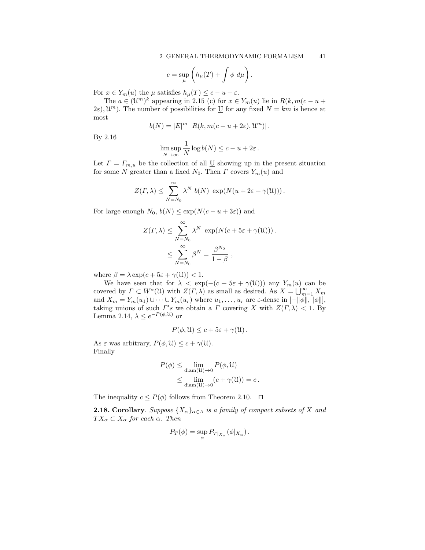$$
c = \sup_{\mu} \left( h_{\mu}(T) + \int \phi \, d\mu \right).
$$

For  $x \in Y_m(u)$  the  $\mu$  satisfies  $h_\mu(T) \leq c - u + \varepsilon$ .

The  $\underline{a} \in (\mathcal{U}^m)^k$  appearing in 2.15 (c) for  $x \in Y_m(u)$  lie in  $R(k, m(c - u +$  $(2\varepsilon)$ ,  $\mathcal{U}^m$ ). The number of possibilities for U for any fixed  $N = km$  is hence at most

$$
b(N) = |E|^m |R(k, m(c - u + 2\varepsilon), \mathfrak{U}^m)|.
$$

By 2.16

$$
\limsup_{N \to \infty} \frac{1}{N} \log b(N) \leq c - u + 2\varepsilon.
$$

Let  $\Gamma = \Gamma_{m,u}$  be the collection of all U showing up in the present situation for some N greater than a fixed  $N_0$ . Then  $\Gamma$  covers  $Y_m(u)$  and

$$
Z(\Gamma,\lambda) \leq \sum_{N=N_0}^{\infty} \lambda^N b(N) \exp(N(u+2\varepsilon + \gamma(\mathfrak{U}))).
$$

For large enough  $N_0$ ,  $b(N) \leq \exp(N(c - u + 3\varepsilon))$  and

$$
Z(\Gamma,\lambda) \leq \sum_{N=N_0}^{\infty} \lambda^N \exp(N(c+5\varepsilon + \gamma(\mathfrak{U}))).
$$
  

$$
\leq \sum_{N=N_0}^{\infty} \beta^N = \frac{\beta^{N_0}}{1-\beta},
$$

where  $\beta = \lambda \exp(c + 5\varepsilon + \gamma(\mathfrak{U})) < 1$ .

We have seen that for  $\lambda < \exp(-(c + 5\varepsilon + \gamma(\mathfrak{U})))$  any  $Y_m(u)$  can be covered by  $\Gamma \subset W^*(\mathfrak{U})$  with  $Z(\Gamma, \lambda)$  as small as desired. As  $X = \bigcup_{m=1}^{\infty} X_m$ and  $X_m = Y_m(u_1) \cup \cdots \cup Y_m(u_r)$  where  $u_1, \ldots, u_r$  are  $\varepsilon$ -dense in  $[-||\phi||, ||\phi||]$ , taking unions of such  $\Gamma's$  we obtain a  $\Gamma$  covering X with  $Z(\Gamma,\lambda) < 1$ . By Lemma 2.14,  $\lambda \leq e^{-P(\phi,\mathfrak{U})}$  or

$$
P(\phi, \mathcal{U}) \leq c + 5\varepsilon + \gamma(\mathcal{U}).
$$

As  $\varepsilon$  was arbitrary,  $P(\phi, \mathfrak{U}) \leq c + \gamma(\mathfrak{U})$ . Finally

$$
P(\phi) \le \lim_{\text{diam}(\mathcal{U}) \to 0} P(\phi, \mathcal{U})
$$
  

$$
\le \lim_{\text{diam}(\mathcal{U}) \to 0} (c + \gamma(\mathcal{U})) = c.
$$

The inequality  $c \le P(\phi)$  follows from Theorem 2.10.  $\Box$ 

**2.18. Corollary**. Suppose  $\{X_{\alpha}\}_{{\alpha \in \Lambda}}$  is a family of compact subsets of X and  $TX_{\alpha} \subset X_{\alpha}$  for each  $\alpha$ . Then

$$
P_T(\phi) = \sup_{\alpha} P_{T|_{X_{\alpha}}}(\phi|_{X_{\alpha}}).
$$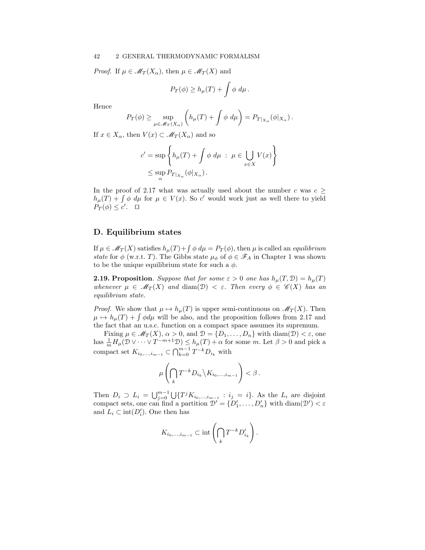### 42 2 GENERAL THERMODYNAMIC FORMALISM

*Proof.* If  $\mu \in \mathcal{M}_T(X_\alpha)$ , then  $\mu \in \mathcal{M}_T(X)$  and

$$
P_T(\phi) \ge h_\mu(T) + \int \phi \ d\mu \, .
$$

Hence

$$
P_T(\phi) \ge \sup_{\mu \in \mathcal{M}_T(X_\alpha)} \left( h_\mu(T) + \int \phi \, d\mu \right) = P_{T|_{X_\alpha}}(\phi|_{X_\alpha}).
$$

If  $x \in X_\alpha$ , then  $V(x) \subset \mathscr{M}_T(X_\alpha)$  and so

$$
c' = \sup \left\{ h_{\mu}(T) + \int \phi \ d\mu \ : \ \mu \in \bigcup_{x \in X} V(x) \right\}
$$

$$
\leq \sup_{\alpha} P_{T|_{X_{\alpha}}}(\phi|_{X_{\alpha}}).
$$

In the proof of 2.17 what was actually used about the number c was  $c \geq$  $h_{\mu}(T) + \int \phi \, d\mu$  for  $\mu \in V(x)$ . So c' would work just as well there to yield  $P_T(\phi) \leq c'$ .  $\Box$ 

## D. Equilibrium states

If  $\mu \in \mathscr{M}_T(X)$  satisfies  $h_\mu(T) + \int \phi \, d\mu = P_T(\phi)$ , then  $\mu$  is called an *equilibrium* state for  $\phi$  (w.r.t. T). The Gibbs state  $\mu_{\phi}$  of  $\phi \in \mathscr{F}_A$  in Chapter 1 was shown to be the unique equilibrium state for such a  $\phi$ .

**2.19. Proposition**. Suppose that for some  $\varepsilon > 0$  one has  $h_{\mu}(T, \mathcal{D}) = h_{\mu}(T)$ whenever  $\mu \in \mathscr{M}_T(X)$  and  $\text{diam}(\mathfrak{D}) < \varepsilon$ . Then every  $\phi \in \mathscr{C}(X)$  has an equilibrium state.

*Proof.* We show that  $\mu \mapsto h_{\mu}(T)$  is upper semi-continuous on  $\mathscr{M}_T(X)$ . Then  $\mu \mapsto h_{\mu}(T) + \int \phi d\mu$  will be also, and the proposition follows from 2.17 and the fact that an u.s.c. function on a compact space assumes its supremum.

Fixing  $\mu \in \mathcal{M}_T(X)$ ,  $\alpha > 0$ , and  $\mathcal{D} = \{D_1, \ldots, D_n\}$  with  $\text{diam}(\mathcal{D}) < \varepsilon$ , one has  $\frac{1}{m}H_{\mu}(\mathcal{D} \vee \cdots \vee T^{-m+1}\mathcal{D}) \leq h_{\mu}(T) + \alpha$  for some m. Let  $\beta > 0$  and pick a compact set  $K_{i_0,\dots,i_{m-1}} \subset \bigcap_{k=0}^{m-1} T^{-k} D_{i_k}$  with

$$
\mu\left(\bigcap_{k} T^{-k} D_{i_k} \backslash K_{i_0,\dots,i_{m-1}}\right) < \beta.
$$

Then  $D_i \supset L_i = \bigcup_{j=0}^{m-1} \bigcup \{T^j K_{i_0,\dots,i_{m-1}} : i_j = i\}.$  As the  $L_i$  are disjoint compact sets, one can find a partition  $\mathcal{D}' = \{D'_1, \ldots, D'_n\}$  with  $\text{diam}(\mathcal{D}') < \varepsilon$ and  $L_i \subset \text{int}(D_i')$ . One then has

$$
K_{i_0,\dots,i_{m-1}} \subset \mathrm{int}\left(\bigcap_k T^{-k} D'_{i_k}\right).
$$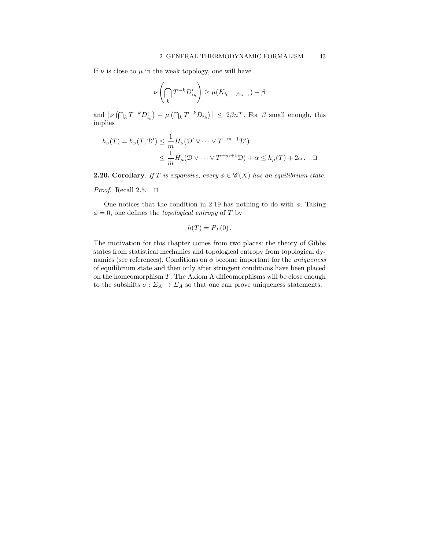If  $\nu$  is close to  $\mu$  in the weak topology, one will have

$$
\nu\left(\bigcap_{k} T^{-k} D'_{i_k}\right) \ge \mu(K_{i_0,\dots,i_{m-1}}) - \beta
$$

and  $|\nu(\bigcap_k T^{-k}D'_{i_k}) - \mu(\bigcap_k T^{-k}D_{i_k})| \leq 2\beta n^m$ . For  $\beta$  small enough, this implies

$$
h_{\nu}(T) = h_{\nu}(T, \mathcal{D}') \leq \frac{1}{m} H_{\nu}(\mathcal{D}' \vee \cdots \vee T^{-m+1} \mathcal{D}')
$$
  

$$
\leq \frac{1}{m} H_{\mu}(\mathcal{D} \vee \cdots \vee T^{-m+1} \mathcal{D}) + \alpha \leq h_{\mu}(T) + 2\alpha. \quad \Box
$$

**2.20. Corollary**. If T is expansive, every  $\phi \in \mathcal{C}(X)$  has an equilibrium state.

*Proof.* Recall 2.5.  $\Box$ 

One notices that the condition in 2.19 has nothing to do with  $\phi$ . Taking  $\phi = 0$ , one defines the *topological entropy* of T by

$$
h(T) = P_T(0) .
$$

The motivation for this chapter comes from two places: the theory of Gibbs states from statistical mechanics and topological entropy from topological dynamics (see references). Conditions on  $\phi$  become important for the *uniqueness* of equilibrium state and then only after stringent conditions have been placed on the homeomorphism  $T$ . The Axiom A diffeomorphisms will be close enough to the subshifts  $\sigma : \Sigma_A \to \Sigma_A$  so that one can prove uniqueness statements.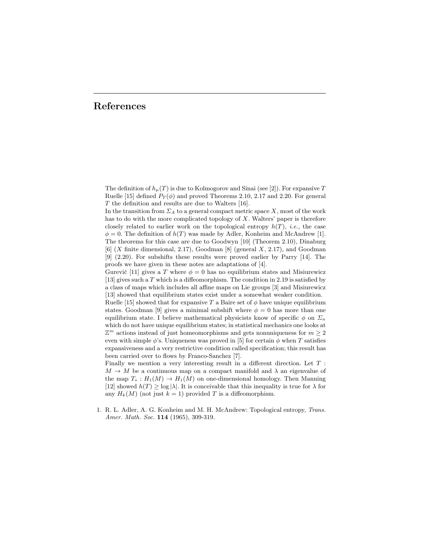# References

The definition of  $h<sub>\mu</sub>(T)$  is due to Kolmogorov and Sinai (see [2]). For expansive T Ruelle [15] defined  $P_T(\phi)$  and proved Theorems 2.10, 2.17 and 2.20. For general T the definition and results are due to Walters [16].

In the transition from  $\Sigma_A$  to a general compact metric space X, most of the work has to do with the more complicated topology of  $X$ . Walters' paper is therefore closely related to earlier work on the topological entropy  $h(T)$ , *i.e.*, the case  $\phi = 0$ . The definition of  $h(T)$  was made by Adler, Konheim and McAndrew [1]. The theorems for this case are due to Goodwyn [10] (Theorem 2.10), Dinaburg [6]  $(X \text{ finite dimensional}, 2.17)$ , Goodman [8] (general X, 2.17), and Goodman [9] (2.20). For subshifts these results were proved earlier by Parry [14]. The proofs we have given in these notes are adaptations of [4].

Gurevič [11] gives a T where  $\phi = 0$  has no equilibrium states and Misiurewicz [13] gives such a T which is a diffeomorphism. The condition in 2.19 is satisfied by a class of maps which includes all affine maps on Lie groups [3] and Misiurewicz [13] showed that equilibrium states exist under a somewhat weaker condition.

Ruelle [15] showed that for expansive T a Baire set of  $\phi$  have unique equilibrium states. Goodman [9] gives a minimal subshift where  $\phi = 0$  has more than one equilibrium state. I believe mathematical physicists know of specific  $\phi$  on  $\Sigma_n$ which do not have unique equilibrium states; in statistical mechanics one looks at  $\mathbb{Z}^m$  actions instead of just homeomorphisms and gets nonuniqueness for  $m \geq 2$ even with simple  $\phi$ 's. Uniqueness was proved in [5] for certain  $\phi$  when T satisfies expansiveness and a very restrictive condition called specification; this result has been carried over to flows by Franco-Sanchez [7].

Finally we mention a very interesting result in a different direction. Let T :  $M \to M$  be a continuous map on a compact manifold and  $\lambda$  an eigenvalue of the map  $T_* : H_1(M) \to H_1(M)$  on one-dimensional homology. Then Manning [12] showed  $h(T) \geq \log |\lambda|$ . It is conceivable that this inequality is true for  $\lambda$  for any  $H_k(M)$  (not just  $k = 1$ ) provided T is a diffeomorphism.

1. R. L. Adler, A. G. Konheim and M. H. McAndrew: Topological entropy, Trans. Amer. Math. Soc. **114** (1965), 309-319.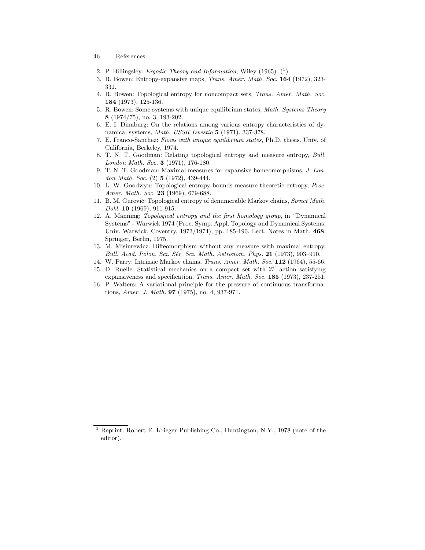- 46 References
- 2. P. Billingsley: *Ergodic Theory and Information*, Wiley  $(1965)$ .  $(^1)$
- 3. R. Bowen: Entropy-expansive maps, Trans. Amer. Math. Soc. 164 (1972), 323- 331.
- 4. R. Bowen: Topological entropy for noncompact sets, Trans. Amer. Math. Soc. 184 (1973), 125-136.
- 5. R. Bowen: Some systems with unique equilibrium states, Math. Systems Theory 8 (1974/75), no. 3, 193-202.
- 6. E. I. Dinaburg: On the relations among various entropy characteristics of dynamical systems, Math. USSR Izvestia 5 (1971), 337-378.
- 7. E. Franco-Sanchez: Flows with unique equilibrium states, Ph.D. thesis. Univ. of California, Berkeley, 1974.
- 8. T. N. T. Goodman: Relating topological entropy and measure entropy, Bull. London Math. Soc. 3 (1971), 176-180.
- 9. T. N. T. Goodman: Maximal measures for expansive homeomorphisms, J. London Math. Soc. (2) **5** (1972), 439-444.
- 10. L. W. Goodwyn: Topological entropy bounds measure-theoretic entropy, Proc. Amer. Math. Soc. 23 (1969), 679-688.
- 11. B. M. Gurevič: Topological entropy of denumerable Markov chains, Soviet Math. Dokl. **10** (1969), 911-915.
- 12. A. Manning: Topological entropy and the first homology group, in "Dynamical Systems" - Warwick 1974 (Proc. Symp. Appl. Topology and Dynamical Systems, Univ. Warwick, Coventry, 1973/1974), pp. 185-190. Lect. Notes in Math. 468, Springer, Berlin, 1975.
- 13. M. Misiurewicz: Diffeomorphism without any measure with maximal entropy, Bull. Acad. Polon. Sci. Sér. Sci. Math. Astronom. Phys. 21 (1973), 903-910.
- 14. W. Parry: Intrinsic Markov chains, Trans. Amer. Math. Soc. 112 (1964), 55-66.
- 15. D. Ruelle: Statistical mechanics on a compact set with  $\mathbb{Z}^{\nu}$  action satisfying expansiveness and specification, Trans. Amer. Math. Soc. 185 (1973), 237-251.
- 16. P. Walters: A variational principle for the pressure of continuous transformations, Amer. J. Math. 97 (1975), no. 4, 937-971.

<sup>1</sup> Reprint: Robert E. Krieger Publishing Co., Huntington, N.Y., 1978 (note of the editor).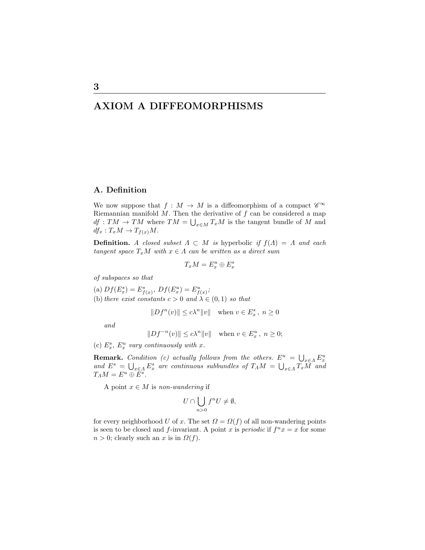# AXIOM A DIFFEOMORPHISMS

## A. Definition

We now suppose that  $f : M \to M$  is a diffeomorphism of a compact  $\mathscr{C}^\infty$ Riemannian manifold  $M$ . Then the derivative of  $f$  can be considered a map  $df: TM \to TM$  where  $TM = \bigcup_{x \in M} T_x M$  is the tangent bundle of M and  $df_x: T_xM \to T_{f(x)}M$ .

**Definition.** A closed subset  $\Lambda \subset M$  is hyperbolic if  $f(\Lambda) = \Lambda$  and each tangent space  $T_xM$  with  $x \in \Lambda$  can be written as a direct sum

$$
T_xM=E_x^u\oplus E_x^s
$$

of subspaces so that

(a)  $Df(E_x^s) = E_{f(x)}^s$ ,  $Df(E_x^u) = E_{f(x)}^u$ ; (b) there exist constants  $c > 0$  and  $\lambda \in (0, 1)$  so that

$$
\|Df^n(v)\|\leq c\lambda^n\|v\|\quad\text{when }v\in E^s_x\,,\ n\geq 0
$$

and

$$
||Df^{-n}(v)|| \le c\lambda^n ||v|| \quad \text{when } v \in E_x^u, \ n \ge 0;
$$

(c)  $E_x^s$ ,  $E_x^u$  vary continuously with x.

**Remark.** Condition (c) actually follows from the others.  $E^u = \bigcup_{x \in \Lambda} E_x^u$  and  $E^s = \bigcup_{x \in \Lambda} E_x^s$  are continuous subbundles of  $T_\Lambda M = \bigcup_{x \in \Lambda} T_x M$  and  $T_A M = E^u \oplus E^s.$ 

A point  $x \in M$  is non-wandering if

$$
U\cap \bigcup_{n>0}f^nU\neq\emptyset,
$$

for every neighborhood U of x. The set  $\Omega = \Omega(f)$  of all non-wandering points is seen to be closed and f-invariant. A point x is *periodic* if  $f^n x = x$  for some  $n > 0$ ; clearly such an x is in  $\Omega(f)$ .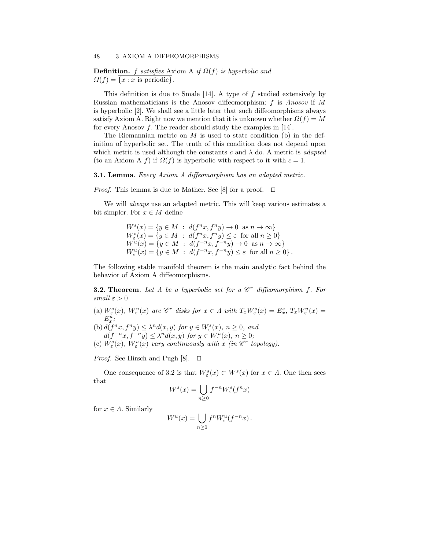#### 48 3 AXIOM A DIFFEOMORPHISMS

**Definition.** f satisfies Axiom A if  $\Omega(f)$  is hyperbolic and  $\Omega(f) = \overline{\{x : x \text{ is periodic}\}}.$ 

This definition is due to Smale  $[14]$ . A type of f studied extensively by Russian mathematicians is the Anosov diffeomorphism: f is Anosov if M is hyperbolic [2]. We shall see a little later that such diffeomorphisms always satisfy Axiom A. Right now we mention that it is unknown whether  $\Omega(f) = M$ for every Anosov f. The reader should study the examples in [14].

The Riemannian metric on  $M$  is used to state condition (b) in the definition of hyperbolic set. The truth of this condition does not depend upon which metric is used although the constants c and  $\lambda$  do. A metric is *adapted* (to an Axiom A f) if  $\Omega(f)$  is hyperbolic with respect to it with  $c = 1$ .

3.1. Lemma. Every Axiom A diffeomorphism has an adapted metric.

*Proof.* This lemma is due to Mather. See [8] for a proof.  $\Box$ 

We will always use an adapted metric. This will keep various estimates a bit simpler. For  $x \in M$  define

> $W^s(x) = \{y \in M : d(f^n x, f^n y) \to 0 \text{ as } n \to \infty\}$  $W^s_{\varepsilon}(x)=\{y\in M\ :\ d(f^nx,f^ny)\leq \varepsilon\ \text{ for all }n\geq 0\}$  $W^u(x) = \{ y \in M : d(f^{-n}x, f^{-n}y) \to 0 \text{ as } n \to \infty \}$  $W^u_{\varepsilon}(x) = \{ y \in M \; : \; d(f^{-n}x, f^{-n}y) \leq \varepsilon \; \text{ for all } n \geq 0 \}.$

The following stable manifold theorem is the main analytic fact behind the behavior of Axiom A diffeomorphisms.

**3.2. Theorem**. Let  $\Lambda$  be a hyperbolic set for a  $\mathscr{C}^r$  diffeomorphism f. For small  $\varepsilon > 0$ 

(a)  $W^s_{\varepsilon}(x)$ ,  $W^u_{\varepsilon}(x)$  are  $\mathscr{C}^r$  disks for  $x \in A$  with  $T_x W^s_{\varepsilon}(x) = E^s_x$ ,  $T_x W^u_{\varepsilon}(x) =$  $E_x^u$ ;

(b)  $d(f^n x, f^n y) \leq \lambda^n d(x, y)$  for  $y \in W^s_{\varepsilon}(x)$ ,  $n \geq 0$ , and  $d(f^{-n}x, f^{-n}y) \leq \lambda^n d(x, y)$  for  $y \in W^u_{\varepsilon}(x), n \geq 0;$ 

(c)  $W^s_{\varepsilon}(x)$ ,  $W^u_{\varepsilon}(x)$  vary continuously with x (in  $\mathscr{C}^r$  topology).

*Proof.* See Hirsch and Pugh [8].  $\square$ 

One consequence of 3.2 is that  $W^s_{\varepsilon}(x) \subset W^s(x)$  for  $x \in \Lambda$ . One then sees that

$$
W^s(x) = \bigcup_{n \ge 0} f^{-n} W^s_{\varepsilon}(f^n x)
$$

for  $x \in \Lambda$ . Similarly

$$
W^u(x) = \bigcup_{n \geq 0} f^n W^u_{\varepsilon}(f^{-n}x).
$$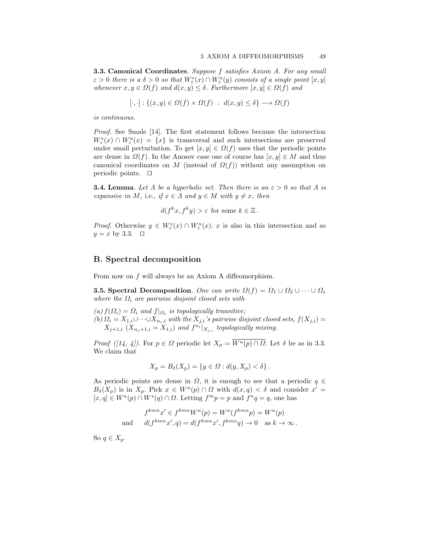**3.3. Canonical Coordinates.** Suppose f satisfies Axiom A. For any small  $\varepsilon > 0$  there is a  $\delta > 0$  so that  $W^s_{\varepsilon}(x) \cap W^u_{\varepsilon}(y)$  consists of a single point  $[x, y]$ whenever  $x, y \in \Omega(f)$  and  $d(x, y) \leq \delta$ . Furthermore  $[x, y] \in \Omega(f)$  and

$$
[\cdot, \cdot] : \{(x, y) \in \Omega(f) \times \Omega(f) : d(x, y) \le \delta\} \longrightarrow \Omega(f)
$$

is continuous.

Proof. See Smale [14]. The first statement follows because the intersection  $W^s_{\varepsilon}(x) \cap W^u_{\varepsilon}(x) = \{x\}$  is transversal and such intersections are preserved under small perturbation. To get  $[x, y] \in \Omega(f)$  uses that the periodic points are dense in  $\Omega(f)$ . In the Anosov case one of course has  $[x, y] \in M$  and thus canonical coordinates on M (instead of  $\Omega(f)$ ) without any assumption on periodic points.  $\Box$ 

**3.4. Lemma**. Let  $\Lambda$  be a hyperbolic set. Then there is an  $\varepsilon > 0$  so that  $\Lambda$  is expansive in M, i.e., if  $x \in A$  and  $y \in M$  with  $y \neq x$ , then

$$
d(f^kx, f^ky) > \varepsilon
$$
 for some  $k \in \mathbb{Z}$ .

*Proof.* Otherwise  $y \in W^s_{\varepsilon}(x) \cap W^u_{\varepsilon}(x)$ . x is also in this intersection and so  $y = x$  by 3.3.  $\Box$ 

## B. Spectral decomposition

From now on f will always be an Axiom A diffeomorphism.

**3.5. Spectral Decomposition.** One can write  $\Omega(f) = \Omega_1 \cup \Omega_2 \cup \cdots \cup \Omega_s$ where the  $\Omega_i$  are pairwise disjoint closed sets with

 $(a) f(\Omega_i) = \Omega_i$  and  $f|_{\Omega_i}$  is topologically transitive; (b)  $\Omega_i = X_{1,i} \cup \cdots \cup X_{n_i,i}$  with the  $X_{j,i}$ 's pairwise disjoint closed sets,  $f(X_{j,i}) =$  $X_{j+1,i}$   $(X_{n_j+1,i} = X_{1,i})$  and  $f^{n_i}|_{X_{j,i}}$  topologically mixing.

*Proof ([14, 4]).* For  $p \in \Omega$  periodic let  $X_p = \overline{W^u(p) \cap \Omega}$ . Let  $\delta$  be as in 3.3. We claim that

$$
X_p = B_{\delta}(X_p) = \{ y \in \Omega : d(y, X_p) < \delta \} \, .
$$

As periodic points are dense in  $\Omega$ , it is enough to see that a periodic  $q \in$  $B_{\delta}(X_p)$  is in  $X_p$ . Pick  $x \in W^u(p) \cap \Omega$  with  $d(x, q) < \delta$  and consider  $x' =$  $[x, q] \in W^u(p) \cap W^s(q) \cap \Omega$ . Letting  $f^m p = p$  and  $f^n q = q$ , one has

$$
f^{kmn}x' \in f^{kmn}W^u(p) = W^u(f^{kmn}p) = W^u(p)
$$
  
and 
$$
d(f^{kmn}x', q) = d(f^{kmn}x', f^{kmn}q) \to 0 \text{ as } k \to \infty.
$$

So  $q \in X_p$ .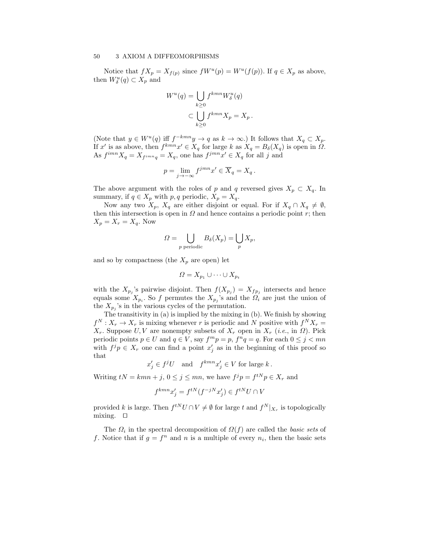#### 50 3 AXIOM A DIFFEOMORPHISMS

Notice that  $fX_p = X_{f(p)}$  since  $fW^u(p) = W^u(f(p))$ . If  $q \in X_p$  as above, then  $W^u_{\delta}(q) \subset X_p$  and

$$
W^{u}(q) = \bigcup_{k \geq 0} f^{kmn} W_{\delta}^{u}(q)
$$
  

$$
\subset \bigcup_{k \geq 0} f^{kmn} X_{p} = X_{p}.
$$

(Note that  $y \in W^u(q)$  iff  $f^{-kmn}y \to q$  as  $k \to \infty$ .) It follows that  $X_q \subset X_p$ . If x' is as above, then  $f^{kmn}x' \in X_q$  for large k as  $X_q = B_\delta(X_q)$  is open in  $\Omega$ . As  $f^{imn}X_q = X_{f^{imn}q} = X_q$ , one has  $f^{jmn}x' \in X_q$  for all j and

$$
p = \lim_{j \to -\infty} f^{jmn} x' \in \overline{X}_q = X_q \, .
$$

The above argument with the roles of p and q reversed gives  $X_p \subset X_q$ . In summary, if  $q \in X_p$  with p, q periodic,  $X_p = X_q$ .

Now any two  $X_p$ ,  $X_q$  are either disjoint or equal. For if  $X_q \cap X_q \neq \emptyset$ , then this intersection is open in  $\Omega$  and hence contains a periodic point r; then  $X_p = X_r = X_q$ . Now

$$
\Omega = \bigcup_{p \text{ periodic}} B_{\delta}(X_p) = \bigcup_{p} X_p,
$$

and so by compactness (the  $X_p$  are open) let

$$
\varOmega = X_{p_1} \cup \cdots \cup X_{p_t}
$$

with the  $X_{p_j}$ 's pairwise disjoint. Then  $f(X_{p_j}) = X_{fp_j}$  intersects and hence equals some  $X_{p_i}$ . So f permutes the  $X_{p_j}$ 's and the  $\Omega_i$  are just the union of the  $X_{p_j}$ 's in the various cycles of the permutation.

The transitivity in (a) is implied by the mixing in (b). We finish by showing  $f^N: X_r \to X_r$  is mixing whenever r is periodic and N positive with  $f^N X_r =$  $X_r$ . Suppose  $U, V$  are nonempty subsets of  $X_r$  open in  $X_r$  (*i.e.*, in  $\Omega$ ). Pick periodic points  $p \in U$  and  $q \in V$ , say  $f^m p = p$ ,  $f^n q = q$ . For each  $0 \le j < mn$ with  $f^j p \in X_r$  one can find a point  $x'_j$  as in the beginning of this proof so that

$$
x'_j \in f^jU
$$
 and  $f^{kmn}x'_j \in V$  for large k.

Writing  $tN = kmn + j$ ,  $0 \le j \le mn$ , we have  $f^{j}p = f^{tN}p \in X_r$  and

$$
f^{kmn}x'_j=f^{tN}(f^{-jN}x'_j)\in f^{tN}U\cap V
$$

provided k is large. Then  $f^{tN}U \cap V \neq \emptyset$  for large t and  $f^N|_{X_r}$  is topologically mixing.  $\square$ 

The  $\Omega_i$  in the spectral decomposition of  $\Omega(f)$  are called the *basic sets* of f. Notice that if  $g = f^n$  and n is a multiple of every  $n_i$ , then the basic sets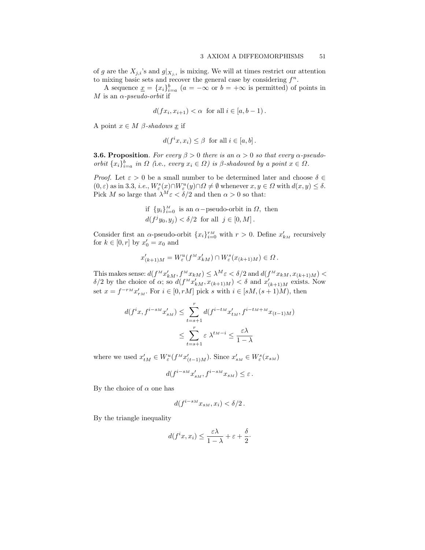of g are the  $X_{j,i}$ 's and  $g|_{X_{j,i}}$  is mixing. We will at times restrict our attention to mixing basic sets and recover the general case by considering  $f^n$ .

A sequence  $\underline{x} = \{x_i\}_{i=a}^b$   $(a = -\infty \text{ or } b = +\infty \text{ is permitted})$  of points in M is an  $\alpha$ -pseudo-orbit if

$$
d(fx_i, x_{i+1}) < \alpha \text{ for all } i \in [a, b-1).
$$

A point  $x \in M$   $\beta$ -shadows  $\underline{x}$  if

$$
d(f^ix, x_i) \leq \beta
$$
 for all  $i \in [a, b]$ .

**3.6. Proposition**. For every  $\beta > 0$  there is an  $\alpha > 0$  so that every  $\alpha$ -pseudoorbit  $\{x_i\}_{i=a}^b$  in  $\Omega$  (i.e., every  $x_i \in \Omega$ ) is  $\beta$ -shadowed by a point  $x \in \Omega$ .

*Proof.* Let  $\varepsilon > 0$  be a small number to be determined later and choose  $\delta \in$  $(0, \varepsilon)$  as in 3.3, *i.e.*,  $W_{\varepsilon}^{s}(x) \cap W_{\varepsilon}^{u}(y) \cap \Omega \neq \emptyset$  whenever  $x, y \in \Omega$  with  $d(x, y) \leq \delta$ . Pick M so large that  $\lambda^M \varepsilon < \delta/2$  and then  $\alpha > 0$  so that:

if 
$$
\{y_i\}_{i=0}^M
$$
 is an  $\alpha$ -pseudo-orbit in  $\Omega$ , then  
 $d(f^j y_0, y_j) < \delta/2$  for all  $j \in [0, M]$ .

Consider first an  $\alpha$ -pseudo-orbit  $\{x_i\}_{i=0}^{r_M}$  with  $r > 0$ . Define  $x'_{kM}$  recursively for  $k \in [0, r]$  by  $x'_0 = x_0$  and

$$
x'_{(k+1)M} = W^u_{\varepsilon}(f^M x'_{kM}) \cap W^s_{\varepsilon}(x_{(k+1)M}) \in \Omega.
$$

This makes sense:  $d(f^M x'_{kM}, f^M x_{kM}) \leq \lambda^M \varepsilon < \delta/2$  and  $d(f^M x_{kM}, x_{(k+1)M}) <$ δ/2 by the choice of α; so  $d(f^M x'_{kM}, x_{(k+1)M}) < \delta$  and  $x'_{(k+1)M}$  exists. Now set  $x = f^{-rM}x'_{rM}$ . For  $i \in [0, rM]$  pick s with  $i \in [sM, (s+1)M)$ , then

$$
d(f^{i}x, f^{i-s_M}x'_{s_M}) \leq \sum_{t=s+1}^{r} d(f^{i-t_M}x'_{t_M}, f^{i-t_M+M}x_{(t-1)M})
$$
  

$$
\leq \sum_{t=s+1}^{r} \varepsilon \lambda^{t_M-i} \leq \frac{\varepsilon \lambda}{1-\lambda}
$$

where we used  $x'_{tM} \in W^u_{\varepsilon}(f^M x'_{(t-1)M})$ . Since  $x'_{sM} \in W^s_{\varepsilon}(x_{sM})$ 

$$
d(f^{i-s_M}x'_{s_M}, f^{i-s_M}x_{s_M}) \leq \varepsilon.
$$

By the choice of  $\alpha$  one has

$$
d(f^{i-s_M}x_{s_M}, x_i) < \delta/2.
$$

By the triangle inequality

$$
d(f^{i}x, x_{i}) \leq \frac{\varepsilon\lambda}{1-\lambda} + \varepsilon + \frac{\delta}{2}.
$$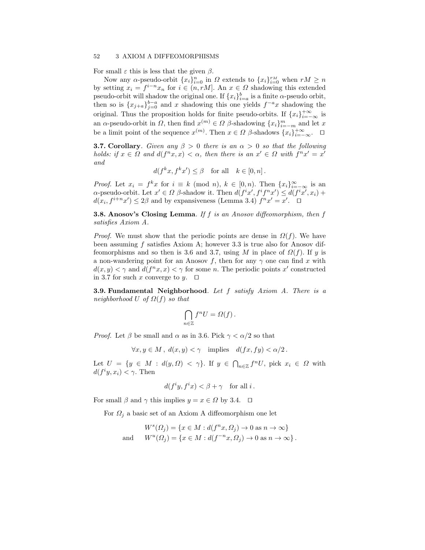#### 52 3 AXIOM A DIFFEOMORPHISMS

For small  $\varepsilon$  this is less that the given  $\beta$ .

Now any  $\alpha$ -pseudo-orbit  $\{x_i\}_{i=0}^n$  in  $\Omega$  extends to  $\{x_i\}_{i=0}^{r_M}$  when  $rM \geq n$ by setting  $x_i = f^{i-n}x_n$  for  $i \in (n, rM]$ . An  $x \in \Omega$  shadowing this extended pseudo-orbit will shadow the original one. If  $\{x_i\}_{i=a}^b$  is a finite  $\alpha$ -pseudo orbit, then so is  $\{x_{j+a}\}_{j=0}^{b-a}$  and x shadowing this one yields  $f^{-a}x$  shadowing the original. Thus the proposition holds for finite pseudo-orbits. If  ${x_i}_{i=-\infty}^{+\infty}$  is an  $\alpha$ -pseudo-orbit in  $\Omega$ , then find  $x^{(m)} \in \Omega$   $\beta$ -shadowing  $\{x_i\}_{i=-m}^m$  and let  $x$ be a limit point of the sequence  $x^{(m)}$ . Then  $x \in \Omega$   $\beta$ -shadows  $\{x_i\}_{i=-\infty}^{+\infty}$ .  $\Box$ 

**3.7. Corollary**. Given any  $\beta > 0$  there is an  $\alpha > 0$  so that the following holds: if  $x \in \Omega$  and  $d(f^{n}x, x) < \alpha$ , then there is an  $x' \in \Omega$  with  $f^{n}x' = x'$ and

$$
d(f^kx, f^kx') \leq \beta
$$
 for all  $k \in [0, n]$ .

*Proof.* Let  $x_i = f^k x$  for  $i \equiv k \pmod{n}$ ,  $k \in [0, n)$ . Then  $\{x_i\}_{i=-\infty}^{\infty}$  is an  $\alpha$ -pseudo-orbit. Let  $x' \in \Omega$   $\beta$ -shadow it. Then  $d(f^i x', f^i f^n x') \leq d(f^i x', x_i) +$  $d(x_i, f^{i+n}x') \leq 2\beta$  and by expansiveness (Lemma 3.4)  $f^n x' = x'$ .  $\Box$ 

**3.8. Anosov's Closing Lemma.** If  $f$  is an Anosov diffeomorphism, then  $f$ satisfies Axiom A.

*Proof.* We must show that the periodic points are dense in  $\Omega(f)$ . We have been assuming f satisfies Axiom A; however 3.3 is true also for Anosov diffeomorphisms and so then is 3.6 and 3.7, using M in place of  $\Omega(f)$ . If y is a non-wandering point for an Anosov f, then for any  $\gamma$  one can find x with  $d(x, y) < \gamma$  and  $d(f^n x, x) < \gamma$  for some *n*. The periodic points x' constructed in 3.7 for such x converge to y.  $\square$ 

**3.9. Fundamental Neighborhood.** Let  $f$  satisfy Axiom  $A$ . There is a neighborhood U of  $\Omega(f)$  so that

$$
\bigcap_{n\in\mathbb{Z}}f^nU=\varOmega(f)\,.
$$

*Proof.* Let  $\beta$  be small and  $\alpha$  as in 3.6. Pick  $\gamma < \alpha/2$  so that

 $\forall x, y \in M$ ,  $d(x, y) < \gamma$  implies  $d(fx, fy) < \alpha/2$ .

Let  $U = \{y \in M : d(y, \Omega) < \gamma\}$ . If  $y \in \bigcap_{n \in \mathbb{Z}} f^n U$ , pick  $x_i \in \Omega$  with  $d(f^iy, x_i) < \gamma$ . Then

$$
d(f^iy, f^ix) < \beta + \gamma \quad \text{for all } i \, .
$$

For small  $\beta$  and  $\gamma$  this implies  $y = x \in \Omega$  by 3.4.  $\Box$ 

For  $\Omega_j$  a basic set of an Axiom A diffeomorphism one let

$$
W^{s}(\Omega_{j}) = \{x \in M : d(f^{n}x, \Omega_{j}) \to 0 \text{ as } n \to \infty\}
$$
  
and 
$$
W^{u}(\Omega_{j}) = \{x \in M : d(f^{-n}x, \Omega_{j}) \to 0 \text{ as } n \to \infty\}.
$$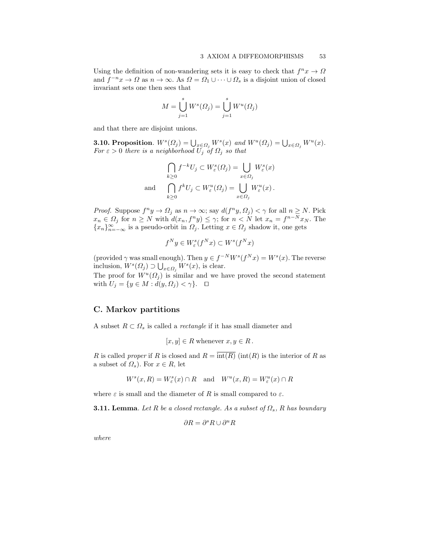Using the definition of non-wandering sets it is easy to check that  $f^n x \to \Omega$ and  $f^{-n}x \to \Omega$  as  $n \to \infty$ . As  $\Omega = \Omega_1 \cup \cdots \cup \Omega_s$  is a disjoint union of closed invariant sets one then sees that

$$
M = \bigcup_{j=1}^{s} W^{s}(\Omega_{j}) = \bigcup_{j=1}^{s} W^{u}(\Omega_{j})
$$

and that there are disjoint unions.

**3.10. Proposition**.  $W^s(\Omega_j) = \bigcup_{x \in \Omega_j} W^s(x)$  and  $W^u(\Omega_j) = \bigcup_{x \in \Omega_j} W^u(x)$ . For  $\varepsilon > 0$  there is a neighborhood  $U_j$  of  $\Omega_j$  so that

$$
\bigcap_{k\geq 0} f^{-k}U_j \subset W^s_{\varepsilon}(\Omega_j) = \bigcup_{x \in \Omega_j} W^s_{\varepsilon}(x)
$$
  
and 
$$
\bigcap_{k\geq 0} f^kU_j \subset W^u_{\varepsilon}(\Omega_j) = \bigcup_{x \in \Omega_j} W^u_{\varepsilon}(x).
$$

*Proof.* Suppose  $f^n y \to \Omega_j$  as  $n \to \infty$ ; say  $d(f^n y, \Omega_j) < \gamma$  for all  $n \geq N$ . Pick  $x_n \in \Omega_j$  for  $n \geq N$  with  $d(x_n, f^ny) \leq \gamma$ ; for  $n < N$  let  $x_n = f^{n-N}x_N$ . The  ${x_n}_{n=-\infty}^{\infty}$  is a pseudo-orbit in  $\Omega_j$ . Letting  $x \in \Omega_j$  shadow it, one gets

$$
f^Ny\in W^s_{\varepsilon}(f^Nx)\subset W^s(f^Nx)
$$

(provided  $\gamma$  was small enough). Then  $y \in f^{-N}W^{s}(f^{N}x) = W^{s}(x)$ . The reverse inclusion,  $W^s(\Omega_j) \supset \bigcup_{x \in \Omega_j} W^s(x)$ , is clear.

The proof for  $W^u(\Omega_j)$  is similar and we have proved the second statement with  $U_j = \{y \in M : d(y, \Omega_j) < \gamma\}$ .  $\Box$ 

## C. Markov partitions

A subset  $R \subset \Omega_s$  is called a *rectangle* if it has small diameter and

 $[x, y] \in R$  whenever  $x, y \in R$ .

R is called *proper* if R is closed and  $R = \overline{\text{int}(R)}$  (int(R) is the interior of R as a subset of  $\Omega_s$ ). For  $x \in R$ , let

$$
W^s(x,R) = W^s_{\varepsilon}(x) \cap R \quad \text{and} \quad W^u(x,R) = W^u_{\varepsilon}(x) \cap R
$$

where  $\varepsilon$  is small and the diameter of R is small compared to  $\varepsilon$ .

**3.11. Lemma**. Let R be a closed rectangle. As a subset of  $\Omega_s$ , R has boundary

$$
\partial R = \partial^s R \cup \partial^u R
$$

where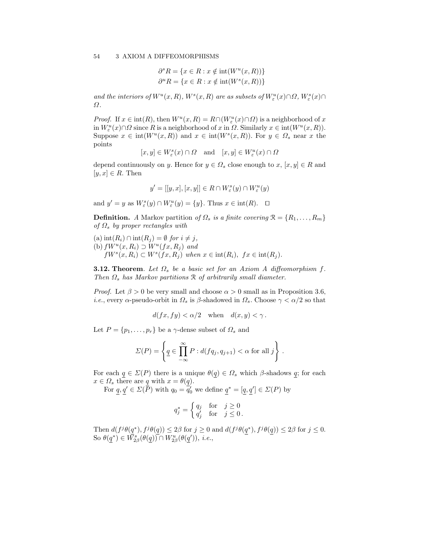$$
\partial^s R = \{x \in R : x \notin \text{int}(W^u(x, R))\}
$$

$$
\partial^u R = \{x \in R : x \notin \text{int}(W^s(x, R))\}
$$

and the interiors of  $W^u(x, R)$ ,  $W^s(x, R)$  are as subsets of  $W^u_{\varepsilon}(x) \cap \Omega$ ,  $W^s_{\varepsilon}(x) \cap$  $\Omega$ .

*Proof.* If  $x \in \text{int}(R)$ , then  $W^u(x, R) = R \cap (W^u_{\varepsilon}(x) \cap \Omega)$  is a neighborhood of  $x$ in  $W^u_{\varepsilon}(x) \cap \Omega$  since R is a neighborhood of x in  $\Omega$ . Similarly  $x \in \text{int}(W^u(x,R))$ . Suppose  $x \in \text{int}(W^u(x,R))$  and  $x \in \text{int}(W^s(x,R))$ . For  $y \in \Omega_s$  near x the points

$$
[x,y]\in W^s_{\varepsilon }(x)\cap \varOmega \quad \text{and}\quad [x,y]\in W^u_{\varepsilon }(x)\cap \varOmega
$$

depend continuously on y. Hence for  $y \in \Omega_s$  close enough to  $x, [x, y] \in R$  and  $[y, x] \in R$ . Then

$$
y'=[[y,x],[x,y]]\in R\cap W^s_{\varepsilon }(y)\cap W^u_{\varepsilon }(y)
$$

and  $y' = y$  as  $W^s_{\varepsilon}(y) \cap W^u_{\varepsilon}(y) = \{y\}$ . Thus  $x \in \text{int}(R)$ .  $\Box$ 

**Definition.** A Markov partition of  $\Omega_s$  is a finite covering  $\mathcal{R} = \{R_1, \ldots, R_m\}$ of  $\Omega_s$  by proper rectangles with

(a)  $\text{int}(R_i) \cap \text{int}(R_j) = \emptyset$  for  $i \neq j$ , (b)  $fW^u(x, R_i) \supset W^u(fx, R_j)$  and  $fW^s(x, R_i) \subset W^s(fx, R_j)$  when  $x \in \text{int}(R_i)$ ,  $fx \in \text{int}(R_j)$ .

**3.12. Theorem.** Let  $\Omega_s$  be a basic set for an Axiom A diffeomorphism f. Then  $\Omega_s$  has Markov partitions  $\mathcal R$  of arbitrarily small diameter.

*Proof.* Let  $\beta > 0$  be very small and choose  $\alpha > 0$  small as in Proposition 3.6, *i.e.*, every  $\alpha$ -pseudo-orbit in  $\Omega_s$  is  $\beta$ -shadowed in  $\Omega_s$ . Choose  $\gamma < \alpha/2$  so that

 $d(fx, fy) < \alpha/2$  when  $d(x, y) < \gamma$ .

Let  $P = \{p_1, \ldots, p_r\}$  be a  $\gamma$ -dense subset of  $\Omega_s$  and

$$
\Sigma(P) = \left\{ \underline{q} \in \prod_{-\infty}^{\infty} P : d(fq_j, q_{j+1}) < \alpha \text{ for all } j \right\} \, .
$$

For each  $q \in \Sigma(P)$  there is a unique  $\theta(q) \in \Omega_s$  which  $\beta$ -shadows q; for each  $x \in \Omega_s$  there are q with  $x = \theta(q)$ .

For  $q, q' \in \Sigma(\overline{P})$  with  $q_0 = \overline{q}'_0$  we define  $q^* = [q, q'] \in \Sigma(P)$  by

$$
q_j^* = \begin{cases} q_j & \text{for} \quad j \ge 0 \\ q_j' & \text{for} \quad j \le 0 \end{cases}
$$

Then  $d(f^{j}\theta(q^{*}), f^{j}\theta(q)) \leq 2\beta$  for  $j \geq 0$  and  $d(f^{j}\theta(q^{*}), f^{j}\theta(q)) \leq 2\beta$  for  $j \leq 0$ . So  $\theta(\underline{q}^*) \in \overline{W}_{2\beta}^s(\theta(\underline{q})) \cap W_{2\beta}^u(\theta(\underline{q}')), i.e.,$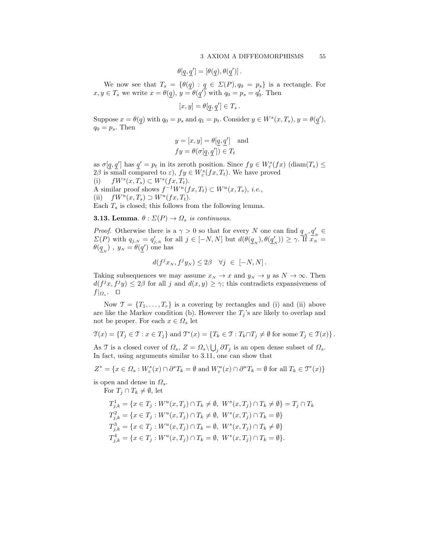$$
\theta[q,q'] = [\theta(q), \theta(q')] .
$$

We now see that  $T_s = \{ \theta(q) : q \in \Sigma(P), q_0 = p_s \}$  is a rectangle. For  $x, y \in T_s$  we write  $x = \theta(q), y = \theta(q')$  with  $q_0 = p_s = q'_0$ . Then

$$
[x, y] = \theta[q, q'] \in T_s.
$$

Suppose  $x = \theta(q)$  with  $q_0 = p_s$  and  $q_1 = p_t$ . Consider  $y \in W^s(x, T_s)$ ,  $y = \theta(q')$ ,  $q_0 = p_s$ . Then

$$
y = [x, y] = \theta[\underline{q}, \underline{q}']
$$
 and  
\n $fy = \theta(\sigma[q, q']) \in T_t$ 

as  $\sigma[q, q']$  has  $q' = p_t$  in its zeroth position. Since  $fy \in W^s_{\varepsilon}(fx)$  (diam $(T_s) \leq$  $2\beta$  is small compared to  $\varepsilon$ ),  $fy \in W^s_{\varepsilon}(fx, T_t)$ . We have proved (i)  $fW^s(x,T_s) \subset W^s(fx,T_t).$ A similar proof shows  $f^{-1}W^u(fx,T_t) \subset W^u(x,T_s)$ , *i.e.*, (ii)  $fW^u(x,T_s) \supset W^u(fx,T_t)$ . Each  $T_s$  is closed; this follows from the following lemma.

**3.13. Lemma.**  $\theta : \Sigma(P) \to \Omega_s$  is continuous.

*Proof.* Otherwise there is a  $\gamma > 0$  so that for every N one can find  $\underline{q}_{N}, \underline{q}'_{N} \in$  $\Sigma(P)$  with  $q_{j,N} = q'_{j,N}$  for all  $j \in [-N, N]$  but  $d(\theta(\underline{q}_{N}), \theta(\underline{q}'_{N})) \geq \gamma$ . If  $\overline{x}_{N}^N =$  $\theta(\underline{q}_{N})$ ,  $y_{N} = \theta(\underline{q}')$  one has

$$
d(f^j x_N, f^j y_N) \le 2\beta \quad \forall j \ \in \ [-N, N].
$$

Taking subsequences we may assume  $x_N \to x$  and  $y_N \to y$  as  $N \to \infty$ . Then  $d(f^{j}x, f^{j}y) \leq 2\beta$  for all j and  $d(x, y) \geq \gamma$ ; this contradicts expansiveness of  $f|_{\Omega_s}$ .  $\Box$ 

Now  $\mathcal{T} = \{T_1, \ldots, T_r\}$  is a covering by rectangles and (i) and (ii) above are like the Markov condition (b). However the  $T_j$ 's are likely to overlap and not be proper. For each  $x \in \Omega_s$  let

$$
\mathfrak{T}(x) = \{T_j \in \mathfrak{T} : x \in T_j\} \text{ and } \mathfrak{T}^*(x) = \{T_k \in \mathfrak{T} : T_k \cap T_j \neq \emptyset \text{ for some } T_j \in \mathfrak{T}(x)\}.
$$

As T is a closed cover of  $\Omega_s$ ,  $Z = \Omega_s \setminus \bigcup_j \partial T_j$  is an open dense subset of  $\Omega_s$ . In fact, using arguments similar to 3.11, one can show that

$$
Z^* = \{x \in \Omega_s : W^s_{\varepsilon}(x) \cap \partial^s T_k = \emptyset \text{ and } W^u_{\varepsilon}(x) \cap \partial^u T_k = \emptyset \text{ for all } T_k \in \mathfrak{T}^*(x)\}
$$

is open and dense in  $\Omega_s$ .

For  $T_i \cap T_k \neq \emptyset$ , let

$$
T_{j,k}^1 = \{x \in T_j : W^u(x, T_j) \cap T_k \neq \emptyset, \ W^s(x, T_j) \cap T_k \neq \emptyset\} = T_j \cap T_k
$$
  
\n
$$
T_{j,k}^2 = \{x \in T_j : W^u(x, T_j) \cap T_k \neq \emptyset, \ W^s(x, T_j) \cap T_k = \emptyset\}
$$
  
\n
$$
T_{j,k}^3 = \{x \in T_j : W^u(x, T_j) \cap T_k = \emptyset, \ W^s(x, T_j) \cap T_k \neq \emptyset\}
$$
  
\n
$$
T_{j,k}^4 = \{x \in T_j : W^u(x, T_j) \cap T_k = \emptyset, \ W^s(x, T_j) \cap T_k = \emptyset\}.
$$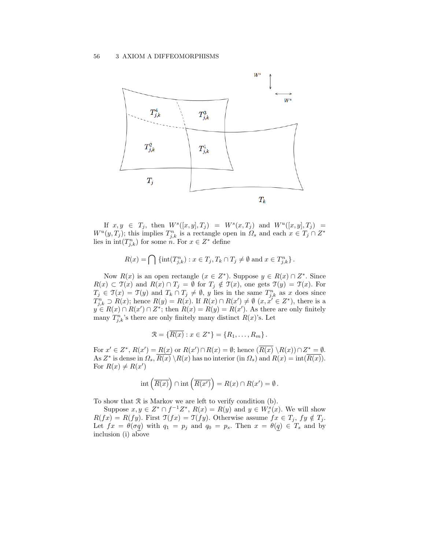

If  $x, y \in T_j$ , then  $W^s([x, y], T_j) = W^s(x, T_j)$  and  $W^u([x, y], T_j) =$  $W^u(y,T_j)$ ; this implies  $T_{j,k}^n$  is a rectangle open in  $\Omega_s$  and each  $x \in T_j \cap Z^*$ lies in  $\text{int}(T_{j,k}^n)$  for some n. For  $x \in Z^*$  define

$$
R(x) = \bigcap \{ \text{int}(T_{j,k}^n) : x \in T_j, T_k \cap T_j \neq \emptyset \text{ and } x \in T_{j,k}^n \}.
$$

Now  $R(x)$  is an open rectangle  $(x \in Z^*)$ . Suppose  $y \in R(x) \cap Z^*$ . Since  $R(x) \subset \mathfrak{T}(x)$  and  $R(x) \cap T_j = \emptyset$  for  $T_j \notin \mathfrak{T}(x)$ , one gets  $\mathfrak{T}(y) = \mathfrak{T}(x)$ . For  $T_j \in \mathfrak{T}(x) = \mathfrak{T}(y)$  and  $T_k \cap T_j \neq \emptyset$ , y lies in the same  $T_{j,k}^n$  as x does since  $T_{j,k}^n \supset R(x)$ ; hence  $R(y) = R(x)$ . If  $R(x) \cap R(x') \neq \emptyset$   $(x, x' \in Z^*)$ , there is a  $y \in R(x) \cap R(x') \cap Z^*$ ; then  $R(x) = R(y) = R(x')$ . As there are only finitely many  $T_{j,k}^n$ 's there are only finitely many distinct  $R(x)$ 's. Let

$$
\mathcal{R} = \{ \overline{R(x)} : x \in Z^* \} = \{ R_1, \ldots, R_m \} .
$$

For  $x' \in Z^*$ ,  $R(x') = R(x)$  or  $R(x') \cap R(x) = \emptyset$ ; hence  $(\overline{R(x)} \setminus R(x)) \cap Z^* = \emptyset$ . As  $Z^*$  is dense in  $\Omega_s$ ,  $\overline{R(x)} \setminus R(x)$  has no interior (in  $\Omega_s$ ) and  $R(x) = \text{int}(\overline{R(x)})$ . For  $R(x) \neq R(x')$ 

$$
int\left(\overline{R(x)}\right) \cap int\left(\overline{R(x')}\right) = R(x) \cap R(x') = \emptyset.
$$

To show that  $\mathcal R$  is Markov we are left to verify condition (b).

Suppose  $x, y \in Z^* \cap f^{-1}Z^*$ ,  $R(x) = R(y)$  and  $y \in W^s_{\varepsilon}(x)$ . We will show  $R(fx) = R(fy)$ . First  $\mathfrak{T}(fx) = \mathfrak{T}(fy)$ . Otherwise assume  $fx \in T_j$ ,  $fy \notin T_j$ . Let  $fx = \theta(\sigma q)$  with  $q_1 = p_j$  and  $q_0 = p_s$ . Then  $x = \theta(q) \in T_s$  and by inclusion (i) above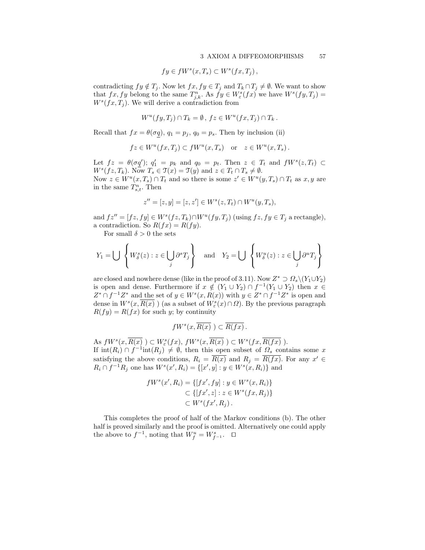$$
fy \in fW^s(x, T_s) \subset W^s(fx, T_j),
$$

contradicting  $fy \notin T_j$ . Now let  $fx, fy \in T_j$  and  $T_k \cap T_j \neq \emptyset$ . We want to show that  $fx, fy$  belong to the same  $T_{j,k}^n$ . As  $fy \in W_{\varepsilon}^s(fx)$  we have  $W^s(fy,T_j)$  $W^s(fx,T_j)$ . We will derive a contradiction from

$$
W^u(fy,T_j) \cap T_k = \emptyset, \, fz \in W^u(fx,T_j) \cap T_k.
$$

Recall that  $fx = \theta(\sigma q)$ ,  $q_1 = p_j$ ,  $q_0 = p_s$ . Then by inclusion (ii)

$$
fz \in W^u(fx, T_j) \subset fW^u(x, T_s) \quad \text{or} \quad z \in W^u(x, T_s).
$$

Let  $fz = \theta(\sigma \underline{q}')$ ;  $q'_1 = p_k$  and  $q_0 = p_t$ . Then  $z \in T_t$  and  $fW^s(z,T_t) \subset$  $W^s(fz,T_k)$ . Now  $T_s \in \mathfrak{T}(x) = \mathfrak{T}(y)$  and  $z \in T_t \cap T_s \neq \emptyset$ .

Now  $z \in W^u(x,T_s) \cap T_t$  and so there is some  $z' \in W^u(y,T_s) \cap T_t$  as  $x, y$  are in the same  $T_{s,t}^n$ . Then

$$
z'' = [z, y] = [z, z'] \in W^{s}(z, T_t) \cap W^{u}(y, T_s),
$$

and  $fz'' = [fz, fy] \in W<sup>s</sup>(fz, T_k) \cap W<sup>u</sup>(fy, T_j)$  (using  $fz, fy \in T_j$  a rectangle), a contradiction. So  $R(fx) = R(fy)$ .

For small  $\delta > 0$  the sets

$$
Y_1 = \bigcup \left\{ W^s_{\delta}(z) : z \in \bigcup_j \partial^s T_j \right\} \text{ and } Y_2 = \bigcup \left\{ W^u_{\delta}(z) : z \in \bigcup_j \partial^u T_j \right\}
$$

are closed and nowhere dense (like in the proof of 3.11). Now  $Z^* \supset \Omega_s \setminus (Y_1 \cup Y_2)$ is open and dense. Furthermore if  $x \notin (Y_1 \cup Y_2) \cap f^{-1}(Y_1 \cup Y_2)$  then  $x \in$  $Z^* \cap f^{-1}Z^*$  and the set of  $y \in W^s(x, R(x))$  with  $y \in Z^* \cap f^{-1}Z^*$  is open and dense in  $W^s(x, \overline{R(x)})$  (as a subset of  $W^s_{\varepsilon}(x) \cap \Omega$ ). By the previous paragraph  $R(fy) = R(fx)$  for such y; by continuity

$$
fW^s(x,\overline{R(x)}\,)\subset \overline{R(fx)}\,.
$$

As  $fW^s(x,\overline{R(x)}) \subset W^s_{\varepsilon}(fx), fW^s(x,\overline{R(x)}) \subset W^s(fx,\overline{R(fx)})$ . If  $\text{int}(R_i) \cap f^{-1} \text{int}(R_j) \neq \emptyset$ , then this open subset of  $\Omega_s$  contains some x satisfying the above conditions,  $R_i = \overline{R(x)}$  and  $R_j = \overline{R(fx)}$ . For any  $x' \in$  $R_i \cap f^{-1}R_j$  one has  $W^s(x', R_i) = \{ [x', y] : y \in W^s(x, R_i) \}$  and

$$
fWs(x', Ri) = \{ [fx', fy] : y \in Ws(x, Ri) \}\subset \{ [fx', z] : z \in Ws(fx, Rj) \}\subset Ws(fx', Rj).
$$

This completes the proof of half of the Markov conditions (b). The other half is proved similarly and the proof is omitted. Alternatively one could apply the above to  $f^{-1}$ , noting that  $W_f^u = W_{f^{-1}}^s$ .  $\Box$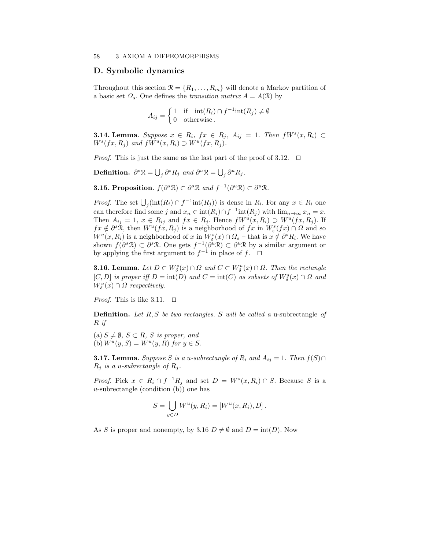## D. Symbolic dynamics

Throughout this section  $\mathcal{R} = \{R_1, \ldots, R_m\}$  will denote a Markov partition of a basic set  $\Omega_s$ . One defines the transition matrix  $A = A(\mathcal{R})$  by

$$
A_{ij} = \begin{cases} 1 & \text{if } \operatorname{int}(R_i) \cap f^{-1} \operatorname{int}(R_j) \neq \emptyset \\ 0 & \text{otherwise.} \end{cases}
$$

**3.14. Lemma**. Suppose  $x \in R_i$ ,  $fx \in R_j$ ,  $A_{ij} = 1$ . Then  $fW^s(x, R_i) \subset$  $W^s(fx,R_j)$  and  $fW^u(x,R_i) \supset W^u(fx,R_j)$ .

*Proof.* This is just the same as the last part of the proof of 3.12.  $\Box$ 

**Definition.**  $\partial^s \mathcal{R} = \bigcup_j \partial^s R_j$  and  $\partial^u \mathcal{R} = \bigcup_j \partial^u R_j$ .

**3.15. Proposition**.  $f(\partial^s \mathcal{R}) \subset \partial^s \mathcal{R}$  and  $f^{-1}(\partial^u \mathcal{R}) \subset \partial^u \mathcal{R}$ .

*Proof.* The set  $\bigcup_j (\text{int}(R_i) \cap f^{-1} \text{int}(R_j))$  is dense in  $R_i$ . For any  $x \in R_i$  one can therefore find some j and  $x_n \in \text{int}(R_i) \cap f^{-1} \text{int}(R_j)$  with  $\lim_{n \to \infty} x_n = x$ . Then  $A_{ij} = 1, x \in R_{ij}$  and  $fx \in R_j$ . Hence  $fW^u(x, R_i) \supset W^u(fx, R_j)$ . If  $fx \notin \partial^s \mathcal{R}$ , then  $W^u(fx, R_j)$  is a neighborhood of  $fx$  in  $W^s_{\varepsilon}(fx) \cap \Omega$  and so  $W^u(x, R_i)$  is a neighborhood of x in  $W^s_{\varepsilon}(x) \cap \Omega_s$  – that is  $x \notin \partial^s R_i$ . We have shown  $f(\partial^s \mathcal{R}) \subset \partial^s \mathcal{R}$ . One gets  $f^{-1}(\partial^u \mathcal{R}) \subset \partial^u \mathcal{R}$  by a similar argument or by applying the first argument to  $f^{-1}$  in place of f.  $\Box$ 

**3.16. Lemma**. Let  $D \subset W^s_{\delta}(x) \cap \Omega$  and  $C \subset W^u_{\delta}(x) \cap \Omega$ . Then the rectangle  $[C,D]$  is proper iff  $D = \overline{\text{int}(D)}$  and  $C = \overline{\text{int}(C)}$  as subsets of  $W^s_{\delta}(x) \cap \Omega$  and  $W^u_{\delta}(x) \cap \Omega$  respectively.

*Proof.* This is like 3.11.  $\Box$ 

**Definition.** Let  $R, S$  be two rectangles. S will be called a u-subrectangle of R if

(a)  $S \neq \emptyset$ ,  $S \subset R$ , S is proper, and (b)  $W^u(y, S) = W^u(y, R)$  for  $y \in S$ .

**3.17. Lemma**. Suppose S is a u-subrectangle of  $R_i$  and  $A_{ij} = 1$ . Then  $f(S) \cap I$  $R_j$  is a u-subrectangle of  $R_j$ .

*Proof.* Pick  $x \in R_i \cap f^{-1}R_j$  and set  $D = W^s(x, R_i) \cap S$ . Because S is a u-subrectangle (condition  $(b)$ ) one has

$$
S = \bigcup_{y \in D} W^u(y, R_i) = [W^u(x, R_i), D].
$$

As S is proper and nonempty, by 3.16  $D \neq \emptyset$  and  $D = \overline{\text{int}(D)}$ . Now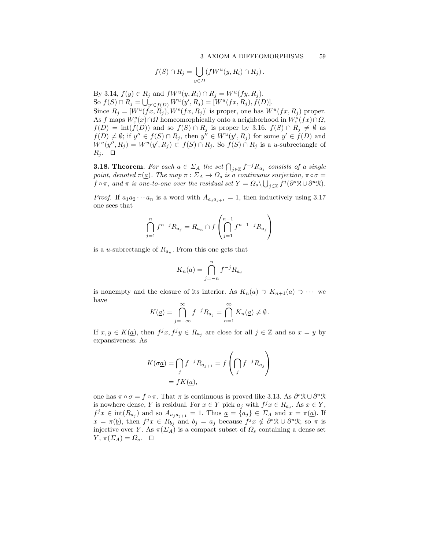$$
f(S) \cap R_j = \bigcup_{y \in D} (fW^u(y, R_i) \cap R_j).
$$

By 3.14,  $f(y) \in R_j$  and  $fW^u(y, R_i) \cap R_j = W^u(fy, R_j)$ . So  $f(S) \cap R_j = \bigcup_{y' \in f(D)} W^u(y', R_j) = [W^u(fx, R_j), f(D)].$ Since  $R_j = [W^u(fx, R_j), W^s(fx, R_j)]$  is proper, one has  $W^u(fx, R_j)$  proper. As f maps  $W^s_{\varepsilon}(x) \cap \Omega$  homeomorphically onto a neighborhood in  $W^s_{\varepsilon}(fx) \cap \Omega$ ,  $f(D) = \text{int}(f(D))$  and so  $f(S) \cap R_j$  is proper by 3.16.  $f(S) \cap R_j \neq \emptyset$  as  $f(D) \neq \emptyset$ ; if  $y'' \in f(S) \cap R_j$ , then  $y'' \in W^u(y', R_j)$  for some  $y' \in f(D)$  and  $W^u(y'', R_j) = W^u(y', R_j) \subset f(S) \cap R_j$ . So  $f(S) \cap R_j$  is a u-subrectangle of  $R_i$ .  $\Box$ 

**3.18. Theorem**. For each  $\underline{a} \in \Sigma_A$  the set  $\bigcap_{j \in \mathbb{Z}} f^{-j}R_{a_j}$  consists of a single point, denoted  $\pi(\underline{a})$ . The map  $\pi : \Sigma_A \to \Omega_s$  is a continuous surjection,  $\pi \circ \sigma =$  $f \circ \pi$ , and  $\pi$  is one-to-one over the residual set  $Y = \Omega_s \setminus \bigcup_{j \in \mathbb{Z}} f^j (\partial^s \mathbb{R} \cup \partial^u \mathbb{R}).$ 

*Proof.* If  $a_1 a_2 \cdots a_n$  is a word with  $A_{a_j a_{j+1}} = 1$ , then inductively using 3.17 one sees that

$$
\bigcap_{j=1}^{n} f^{n-j} R_{a_j} = R_{a_n} \cap f \left( \bigcap_{j=1}^{n-1} f^{n-1-j} R_{a_j} \right)
$$

is a u-subrectangle of  $R_{a_n}$ . From this one gets that

$$
K_n(\underline{a}) = \bigcap_{j=-n}^{n} f^{-j} R_{a_j}
$$

is nonempty and the closure of its interior. As  $K_n(\underline{a}) \supset K_{n+1}(\underline{a}) \supset \cdots$  we have

$$
K(\underline{a}) = \bigcap_{j=-\infty}^{\infty} f^{-j} R_{a_j} = \bigcap_{n=1}^{\infty} K_n(\underline{a}) \neq \emptyset.
$$

If  $x, y \in K(\underline{a})$ , then  $f^jx, f^jy \in R_{a_j}$  are close for all  $j \in \mathbb{Z}$  and so  $x = y$  by expansiveness. As

$$
K(\sigma \underline{a}) = \bigcap_{j} f^{-j} R_{a_{j+1}} = f\left(\bigcap_{j} f^{-j} R_{a_j}\right)
$$
  
=  $fK(\underline{a}),$ 

one has  $\pi \circ \sigma = f \circ \pi$ . That  $\pi$  is continuous is proved like 3.13. As  $\partial^s \mathcal{R} \cup \partial^u \mathcal{R}$ is nowhere dense, Y is residual. For  $x \in Y$  pick  $a_j$  with  $f^j x \in R_{a_j}$ . As  $x \in Y$ ,  $f^jx \in \text{int}(R_{a_j})$  and so  $A_{a_ja_{j+1}} = 1$ . Thus  $\underline{a} = \{a_j\} \in \Sigma_A$  and  $x = \pi(\underline{a})$ . If  $x = \pi(\underline{b})$ , then  $f^jx \in R_{b_j}$  and  $b_j = a_j$  because  $f^jx \notin \partial^s \mathcal{R} \cup \partial^u \mathcal{R}$ ; so  $\pi$  is injective over Y. As  $\pi(\Sigma_A)$  is a compact subset of  $\Omega_s$  containing a dense set  $Y, \pi(\Sigma_A) = \Omega_s. \quad \Box$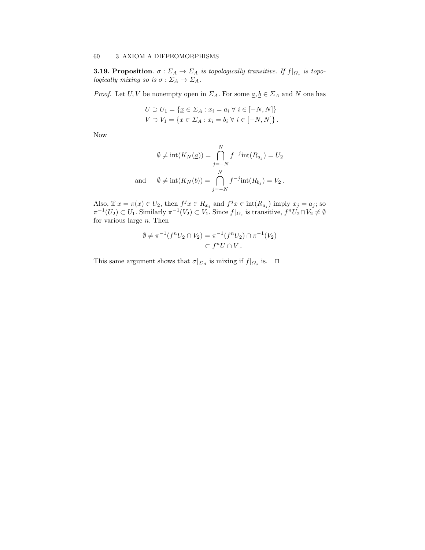#### 60 3 AXIOM A DIFFEOMORPHISMS

**3.19. Proposition**.  $\sigma : \Sigma_A \to \Sigma_A$  is topologically transitive. If  $f|_{\Omega_s}$  is topologically mixing so is  $\sigma : \Sigma_A \to \Sigma_A$ .

*Proof.* Let  $U, V$  be nonempty open in  $\Sigma_A$ . For some  $\underline{a}, \underline{b} \in \Sigma_A$  and  $N$  one has

$$
U \supset U_1 = \{ \underline{x} \in \Sigma_A : x_i = a_i \ \forall \ i \in [-N, N] \}
$$
  

$$
V \supset V_1 = \{ \underline{x} \in \Sigma_A : x_i = b_i \ \forall \ i \in [-N, N] \}.
$$

Now

$$
\emptyset \neq \text{int}(K_N(\underline{a})) = \bigcap_{j=-N}^{N} f^{-j} \text{int}(R_{a_j}) = U_2
$$
  
and 
$$
\emptyset \neq \text{int}(K_N(\underline{b})) = \bigcap_{j=-N}^{N} f^{-j} \text{int}(R_{b_j}) = V_2.
$$

Also, if  $x = \pi(\underline{x}) \in U_2$ , then  $f^j x \in R_{x_j}$  and  $f^j x \in int(R_{a_j})$  imply  $x_j = a_j$ ; so  $\pi^{-1}(U_2) \subset U_1$ . Similarly  $\pi^{-1}(V_2) \subset V_1$ . Since  $f|_{\Omega_s}$  is transitive,  $f^n \overline{U_2} \cap V_2 \neq \emptyset$ for various large  $n$ . Then

$$
\emptyset \neq \pi^{-1}(f^n U_2 \cap V_2) = \pi^{-1}(f^n U_2) \cap \pi^{-1}(V_2) \subset f^n U \cap V.
$$

This same argument shows that  $\sigma|_{\Sigma_A}$  is mixing if  $f|_{\Omega_s}$  is.  $\Box$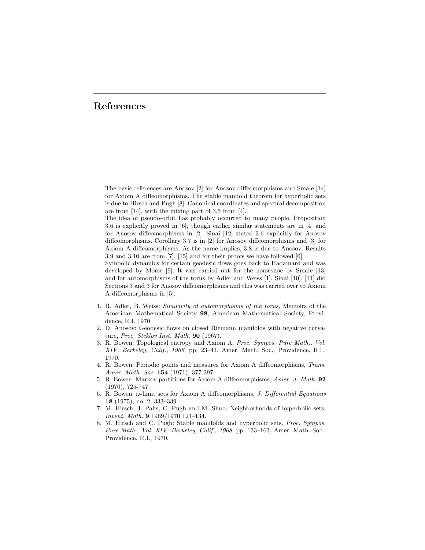## References

The basic references are Anosov [2] for Anosov diffeomorphisms and Smale [14] for Axiom A diffeomorphisms. The stable manifold theorem for hyperbolic sets is due to Hirsch and Pugh [8]. Canonical coordinates and spectral decomposition are from [14], with the mixing part of 3.5 from [4].

The idea of pseudo-orbit has probably occurred to many people. Proposition 3.6 is explicitly proved in [6], though earlier similar statements are in [4] and for Anosov diffeomorphisms in [2]. Sinai [12] stated 3.6 explicitly for Anosov diffeomorphisms. Corollary 3.7 is in [2] for Anosov diffeomorphisms and [3] for Axiom A diffeomorphisms. As the name implies, 3.8 is due to Anosov. Results 3.9 and 3.10 are from [7], [15] and for their proofs we have followed [6].

Symbolic dynamics for certain geodesic flows goes back to Hadamard and was developed by Morse [9]. It was carried out for the horseshoe by Smale [13] and for automorphisms of the torus by Adler and Weiss [1]. Sinai [10], [11] did Sections 3 and 3 for Anosov diffeomorphisms and this was carried over to Axiom A diffeomorphisms in [5].

- 1. R. Adler, B. Weiss: Similarity of automorphisms of the torus, Memoirs of the American Mathematical Society 98, American Mathematical Society, Providence, R.I. 1970.
- 2. D. Anosov: Geodesic flows on closed Riemann manifolds with negative curvature, Proc. Steklov Inst. Math. 90 (1967).
- 3. R. Bowen: Topological entropy and Axiom A, Proc. Sympos. Pure Math., Vol. XIV, Berkeley, Calif., 1968, pp. 23–41, Amer. Math. Soc., Providence, R.I., 1970.
- 4. R. Bowen: Periodic points and measures for Axiom A diffeomorphisms, Trans. Amer. Math. Soc. 154 (1971), 377-397.
- 5. R. Bowen: Markov partitions for Axiom A diffeomorphisms, Amer. J. Math. 92 (1970), 725-747.
- 6. R. Bowen:  $\omega$ -limit sets for Axiom A diffeomorphisms, *J. Differential Equations* 18 (1975), no. 2, 333–339.
- 7. M. Hirsch, J. Palis, C. Pugh and M. Shub: Neighborhoods of hyperbolic sets, Invent. Math. 9 1969/1970 121–134.
- 8. M. Hirsch and C. Pugh: Stable manifolds and hyperbolic sets, Proc. Sympos. Pure Math., Vol. XIV, Berkeley, Calif., 1968, pp. 133–163, Amer. Math. Soc., Providence, R.I., 1970.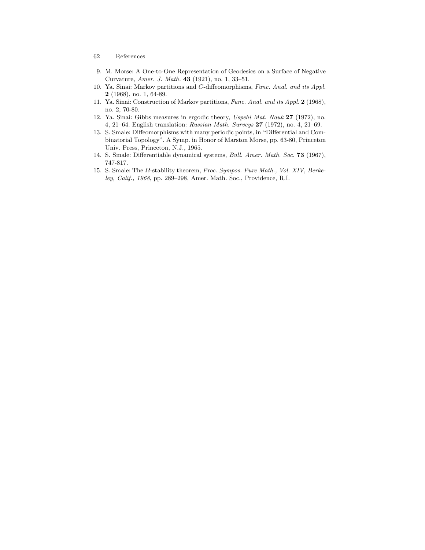- 62 References
- 9. M. Morse: A One-to-One Representation of Geodesics on a Surface of Negative Curvature, Amer. J. Math. 43 (1921), no. 1, 33–51.
- 10. Ya. Sinai: Markov partitions and C-diffeomorphisms, Func. Anal. and its Appl. 2 (1968), no. 1, 64-89.
- 11. Ya. Sinai: Construction of Markov partitions, Func. Anal. and its Appl. 2 (1968), no. 2, 70-80.
- 12. Ya. Sinai: Gibbs measures in ergodic theory, Uspehi Mat. Nauk 27 (1972), no. 4, 21–64. English translation: Russian Math. Surveys 27 (1972), no. 4, 21–69.
- 13. S. Smale: Diffeomorphisms with many periodic points, in "Differential and Combinatorial Topology". A Symp. in Honor of Marston Morse, pp. 63-80, Princeton Univ. Press, Princeton, N.J., 1965.
- 14. S. Smale: Differentiable dynamical systems, Bull. Amer. Math. Soc. 73 (1967), 747-817.
- 15. S. Smale: The Ω-stability theorem, Proc. Sympos. Pure Math., Vol. XIV, Berkeley, Calif., 1968, pp. 289–298, Amer. Math. Soc., Providence, R.I.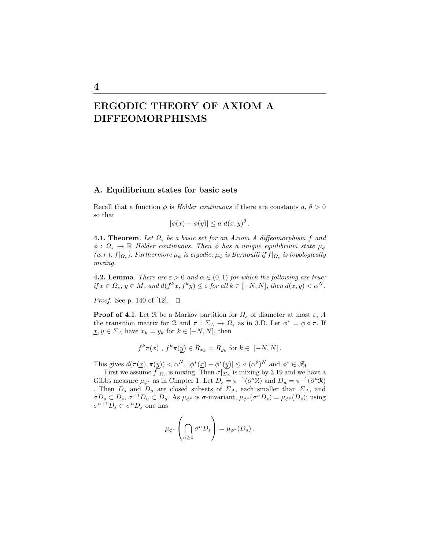# ERGODIC THEORY OF AXIOM A DIFFEOMORPHISMS

## A. Equilibrium states for basic sets

Recall that a function  $\phi$  is *Hölder continuous* if there are constants  $a, \theta > 0$ so that

 $|\phi(x) - \phi(y)| \leq a \, d(x, y)^\theta$ .

**4.1. Theorem.** Let  $\Omega_s$  be a basic set for an Axiom A diffeomorphism f and  $\phi : \Omega_s \to \mathbb{R}$  Hölder continuous. Then  $\phi$  has a unique equilibrium state  $\mu_{\phi}$  $(w.r.t. f|_{\Omega_s})$ . Furthermore  $\mu_{\phi}$  is ergodic;  $\mu_{\phi}$  is Bernoulli if  $f|_{\Omega_s}$  is topologically mixing.

**4.2. Lemma**. There are  $\varepsilon > 0$  and  $\alpha \in (0,1)$  for which the following are true:  $if x \in \Omega_s, y \in M$ , and  $d(f^k x, f^k y) \leq \varepsilon$  for all  $k \in [-N, N]$ , then  $d(x, y) < \alpha^N$ .

*Proof.* See p. 140 of [12].  $\Box$ 

**Proof of 4.1**. Let R be a Markov partition for  $\Omega_s$  of diameter at most  $\varepsilon$ , A the transition matrix for  $\Re$  and  $\pi : \Sigma_A \to \Omega_s$  as in 3.D. Let  $\phi^* = \phi \circ \pi$ . If  $\underline{x}, \underline{y} \in \Sigma_A$  have  $x_k = y_k$  for  $k \in [-N, N]$ , then

$$
f^k \pi(\underline{x}) \text{ , } f^k \pi(\underline{y}) \in R_{x_k} = R_{y_k} \text{ for } k \in [-N, N].
$$

This gives  $d(\pi(\underline{x}), \pi(y)) < \alpha^N$ ,  $|\phi^*(\underline{x}) - \phi^*(y)| \le a \ (\alpha^{\theta})^N$  and  $\phi^* \in \mathscr{F}_A$ .

First we assume  $f|_{\Omega_s}$  is mixing. Then  $\sigma|_{\Sigma_A}$  is mixing by 3.19 and we have a Gibbs measure  $\mu_{\phi^*}$  as in Chapter 1. Let  $D_s = \pi^{-1}(\partial^s \mathcal{R})$  and  $D_u = \pi^{-1}(\partial^u \mathcal{R})$ . Then  $D_s$  and  $D_u$  are closed subsets of  $\Sigma_A$ , each smaller than  $\Sigma_A$ , and  $\sigma D_s \subset D_s$ ,  $\sigma^{-1} D_u \subset D_u$ . As  $\mu_{\phi^*}$  is  $\sigma$ -invariant,  $\mu_{\phi^*}(\sigma^n D_s) = \mu_{\phi^*}(D_s)$ ; using  $\sigma^{n+1}D_s \subset \sigma^n D_s$  one has

$$
\mu_{\phi^*}\left(\bigcap_{n\geq 0}\sigma^nD_s\right)=\mu_{\phi^*}(D_s).
$$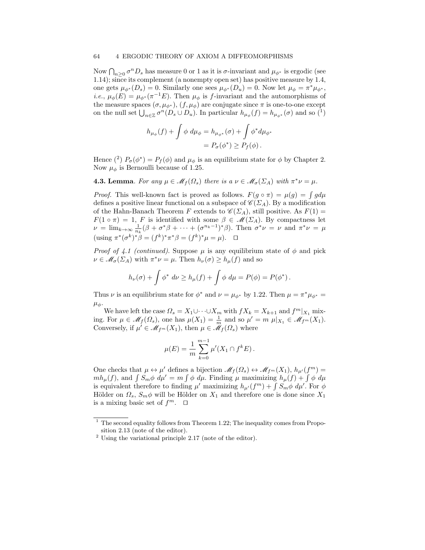Now  $\bigcap_{n\geq 0} \sigma^n D_s$  has measure 0 or 1 as it is  $\sigma$ -invariant and  $\mu_{\phi^*}$  is ergodic (see 1.14); since its complement (a nonempty open set) has positive measure by 1.4, one gets  $\mu_{\phi^*}(D_s) = 0$ . Similarly one sees  $\mu_{\phi^*}(D_u) = 0$ . Now let  $\mu_{\phi} = \pi^* \mu_{\phi^*}$ , *i.e.*,  $\mu_{\phi}(E) = \mu_{\phi^*}(\pi^{-1}E)$ . Then  $\mu_{\phi}$  is f-invariant and the automorphisms of the measure spaces  $(\sigma, \mu_{\phi^*}), (f, \mu_{\phi})$  are conjugate since  $\pi$  is one-to-one except on the null set  $\bigcup_{n\in\mathbb{Z}}\sigma^n(D_s\cup D_u)$ . In particular  $h_{\mu_\phi}(f)=h_{\mu_{\phi^*}}(\sigma)$  and so  $(1)$ 

$$
h_{\mu_{\phi}}(f) + \int \phi \ d\mu_{\phi} = h_{\mu_{\phi^*}}(\sigma) + \int \phi^* d\mu_{\phi^*}
$$

$$
= P_{\sigma}(\phi^*) \ge P_f(\phi).
$$

Hence (<sup>2</sup>)  $P_{\sigma}(\phi^*) = P_f(\phi)$  and  $\mu_{\phi}$  is an equilibrium state for  $\phi$  by Chapter 2. Now  $\mu_{\phi}$  is Bernoulli because of 1.25.

**4.3. Lemma**. For any  $\mu \in \mathcal{M}_f(\Omega_s)$  there is a  $\nu \in \mathcal{M}_\sigma(\Sigma_A)$  with  $\pi^* \nu = \mu$ .

*Proof.* This well-known fact is proved as follows.  $F(g \circ \pi) = \mu(g) = \int g d\mu$ defines a positive linear functional on a subspace of  $\mathscr{C}(\Sigma_A)$ . By a modification of the Hahn-Banach Theorem F extends to  $\mathscr{C}(\Sigma_A)$ , still positive. As  $F(1) =$  $F(1 \circ \pi) = 1$ , F is identified with some  $\beta \in \mathcal{M}(\Sigma_A)$ . By compactness let  $\nu = \lim_{k \to \infty} \frac{1}{n_k} (\beta + \sigma^* \beta + \dots + (\sigma^{n_k-1})^* \beta).$  Then  $\sigma^* \nu = \nu$  and  $\pi^* \nu = \mu$  $(\text{using } \pi^*(\sigma^k)^*\beta = (f^k)^*\pi^*\beta = (f^k)^*\mu = \mu).$ 

*Proof of 4.1 (continued)*. Suppose  $\mu$  is any equilibrium state of  $\phi$  and pick  $\nu \in \mathscr{M}_{\sigma}(\Sigma_A)$  with  $\pi^* \nu = \mu$ . Then  $h_{\nu}(\sigma) \ge h_{\mu}(f)$  and so

$$
h_{\nu}(\sigma) + \int \phi^* d\nu \ge h_{\mu}(f) + \int \phi d\mu = P(\phi) = P(\phi^*).
$$

Thus  $\nu$  is an equilibrium state for  $\phi^*$  and  $\nu = \mu_{\phi^*}$  by 1.22. Then  $\mu = \pi^* \mu_{\phi^*} =$  $\mu_{\phi}$ .

We have left the case  $\Omega_s = X_1 \cup \cdots \cup X_m$  with  $fX_k = X_{k+1}$  and  $f^m|_{X_1}$  mixing. For  $\mu \in \mathcal{M}_f(\Omega_s)$ , one has  $\mu(X_1) = \frac{1}{m}$  and so  $\mu' = m \mu|_{X_1} \in \mathcal{M}_{f^m}(X_1)$ . Conversely, if  $\mu' \in \mathcal{M}_{f^m}(X_1)$ , then  $\mu \in \mathcal{M}_f(\Omega_s)$  where

$$
\mu(E) = \frac{1}{m} \sum_{k=0}^{m-1} \mu'(X_1 \cap f^k E).
$$

One checks that  $\mu \leftrightarrow \mu'$  defines a bijection  $\mathscr{M}_f(\Omega_s) \leftrightarrow \mathscr{M}_{f^m}(X_1), h_{\mu'}(f^m) =$  $mh_\mu(f)$ , and  $\int S_m \phi \ d\mu' = m \int \phi \ d\mu$ . Finding  $\mu$  maximizing  $h_\mu(f) + \int \phi \ d\mu$ is equivalent therefore to finding  $\mu'$  maximizing  $h_{\mu'}(f^m) + \int S_m \phi \ d\mu'$ . For  $\phi$ Hölder on  $\Omega_s$ ,  $S_m \phi$  will be Hölder on  $X_1$  and therefore one is done since  $X_1$ is a mixing basic set of  $f^m$ .  $\Box$ 

<sup>1</sup> The second equality follows from Theorem 1.22; The inequality comes from Proposition 2.13 (note of the editor).

<sup>2</sup> Using the variational principle 2.17 (note of the editor).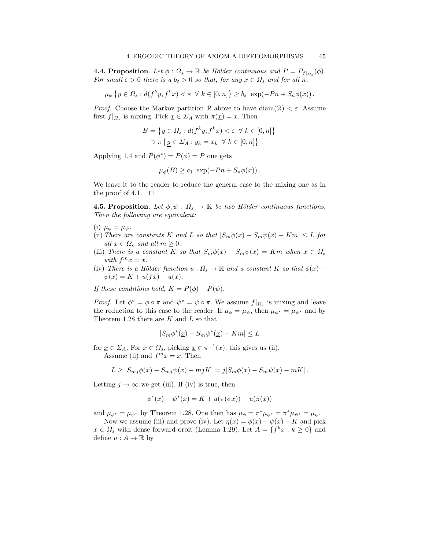**4.4. Proposition**. Let  $\phi : \Omega_s \to \mathbb{R}$  be Hölder continuous and  $P = P_{f|_{\Omega_s}}(\phi)$ . For small  $\varepsilon > 0$  there is a  $b_{\varepsilon} > 0$  so that, for any  $x \in \Omega_s$  and for all n,

$$
\mu_{\phi}\left\{y \in \Omega_s : d(f^k y, f^k x) < \varepsilon \ \forall \ k \in [0, n]\right\} \ge b_{\varepsilon} \ \exp(-Pn + S_n \phi(x)).
$$

*Proof.* Choose the Markov partition R above to have diam(R)  $\lt \varepsilon$ . Assume first  $f|_{\Omega_s}$  is mixing. Pick  $\underline{x} \in \Sigma_A$  with  $\pi(\underline{x}) = x$ . Then

$$
B = \{ y \in \Omega_s : d(f^k y, f^k x) < \varepsilon \ \forall \ k \in [0, n] \}
$$

$$
\supset \pi \{ y \in \Sigma_A : y_k = x_k \ \forall \ k \in [0, n] \} .
$$

Applying 1.4 and  $P(\phi^*) = P(\phi) = P$  one gets

$$
\mu_{\phi}(B) \ge c_1 \exp(-Pn + S_n \phi(x)).
$$

We leave it to the reader to reduce the general case to the mixing one as in the proof of 4.1.  $\Box$ 

**4.5. Proposition**. Let  $\phi, \psi : \Omega_s \to \mathbb{R}$  be two Hölder continuous functions. Then the following are equivalent:

(i)  $\mu_{\phi} = \mu_{\psi}$ .

- (ii) There are constants K and L so that  $|S_m \phi(x) S_m \psi(x) Km| \leq L$  for all  $x \in \Omega_s$  and all  $m \geq 0$ .
- (iii) There is a constant K so that  $S_m \phi(x) S_m \psi(x) = Km$  when  $x \in \Omega_s$ with  $f^m x = x$ .
- (iv) There is a Hölder function  $u : \Omega_s \to \mathbb{R}$  and a constant K so that  $\phi(x)$   $\psi(x) = K + u(fx) - u(x).$

If these conditions hold,  $K = P(\phi) - P(\psi)$ .

*Proof.* Let  $\phi^* = \phi \circ \pi$  and  $\psi^* = \psi \circ \pi$ . We assume  $f|_{\Omega_s}$  is mixing and leave the reduction to this case to the reader. If  $\mu_{\phi} = \mu_{\psi}$ , then  $\mu_{\phi^*} = \mu_{\psi^*}$  and by Theorem 1.28 there are  $K$  and  $L$  so that

$$
|S_m\phi^*(\underline{x}) - S_m\psi^*(\underline{x}) - Km| \le L
$$

for  $\underline{x} \in \Sigma_A$ . For  $x \in \Omega_s$ , picking  $\underline{x} \in \pi^{-1}(x)$ , this gives us (ii). Assume (ii) and  $f^m x = x$ . Then

 $L \geq |S_{m,j}\phi(x) - S_{m,j}\psi(x) - mjk| = j|S_m\phi(x) - S_m\psi(x) - mK|.$ 

Letting  $j \to \infty$  we get (iii). If (iv) is true, then

$$
\phi^*(\underline{x}) - \psi^*(\underline{x}) = K + u(\pi(\sigma \underline{x})) - u(\pi(\underline{x}))
$$

and  $\mu_{\phi^*} = \mu_{\psi^*}$  by Theorem 1.28. One then has  $\mu_{\phi} = \pi^* \mu_{\phi^*} = \pi^* \mu_{\psi^*} = \mu_{\psi}.$ 

Now we assume (iii) and prove (iv). Let  $\eta(x) = \phi(x) - \psi(x) - K$  and pick  $x \in \Omega_s$  with dense forward orbit (Lemma 1.29). Let  $A = \{f^k x : k \geq 0\}$  and define  $u : A \to \mathbb{R}$  by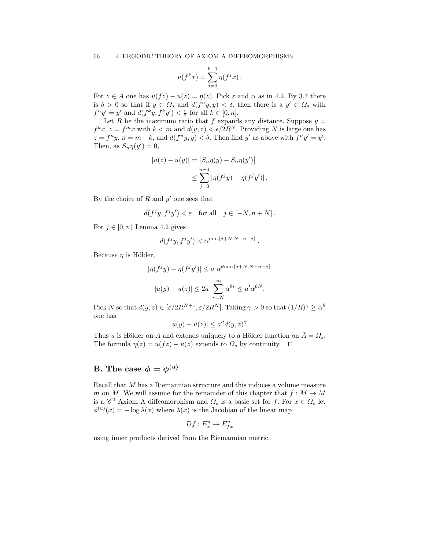#### 66 4 ERGODIC THEORY OF AXIOM A DIFFEOMORPHISMS

$$
u(f^{k}x) = \sum_{j=0}^{k-1} \eta(f^{j}x).
$$

For  $z \in A$  one has  $u(fz) - u(z) = \eta(z)$ . Pick  $\varepsilon$  and  $\alpha$  as in 4.2. By 3.7 there is  $\delta > 0$  so that if  $y \in \Omega_s$  and  $d(f^n y, y) < \delta$ , then there is a  $y' \in \Omega_s$  with  $f^n y' = y'$  and  $d(f^k y, f^k y') < \frac{\varepsilon}{2}$  for all  $k \in [0, n]$ .

Let R be the maximum ratio that f expands any distance. Suppose  $y =$  $f^k x, z = f^m x$  with  $k < m$  and  $d(y, z) < \epsilon/2R^N$ . Providing N is large one has  $z = f^n y$ ,  $n = m - k$ , and  $d(f^n y, y) < \delta$ . Then find y' as above with  $f^n y' = y'$ . Then, as  $S_n \eta(y') = 0$ ,

$$
|u(z) - u(y)| = |S_n \eta(y) - S_n \eta(y')|
$$
  

$$
\leq \sum_{j=0}^{n-1} |\eta(f^j y) - \eta(f^j y')|.
$$

By the choice of  $R$  and  $y'$  one sees that

$$
d(f^jy, f^jy') < \varepsilon
$$
 for all  $j \in [-N, n+N]$ .

For  $j \in [0, n)$  Lemma 4.2 gives

$$
d(f^jy, f^jy') < \alpha^{\min\{j+N, N+n-j\}}.
$$

Because  $\eta$  is Hölder,

$$
|\eta(f^j y) - \eta(f^j y')| \le a \alpha^{\theta \min\{j+N, N+n-j\}}
$$

$$
|u(y) - u(z)| \le 2a \sum_{r=N}^{\infty} \alpha^{\theta r} \le a' \alpha^{\theta N}.
$$

Pick N so that  $d(y, z) \in [\varepsilon/2R^{N+1}, \varepsilon/2R^N]$ . Taking  $\gamma > 0$  so that  $(1/R)^{\gamma} \ge \alpha^{\theta}$ one has

$$
|u(y)-u(z)|\leq a''d(y,z)^{\gamma}.
$$

Thus u is Hölder on A and extends uniquely to a Hölder function on  $\overline{A} = \Omega_s$ . The formula  $\eta(z) = u(fz) - u(z)$  extends to  $\Omega_s$  by continuity.  $\Box$ 

## B. The case  $\phi = \phi^{(u)}$

Recall that M has a Riemannian structure and this induces a volume measure m on M. We will assume for the remainder of this chapter that  $f : M \to M$ is a  $\mathscr{C}^2$  Axiom A diffeomorphism and  $\Omega_s$  is a basic set for f. For  $x \in \Omega_s$  let  $\phi^{(u)}(x) = -\log \lambda(x)$  where  $\lambda(x)$  is the Jacobian of the linear map

$$
Df: E_x^u \to E_{fx}^u
$$

using inner products derived from the Riemannian metric.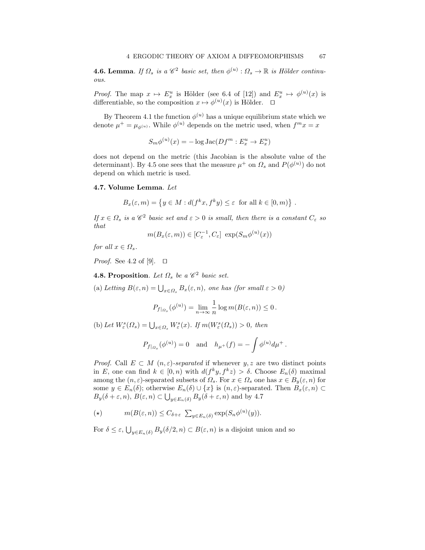**4.6. Lemma**. If  $\Omega_s$  is a  $\mathscr{C}^2$  basic set, then  $\phi^{(u)} : \Omega_s \to \mathbb{R}$  is Hölder continuous.

*Proof.* The map  $x \mapsto E_x^u$  is Hölder (see 6.4 of [12]) and  $E_x^u \mapsto \phi^{(u)}(x)$  is differentiable, so the composition  $x \mapsto \phi^{(u)}(x)$  is Hölder.  $\square$ 

By Theorem 4.1 the function  $\phi^{(u)}$  has a unique equilibrium state which we denote  $\mu^+ = \mu_{\phi^{(u)}}$ . While  $\phi^{(u)}$  depends on the metric used, when  $f^m x = x$ 

$$
S_m \phi^{(u)}(x) = -\log \operatorname{Jac}(Df^m : E_x^u \to E_x^u)
$$

does not depend on the metric (this Jacobian is the absolute value of the determinant). By 4.5 one sees that the measure  $\mu^+$  on  $\Omega_s$  and  $P(\phi^{(u)})$  do not depend on which metric is used.

#### 4.7. Volume Lemma. Let

$$
B_x(\varepsilon, m) = \left\{ y \in M : d(f^k x, f^k y) \le \varepsilon \text{ for all } k \in [0, m) \right\}.
$$

If  $x \in \Omega_s$  is a  $\mathscr{C}^2$  basic set and  $\varepsilon > 0$  is small, then there is a constant  $C_{\varepsilon}$  so that

$$
m(B_x(\varepsilon,m)) \in [C_{\varepsilon}^{-1}, C_{\varepsilon}] \ \exp(S_m \phi^{(u)}(x))
$$

for all  $x \in \Omega_s$ .

*Proof.* See 4.2 of [9].  $\Box$ 

**4.8. Proposition**. Let  $\Omega_s$  be a  $\mathscr{C}^2$  basic set.

(a) Letting  $B(\varepsilon, n) = \bigcup_{x \in \Omega_s} B_x(\varepsilon, n)$ , one has (for small  $\varepsilon > 0$ )

$$
P_{f|_{\Omega_s}}(\phi^{(u)}) = \lim_{n \to \infty} \frac{1}{n} \log m(B(\varepsilon, n)) \le 0.
$$

(b) Let  $W^s_{\varepsilon}(\Omega_s) = \bigcup_{x \in \Omega_s} W^s_{\varepsilon}(x)$ . If  $m(W^s_{\varepsilon}(\Omega_s)) > 0$ , then

$$
P_{f|_{\Omega_s}}(\phi^{(u)}) = 0
$$
 and  $h_{\mu^+}(f) = -\int \phi^{(u)} d\mu^+$ .

*Proof.* Call  $E \subset M$   $(n, \varepsilon)$ -separated if whenever  $y, z$  are two distinct points in E, one can find  $k \in [0,n)$  with  $d(f^k y, f^k z) > \delta$ . Choose  $E_n(\delta)$  maximal among the  $(n, \varepsilon)$ -separated subsets of  $\Omega_s$ . For  $x \in \Omega_s$  one has  $x \in B_y(\varepsilon, n)$  for some  $y \in E_n(\delta)$ ; otherwise  $E_n(\delta) \cup \{x\}$  is  $(n, \varepsilon)$ -separated. Then  $B_x(\varepsilon, n) \subset$  $B_y(\delta + \varepsilon, n), B(\varepsilon, n) \subset \bigcup_{y \in E_n(\delta)} B_y(\delta + \varepsilon, n)$  and by 4.7

$$
(*) \qquad m(B(\varepsilon, n)) \le C_{\delta + \varepsilon} \sum_{y \in E_n(\delta)} \exp(S_n \phi^{(u)}(y)).
$$

For  $\delta \leq \varepsilon$ ,  $\bigcup_{y \in E_n(\delta)} B_y(\delta/2, n) \subset B(\varepsilon, n)$  is a disjoint union and so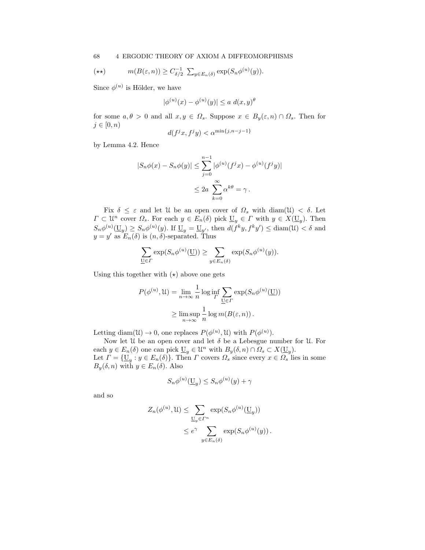$$
(\star \star) \qquad m(B(\varepsilon, n)) \ge C_{\delta/2}^{-1} \sum_{y \in E_n(\delta)} \exp(S_n \phi^{(u)}(y)).
$$

Since  $\phi^{(u)}$  is Hölder, we have

$$
|\phi^{(u)}(x) - \phi^{(u)}(y)| \le a \ d(x, y)^{\theta}
$$

for some  $a, \theta > 0$  and all  $x, y \in \Omega_s$ . Suppose  $x \in B_y(\varepsilon, n) \cap \Omega_s$ . Then for  $j \in [0, n)$ 

$$
d(f^jx, f^jy) < \alpha^{\min\{j, n-j-1\}}
$$

by Lemma 4.2. Hence

$$
|S_n\phi(x) - S_n\phi(y)| \le \sum_{j=0}^{n-1} |\phi^{(u)}(f^j x) - \phi^{(u)}(f^j y)|
$$
  

$$
\le 2a \sum_{k=0}^{\infty} \alpha^{k\theta} = \gamma.
$$

Fix  $\delta \leq \varepsilon$  and let U be an open cover of  $\Omega_s$  with diam(U)  $< \delta$ . Let  $\Gamma \subset \mathcal{U}^n$  cover  $\Omega_s$ . For each  $y \in E_n(\delta)$  pick  $\underline{\mathrm{U}}_y \in \Gamma$  with  $y \in X(\underline{\mathrm{U}}_y)$ . Then  $S_n \phi^{(u)}(\underline{\mathbf{U}}_y) \geq S_n \phi^{(u)}(y)$ . If  $\underline{\mathbf{U}}_y = \underline{\mathbf{U}}_{y'}$ , then  $d(f^k y, f^k y') \leq \text{diam}(\mathfrak{U}) < \delta$  and  $y = y'$  as  $E_n(\delta)$  is  $(n, \delta)$ -separated. Thus

$$
\sum_{\underline{\mathbf{U}} \in \Gamma} \exp(S_n \phi^{(u)}(\underline{\mathbf{U}})) \ge \sum_{y \in E_n(\delta)} \exp(S_n \phi^{(u)}(y)).
$$

Using this together with  $(\star)$  above one gets

$$
P(\phi^{(u)}, \mathcal{U}) = \lim_{n \to \infty} \frac{1}{n} \log \inf_{\Gamma} \sum_{\underline{U} \in \Gamma} \exp(S_n \phi^{(u)}(\underline{U}))
$$

$$
\geq \limsup_{n \to \infty} \frac{1}{n} \log m(B(\varepsilon, n)).
$$

Letting diam( $\mathcal{U}$ )  $\rightarrow$  0, one replaces  $P(\phi^{(u)}, \mathcal{U})$  with  $P(\phi^{(u)})$ .

Now let  $\mathfrak U$  be an open cover and let  $\delta$  be a Lebesgue number for  $\mathfrak U$ . For each  $y \in E_n(\delta)$  one can pick  $\underline{U}_y \in \mathcal{U}^n$  with  $B_y(\delta, n) \cap \Omega_s \subset X(\underline{U}_y)$ . Let  $\Gamma = {\{\underline{\mathrm{U}}_y : y \in E_n(\delta)\}}$ . Then  $\Gamma$  covers  $\Omega_s$  since every  $x \in \Omega_s$  lies in some  $B_y(\delta, n)$  with  $y \in E_n(\delta)$ . Also

$$
S_n\phi^{(u)}(\underline{\mathbf{U}}_y)\leq S_n\phi^{(u)}(y)+\gamma
$$

and so

$$
Z_n(\phi^{(u)}, \mathcal{U}) \leq \sum_{\substack{\underline{U}_y \in \Gamma^n \\ \underline{s} \in \mathcal{U}_n}} \exp(S_n \phi^{(u)}(\underline{U}_y))
$$
  

$$
\leq e^{\gamma} \sum_{y \in E_n(\delta)} \exp(S_n \phi^{(u)}(y)).
$$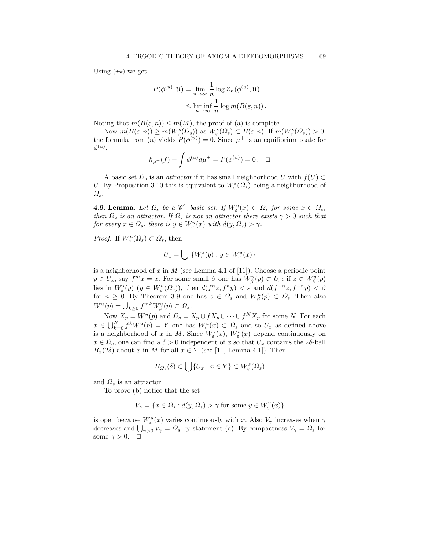Using  $(\star \star)$  we get

$$
P(\phi^{(u)}, \mathcal{U}) = \lim_{n \to \infty} \frac{1}{n} \log Z_n(\phi^{(u)}, \mathcal{U})
$$
  
\$\leq\$ 
$$
\liminf_{n \to \infty} \frac{1}{n} \log m(B(\varepsilon, n)).
$$

Noting that  $m(B(\varepsilon, n)) \le m(M)$ , the proof of (a) is complete.

Now  $m(B(\varepsilon, n)) \ge m(W_{\varepsilon}^s(\Omega_s))$  as  $W_{\varepsilon}^s(\Omega_s) \subset B(\varepsilon, n)$ . If  $m(W_{\varepsilon}^s(\Omega_s)) > 0$ , the formula from (a) yields  $P(\phi^{(u)}) = 0$ . Since  $\mu^+$  is an equilibrium state for  $\phi^{(u)},$ 

$$
h_{\mu^+}(f) + \int \phi^{(u)} d\mu^+ = P(\phi^{(u)}) = 0. \quad \Box
$$

A basic set  $\Omega_s$  is an *attractor* if it has small neighborhood U with  $f(U) \subset$ U. By Proposition 3.10 this is equivalent to  $W^s_{\varepsilon}(\Omega_s)$  being a neighborhood of  $\Omega_s$ .

**4.9. Lemma**. Let  $\Omega_s$  be a  $\mathscr{C}^1$  basic set. If  $W^u_{\varepsilon}(x) \subset \Omega_s$  for some  $x \in \Omega_s$ , then  $\Omega_s$  is an attractor. If  $\Omega_s$  is not an attractor there exists  $\gamma > 0$  such that for every  $x \in \Omega_s$ , there is  $y \in W^u_{\varepsilon}(x)$  with  $d(y, \Omega_s) > \gamma$ .

*Proof.* If  $W^u_\varepsilon(\Omega_s) \subset \Omega_s$ , then

$$
U_x = \bigcup \, \{W^s_{\varepsilon}(y) : y \in W^u_{\varepsilon}(x)\}
$$

is a neighborhood of x in M (see Lemma 4.1 of [11]). Choose a periodic point  $p \in U_x$ , say  $f^m x = x$ . For some small  $\beta$  one has  $W^u_\beta(p) \subset U_x$ ; if  $z \in W^u_\beta(p)$ lies in  $W^s_{\varepsilon}(y)$   $(y \in W^u_{\varepsilon}(\Omega_s))$ , then  $d(f^nz, f^ny) < \varepsilon$  and  $d(f^{-n}z, f^{-n}p) < \beta$ for  $n \geq 0$ . By Theorem 3.9 one has  $z \in \Omega_s$  and  $W^u_{\beta}(p) \subset \Omega_s$ . Then also  $W^u(p) = \bigcup_{k \geq 0} f^{mk} W^u_{\beta}(p) \subset \Omega_s.$ 

Now  $X_p = \overline{W^u(p)}$  and  $\Omega_s = X_p \cup fX_p \cup \cdots \cup f^N X_p$  for some N. For each  $x \in \bigcup_{k=0}^{N} f^k W^u(p) = Y$  one has  $W^u_{\varepsilon}(x) \subset \Omega_s$  and so  $U_x$  as defined above is a neighborhood of x in M. Since  $W^s_{\varepsilon}(x)$ ,  $W^u_{\varepsilon}(x)$  depend continuously on  $x \in \Omega_s$ , one can find a  $\delta > 0$  independent of x so that  $U_x$  contains the 2 $\delta$ -ball  $B_x(2\delta)$  about x in M for all  $x \in Y$  (see [11, Lemma 4.1]). Then

$$
B_{\Omega_s}(\delta) \subset \bigcup \{U_x : x \in Y\} \subset W^s_{\varepsilon}(\Omega_s)
$$

and  $\Omega_s$  is an attractor.

To prove (b) notice that the set

$$
V_{\gamma} = \{ x \in \Omega_s : d(y, \Omega_s) > \gamma \text{ for some } y \in W^u_{\varepsilon}(x) \}
$$

is open because  $W^u_{\varepsilon}(x)$  varies continuously with x. Also  $V_{\gamma}$  increases when  $\gamma$ decreases and  $\bigcup_{\gamma>0} V_{\gamma} = \Omega_s$  by statement (a). By compactness  $V_{\gamma} = \Omega_s$  for some  $\gamma > 0$ .  $\Box$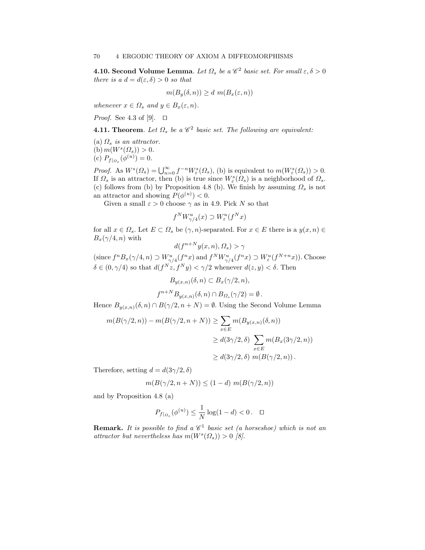**4.10. Second Volume Lemma**. Let  $\Omega_s$  be a  $\mathscr{C}^2$  basic set. For small  $\varepsilon, \delta > 0$ there is a  $d = d(\varepsilon, \delta) > 0$  so that

$$
m(B_y(\delta, n)) \ge d \ m(B_x(\varepsilon, n))
$$

whenever  $x \in \Omega_s$  and  $y \in B_x(\varepsilon, n)$ .

*Proof.* See 4.3 of [9].  $\Box$ 

**4.11. Theorem**. Let  $\Omega_s$  be a  $\mathscr{C}^2$  basic set. The following are equivalent:

- (a)  $\Omega_s$  is an attractor. (b)  $m(W^s(\Omega_s)) > 0$ .
- (c)  $P_{f|_{\Omega_s}}(\phi^{(u)}) = 0.$

Proof. As  $W^{s}(\Omega_s) = \bigcup_{n=0}^{\infty} f^{-n}W_{\varepsilon}^{s}(\Omega_s)$ , (b) is equivalent to  $m(W_{\varepsilon}^{s}(\Omega_s)) > 0$ . If  $\Omega_s$  is an attractor, then (b) is true since  $W^s_{\varepsilon}(\Omega_s)$  is a neighborhood of  $\Omega_s$ . (c) follows from (b) by Proposition 4.8 (b). We finish by assuming  $\Omega_s$  is not an attractor and showing  $P(\phi^{(u)}) < 0$ .

Given a small  $\varepsilon > 0$  choose  $\gamma$  as in 4.9. Pick N so that

$$
f^N W^u_{\gamma/4}(x) \supset W^u_{\varepsilon}(f^N x)
$$

for all  $x \in \Omega_s$ . Let  $E \subset \Omega_s$  be  $(\gamma, n)$ -separated. For  $x \in E$  there is a  $y(x, n) \in$  $B_x(\gamma/4, n)$  with

$$
d(f^{n+N}y(x,n),\Omega_s) > \gamma
$$

(since  $f^n B_x(\gamma/4, n) \supset W^u_{\gamma/4}(f^n x)$  and  $f^N W^u_{\gamma/4}(f^n x) \supset W^u_{\varepsilon}(f^{N+n} x)$ ). Choose  $\delta \in (0, \gamma/4)$  so that  $d(f^N z, f^N y) < \gamma/2$  whenever  $d(z, y) < \delta$ . Then

$$
B_{y(x,n)}(\delta, n) \subset B_x(\gamma/2, n),
$$
  

$$
f^{n+N} B_{y(x,n)}(\delta, n) \cap B_{\Omega_s}(\gamma/2) = \emptyset.
$$

Hence  $B_{y(x,n)}(\delta,n) \cap B(\gamma/2, n+N) = \emptyset$ . Using the Second Volume Lemma

$$
m(B(\gamma/2, n)) - m(B(\gamma/2, n+N)) \ge \sum_{x \in E} m(B_{y(x,n)}(\delta, n))
$$
  
 
$$
\ge d(3\gamma/2, \delta) \sum_{x \in E} m(B_x(3\gamma/2, n))
$$
  
 
$$
\ge d(3\gamma/2, \delta) m(B(\gamma/2, n)).
$$

Therefore, setting  $d = d(3\gamma/2, \delta)$ 

$$
m(B(\gamma/2, n+N)) \le (1-d) m(B(\gamma/2, n))
$$

and by Proposition 4.8 (a)

$$
P_{f|_{\Omega_s}}(\phi^{(u)}) \leq \frac{1}{N} \log(1 - d) < 0.
$$
  $\Box$ 

**Remark.** It is possible to find a  $\mathscr{C}^1$  basic set (a horseshoe) which is not an attractor but nevertheless has  $m(W<sup>s</sup>(\Omega<sub>s</sub>)) > 0$  [8].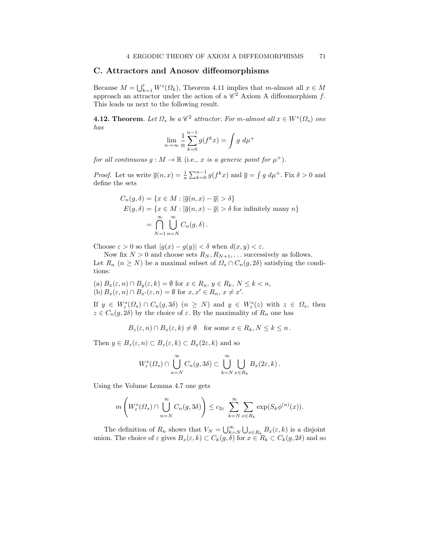### C. Attractors and Anosov diffeomorphisms

Because  $M = \bigcup_{k=1}^r W^s(\Omega_k)$ , Theorem 4.11 implies that m-almost all  $x \in M$ approach an attractor under the action of a  $\mathscr{C}^2$  Axiom A diffeomorphism f. This leads us next to the following result.

**4.12. Theorem**. Let  $\Omega_s$  be a  $\mathscr{C}^2$  attractor. For m-almost all  $x \in W^s(\Omega_s)$  one has

$$
\lim_{n \to \infty} \frac{1}{n} \sum_{k=0}^{n-1} g(f^k x) = \int g \ d\mu^+
$$

for all continuous  $g : M \to \mathbb{R}$  (i.e., x is a generic point for  $\mu^+$ ).

*Proof.* Let us write  $\overline{g}(n,x) = \frac{1}{n} \sum_{k=0}^{n-1} g(f^k x)$  and  $\overline{g} = \int g d\mu^+$ . Fix  $\delta > 0$  and define the sets

$$
C_n(g, \delta) = \{x \in M : |\overline{g}(n, x) - \overline{g}| > \delta\}
$$
  
\n
$$
E(g, \delta) = \{x \in M : |\overline{g}(n, x) - \overline{g}| > \delta \text{ for infinitely many } n\}
$$
  
\n
$$
= \bigcap_{N=1}^{\infty} \bigcup_{n=N}^{\infty} C_n(g, \delta).
$$

Choose  $\varepsilon > 0$  so that  $|g(x) - g(y)| < \delta$  when  $d(x, y) < \varepsilon$ .

Now fix  $N > 0$  and choose sets  $R_N, R_{N+1}, \ldots$  successively as follows. Let  $R_n$   $(n \geq N)$  be a maximal subset of  $\Omega_s \cap C_n(g, 2\delta)$  satisfying the conditions:

(a) 
$$
B_x(\varepsilon, n) \cap B_y(\varepsilon, k) = \emptyset
$$
 for  $x \in R_n$ ,  $y \in R_k$ ,  $N \le k < n$ ,  
(b)  $B_x(\varepsilon, n) \cap B_{x'}(\varepsilon, n) = \emptyset$  for  $x, x' \in R_n$ ,  $x \ne x'$ .

If  $y \in W^s_{\varepsilon}(\Omega_s) \cap C_n(g, 3\delta)$   $(n \geq N)$  and  $y \in W^s_{\varepsilon}(z)$  with  $z \in \Omega_s$ , then  $z \in C_n(g, 2\delta)$  by the choice of  $\varepsilon$ . By the maximality of  $R_n$  one has

 $B_z(\varepsilon, n) \cap B_x(\varepsilon, k) \neq \emptyset$  for some  $x \in R_k, N \leq k \leq n$ .

Then  $y \in B_z(\varepsilon, n) \subset B_z(\varepsilon, k) \subset B_x(2\varepsilon, k)$  and so

$$
W_{\varepsilon}^{s}(\Omega_{s})\cap\bigcup_{n=N}^{\infty}C_{n}(g,3\delta)\subset\bigcup_{k=N}^{\infty}\bigcup_{x\in R_{k}}B_{x}(2\varepsilon,k).
$$

Using the Volume Lemma 4.7 one gets

$$
m\left(W_{\varepsilon}^{s}(\Omega_{s})\cap\bigcup_{n=N}^{\infty}C_{n}(g,3\delta)\right)\leq c_{2\varepsilon}\sum_{k=N}^{\infty}\sum_{x\in R_{k}}\exp(S_{k}\phi^{(u)}(x)).
$$

The definition of  $R_n$  shows that  $V_N = \bigcup_{k=N}^{\infty} \bigcup_{x \in R_k} B_x(\varepsilon, k)$  is a disjoint union. The choice of  $\varepsilon$  gives  $B_x(\varepsilon, k) \subset C_k(\tilde{g}, \tilde{\delta})$  for  $x \in R_k \subset C_k(g, 2\delta)$  and so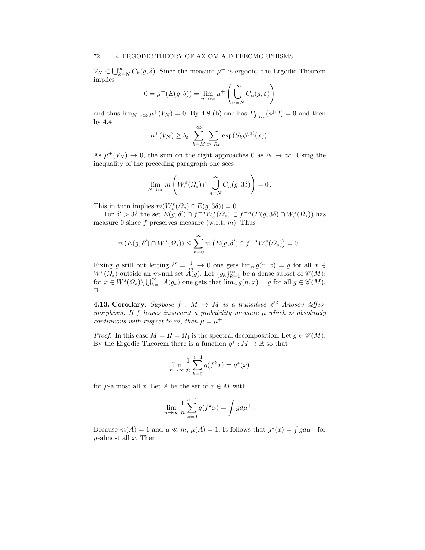$V_N \subset \bigcup_{k=N}^{\infty} C_k(g, \delta)$ . Since the measure  $\mu^+$  is ergodic, the Ergodic Theorem implies

$$
0 = \mu^{+}(E(g,\delta)) = \lim_{n \to \infty} \mu^{+}\left(\bigcup_{n=N}^{\infty} C_n(g,\delta)\right)
$$

and thus  $\lim_{N\to\infty}\mu^+(V_N)=0$ . By 4.8 (b) one has  $P_{f|_{\Omega_s}}(\phi^{(u)})=0$  and then by 4.4

$$
\mu^+(V_N) \ge b_{\varepsilon} \sum_{k=M}^{\infty} \sum_{x \in R_k} \exp(S_k \phi^{(u)}(x)).
$$

As  $\mu^+(V_N) \to 0$ , the sum on the right approaches 0 as  $N \to \infty$ . Using the inequality of the preceding paragraph one sees

$$
\lim_{N \to \infty} m\left(W_{\varepsilon}^{s}(\Omega_s) \cap \bigcup_{n=N}^{\infty} C_n(g, 3\delta)\right) = 0.
$$

This in turn implies  $m(W_{\varepsilon}^{s}(\Omega_s) \cap E(g, 3\delta)) = 0.$ 

For  $\delta' > 3\delta$  the set  $E(g, \delta') \cap f^{-n}W^s_{\varepsilon}(\Omega_s) \subset f^{-n}(E(g, 3\delta) \cap W^s_{\varepsilon}(\Omega_s))$  has measure 0 since f preserves measure (w.r.t.  $m$ ). Thus

$$
m(E(g,\delta') \cap W^s(\Omega_s)) \leq \sum_{n=0}^{\infty} m\left(E(g,\delta') \cap f^{-n}W^s_{\varepsilon}(\Omega_s)\right) = 0.
$$

Fixing g still but letting  $\delta' = \frac{1}{m} \to 0$  one gets  $\lim_{n} \overline{g}(n,x) = \overline{g}$  for all  $x \in$  $W^s(\Omega_s)$  outside an m-null set  $\ddot{A(g)}$ . Let  $\{g_k\}_{k=1}^\infty$  be a dense subset of  $\mathscr{C}(M)$ ; for  $x \in W^s(\Omega_s) \setminus \bigcup_{k=1}^{\infty} A(g_k)$  one gets that  $\lim_{n \to \infty} \overline{g}(n,x) = \overline{g}$  for all  $g \in \mathscr{C}(M)$ .  $\Box$ 

**4.13. Corollary**. Suppose  $f : M \to M$  is a transitive  $\mathscr{C}^2$  Anosov diffeomorphism. If f leaves invariant a probability measure  $\mu$  which is absolutely continuous with respect to m, then  $\mu = \mu^+$ .

*Proof.* In this case  $M = \Omega = \Omega_1$  is the spectral decomposition. Let  $g \in \mathscr{C}(M)$ . By the Ergodic Theorem there is a function  $g^*: M \to \mathbb{R}$  so that

$$
\lim_{n \to \infty} \frac{1}{n} \sum_{k=0}^{n-1} g(f^k x) = g^*(x)
$$

for  $\mu$ -almost all x. Let A be the set of  $x \in M$  with

$$
\lim_{n \to \infty} \frac{1}{n} \sum_{k=0}^{n-1} g(f^k x) = \int g d\mu^+.
$$

Because  $m(A) = 1$  and  $\mu \ll m$ ,  $\mu(A) = 1$ . It follows that  $g^*(x) = \int g d\mu^+$  for  $\mu$ -almost all x. Then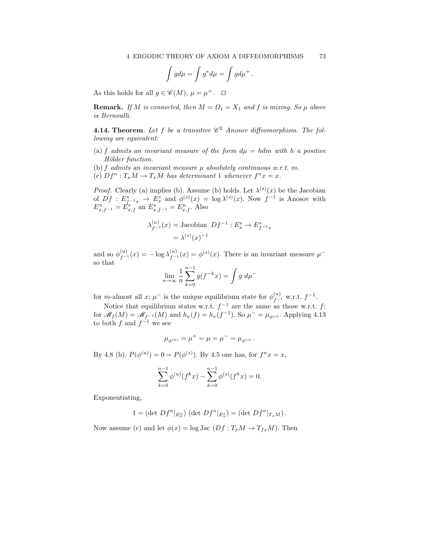$$
\int g d\mu = \int g^* d\mu = \int g d\mu^+ .
$$

As this holds for all  $g \in \mathscr{C}(M)$ ,  $\mu = \mu^+$ .  $\Box$ 

**Remark.** If M is connected, then  $M = \Omega_1 = X_1$  and f is mixing. So  $\mu$  above is Bernoulli.

**4.14. Theorem**. Let f be a transitive  $\mathscr{C}^2$  Anosov diffeomorphism. The following are equivalent:

(a) f admits an invariant measure of the form  $d\mu = hdm$  with h a positive Hölder function.

(b) f admits an invariant measure  $\mu$  absolutely continuous w.r.t. m.

(c)  $Df^n: T_xM \to T_xM$  has determinant 1 whenever  $f^n x = x$ .

*Proof.* Clearly (a) implies (b). Assume (b) holds. Let  $\lambda^{(s)}(x)$  be the Jacobian of  $Df: E_{f^{-1}x}^s \to E_x^s$  and  $\phi^{(s)}(x) = \log \lambda^{(s)}(x)$ . Now  $f^{-1}$  is Anosov with  $E_{x,f^{-1}}^u = \dot{E}_{x,f}^s$  an  $E_{x,f^{-1}}^s = E_{x,f}^u$ . Also

$$
\lambda_{f^{-1}}^{(u)}(x) = \text{Jacobian } Df^{-1} : E_x^s \to E_{f^{-1}x}^s
$$
  
=  $\lambda^{(s)}(x)^{-1}$ 

and so  $\phi_{f^{-1}}^{(u)}(x) = -\log \lambda_{f^{-1}}^{(u)}(x) = \phi^{(s)}(x)$ . There is an invariant measure  $\mu^$ so that  $\frac{1}{n}$ 

$$
\lim_{n \to \infty} \frac{1}{n} \sum_{k=0}^{n-1} g(f^{-k}x) = \int g \, d\mu^{-1}
$$

for *m*-almost all x;  $\mu^-$  is the unique equilibrium state for  $\phi_{f^{-1}}^{(u)}$  w.r.t.  $f^{-1}$ .

Notice that equilibrium states w.r.t.  $f^{-1}$  are the same as those w.r.t. f; for  $\mathcal{M}_f(M) = \mathcal{M}_{f^{-1}}(M)$  and  $h_{\nu}(f) = h_{\nu}(f^{-1})$ . So  $\mu^- = \mu_{\phi^{(s)}}$ . Applying 4.13 to both f and  $f^{-1}$  we see

$$
\mu_{\phi^{(u)}} = \mu^+ = \mu = \mu^- = \mu_{\phi^{(s)}}.
$$

By 4.8 (b),  $P(\phi^{(u)}) = 0 = P(\phi^{(s)})$ . By 4.5 one has, for  $f^n x = x$ ,

$$
\sum_{k=0}^{n-1} \phi^{(u)}(f^k x) - \sum_{k=0}^{n-1} \phi^{(s)}(f^k x) = 0.
$$

Exponentiating,

$$
1 = (\det Df^{n}|_{E_{x}^{u}}) (\det Df^{n}|_{E_{x}^{s}}) = (\det Df^{n}|_{T_{x}M}).
$$

Now assume (c) and let  $\phi(x) = \log \text{Jac}(Df : T_xM \to T_{fx}M)$ . Then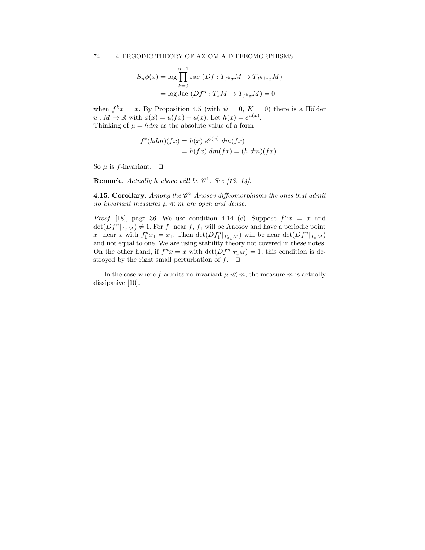$$
S_n \phi(x) = \log \prod_{k=0}^{n-1} \text{Jac} (Df : T_{f^k x} M \to T_{f^{k+1} x} M)
$$

$$
= \log \text{Jac} (Df^n : T_x M \to T_{f^k x} M) = 0
$$

when  $f^k x = x$ . By Proposition 4.5 (with  $\psi = 0, K = 0$ ) there is a Hölder  $u: M \to \mathbb{R}$  with  $\phi(x) = u(fx) - u(x)$ . Let  $h(x) = e^{u(x)}$ . Thinking of  $\mu = hdm$  as the absolute value of a form

$$
f^*(hdm)(fx) = h(x) e^{\phi(x)} dm(fx)
$$
  
=  $h(fx) dm(fx) = (h dm)(fx).$ 

So  $\mu$  is f-invariant.  $\square$ 

**Remark.** Actually h above will be  $\mathscr{C}^1$ . See [13, 14].

**4.15. Corollary**. Among the  $\mathscr C^2$  Anosov diffeomorphisms the ones that admit no invariant measures  $\mu \ll m$  are open and dense.

*Proof.* [18], page 36. We use condition 4.14 (c). Suppose  $f^{n}x = x$  and  $\det(Df^n|_{T_xM}) \neq 1$ . For  $f_1$  near f,  $f_1$  will be Anosov and have a periodic point  $x_1$  near x with  $f_1^n x_1 = x_1$ . Then  $\det(Df_1^n |_{T_{x_1}M})$  will be near  $\det(Df^n |_{T_xM})$ and not equal to one. We are using stability theory not covered in these notes. On the other hand, if  $f^n x = x$  with  $\det(Df^n |_{T_xM}) = 1$ , this condition is destroyed by the right small perturbation of  $f$ .  $\Box$ 

In the case where f admits no invariant  $\mu \ll m$ , the measure m is actually dissipative [10].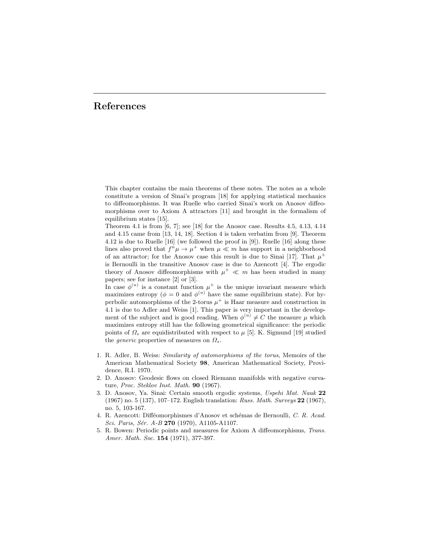## References

This chapter contains the main theorems of these notes. The notes as a whole constitute a version of Sinai's program [18] for applying statistical mechanics to diffeomorphisms. It was Ruelle who carried Sinai's work on Anosov diffeomorphisms over to Axiom A attractors [11] and brought in the formalism of equilibrium states [15].

Theorem 4.1 is from [6, 7]; see [18] for the Anosov case. Results 4.5, 4.13, 4.14 and 4.15 came from [13, 14, 18]. Section 4 is taken verbatim from [9]. Theorem 4.12 is due to Ruelle [16] (we followed the proof in [9]). Ruelle [16] along these lines also proved that  $f^n \mu \to \mu^+$  when  $\mu \ll m$  has support in a neighborhood of an attractor; for the Anosov case this result is due to Sinai [17]. That  $\mu^+$ is Bernoulli in the transitive Anosov case is due to Azencott [4]. The ergodic theory of Anosov diffeomorphisms with  $\mu^+ \ll m$  has been studied in many papers; see for instance [2] or [3].

In case  $\phi^{(u)}$  is a constant function  $\mu^+$  is the unique invariant measure which maximizes entropy ( $\phi = 0$  and  $\phi^{(u)}$  have the same equilibrium state). For hyperbolic automorphisms of the 2-torus  $\mu^+$  is Haar measure and construction in 4.1 is due to Adler and Weiss [1]. This paper is very important in the development of the subject and is good reading. When  $\phi^{(u)} \neq C$  the measure  $\mu$  which maximizes entropy still has the following geometrical significance: the periodic points of  $\Omega_s$  are equidistributed with respect to  $\mu$  [5]. K. Sigmund [19] studied the *generic* properties of measures on  $\Omega_s$ .

- 1. R. Adler, B. Weiss: Similarity of automorphisms of the torus, Memoirs of the American Mathematical Society 98, American Mathematical Society, Providence, R.I. 1970.
- 2. D. Anosov: Geodesic flows on closed Riemann manifolds with negative curvature, Proc. Steklov Inst. Math. 90 (1967).
- 3. D. Anosov, Ya. Sinai: Certain smooth ergodic systems, Uspehi Mat. Nauk 22 (1967) no. 5 (137), 107–172. English translation: Russ. Math. Surveys 22 (1967), no. 5, 103-167.
- 4. R. Azencott: Difféomorphismes d'Anosov et schémas de Bernoulli, C. R. Acad. Sci. Paris, Sér. A-B 270 (1970), A1105-A1107.
- 5. R. Bowen: Periodic points and measures for Axiom A diffeomorphisms, Trans. Amer. Math. Soc. 154 (1971), 377-397.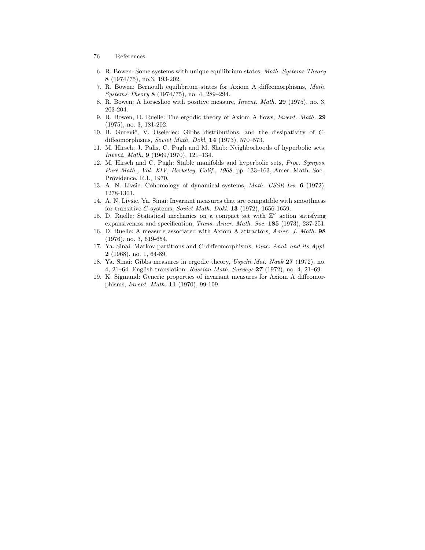- 76 References
- 6. R. Bowen: Some systems with unique equilibrium states, Math. Systems Theory 8 (1974/75), no.3, 193-202.
- 7. R. Bowen: Bernoulli equilibrium states for Axiom A diffeomorphisms, Math. Systems Theory 8 (1974/75), no. 4, 289–294.
- 8. R. Bowen: A horseshoe with positive measure, Invent. Math. 29 (1975), no. 3, 203-204.
- 9. R. Bowen, D. Ruelle: The ergodic theory of Axiom A flows, *Invent. Math.* 29 (1975), no. 3, 181-202.
- 10. B. Gurevič, V. Oseledec: Gibbs distributions, and the dissipativity of Cdiffeomorphisms, Soviet Math. Dokl. 14 (1973), 570–573.
- 11. M. Hirsch, J. Palis, C. Pugh and M. Shub: Neighborhoods of hyperbolic sets, Invent. Math. 9 (1969/1970), 121–134.
- 12. M. Hirsch and C. Pugh: Stable manifolds and hyperbolic sets, Proc. Sympos. Pure Math., Vol. XIV, Berkeley, Calif., 1968, pp. 133–163, Amer. Math. Soc., Providence, R.I., 1970.
- 13. A. N. Livšic: Cohomology of dynamical systems, *Math. USSR-Izv.* 6 (1972), 1278-1301.
- 14. A. N. Livšic, Ya. Sinai: Invariant measures that are compatible with smoothness for transitive C-systems, Soviet Math. Dokl. 13 (1972), 1656-1659.
- 15. D. Ruelle: Statistical mechanics on a compact set with  $\mathbb{Z}^{\nu}$  action satisfying expansiveness and specification, Trans. Amer. Math. Soc. 185 (1973), 237-251.
- 16. D. Ruelle: A measure associated with Axiom A attractors, Amer. J. Math. 98 (1976), no. 3, 619-654.
- 17. Ya. Sinai: Markov partitions and C-diffeomorphisms, Func. Anal. and its Appl. 2 (1968), no. 1, 64-89.
- 18. Ya. Sinai: Gibbs measures in ergodic theory, Uspehi Mat. Nauk 27 (1972), no. 4, 21–64. English translation: Russian Math. Surveys 27 (1972), no. 4, 21–69.
- 19. K. Sigmund: Generic properties of invariant measures for Axiom A diffeomorphisms, Invent. Math. 11 (1970), 99-109.